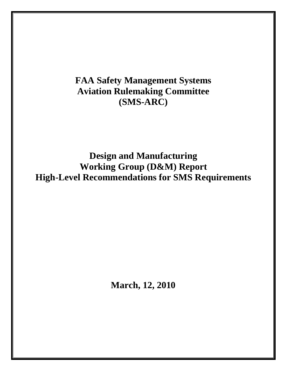# **FAA Safety Management Systems Aviation Rulemaking Committee (SMS-ARC)**

**Design and Manufacturing Working Group (D&M) Report High-Level Recommendations for SMS Requirements** 

**March, 12, 2010**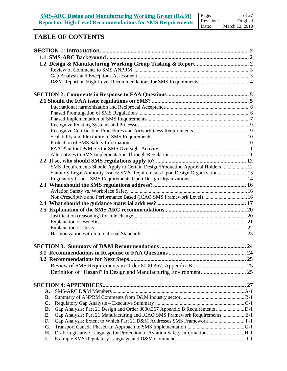### **TABLE OF CONTENTS**

|           | SMS Requirements Should Apply to Certain Design/Production Approval Holders 12  |  |
|-----------|---------------------------------------------------------------------------------|--|
|           | Statutory Legal Authority Issues: SMS Requirements Upon Design Organizations 13 |  |
|           |                                                                                 |  |
|           |                                                                                 |  |
|           |                                                                                 |  |
|           | Non-Prescriptive and Performance Based (ICAO SMS Framework Level)  16           |  |
|           |                                                                                 |  |
|           |                                                                                 |  |
|           |                                                                                 |  |
|           |                                                                                 |  |
|           |                                                                                 |  |
|           |                                                                                 |  |
|           |                                                                                 |  |
|           |                                                                                 |  |
|           |                                                                                 |  |
|           |                                                                                 |  |
|           |                                                                                 |  |
|           |                                                                                 |  |
| A.        |                                                                                 |  |
| <b>B.</b> |                                                                                 |  |
| C.        |                                                                                 |  |
| D.        |                                                                                 |  |
| Е.        | Gap Analysis: Part 21 Manufacturing and ICAO SMS Framework Requirements  E-1    |  |
| F.        | Gap Analysis: Extent to Which Part 21 D&M Addresses SMS Framework F-1           |  |
| G.        |                                                                                 |  |
| Н.        | Draft Legislative Language for Protection of Aviation Safety InformationH-1     |  |
| I.        |                                                                                 |  |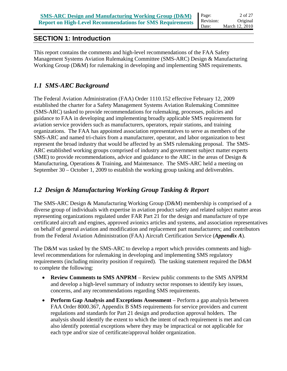### **SECTION 1: Introduction**

This report contains the comments and high-level recommendations of the FAA Safety Management Systems Aviation Rulemaking Committee (SMS-ARC) Design & Manufacturing Working Group (D&M) for rulemaking in developing and implementing SMS requirements.

### *1.1 SMS-ARC Background*

The Federal Aviation Administration (FAA) Order 1110.152 effective February 12, 2009 established the charter for a Safety Management Systems Aviation Rulemaking Committee (SMS-ARC) tasked to provide recommendations for rulemaking, processes, policies and guidance to FAA in developing and implementing broadly applicable SMS requirements for aviation service providers such as manufacturers, operators, repair stations, and training organizations. The FAA has appointed association representatives to serve as members of the SMS-ARC and named tri-chairs from a manufacturer, operator, and labor organization to best represent the broad industry that would be affected by an SMS rulemaking proposal. The SMS-ARC established working groups comprised of industry and government subject matter experts (SME) to provide recommendations, advice and guidance to the ARC in the areas of Design & Manufacturing, Operations & Training, and Maintenance. The SMS-ARC held a meeting on September 30 – October 1, 2009 to establish the working group tasking and deliverables.

### *1.2 Design & Manufacturing Working Group Tasking & Report*

The SMS-ARC Design & Manufacturing Working Group (D&M) membership is comprised of a diverse group of individuals with expertise in aviation product safety and related subject matter areas representing organizations regulated under FAR Part 21 for the design and manufacture of type certificated aircraft and engines, approved avionics articles and systems, and association representatives on behalf of general aviation and modification and replacement part manufacturers; and contributors from the Federal Aviation Administration (FAA) Aircraft Certification Service (*Appendix A*).

The D&M was tasked by the SMS-ARC to develop a report which provides comments and highlevel recommendations for rulemaking in developing and implementing SMS regulatory requirements (including minority position if required). The tasking statement required the D&M to complete the following:

- **Review Comments to SMS ANPRM** Review public comments to the SMS ANPRM and develop a high-level summary of industry sector responses to identify key issues, concerns, and any recommendations regarding SMS requirements.
- **Perform Gap Analysis and Exceptions Assessment** Perform a gap analysis between FAA Order 8000.367, Appendix B SMS requirements for service providers and current regulations and standards for Part 21 design and production approval holders. The analysis should identify the extent to which the intent of each requirement is met and can also identify potential exceptions where they may be impractical or not applicable for each type and/or size of certificate/approval holder organization.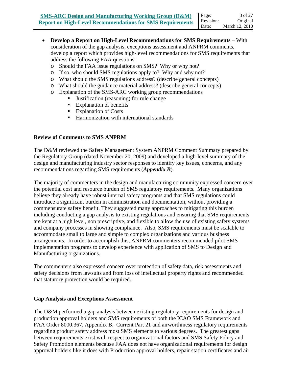- **Develop a Report on High-Level Recommendations for SMS Requirements** With consideration of the gap analysis, exceptions assessment and ANPRM comments, develop a report which provides high-level recommendations for SMS requirements that address the following FAA questions:
	- o Should the FAA issue regulations on SMS? Why or why not?
	- o If so, who should SMS regulations apply to? Why and why not?
	- o What should the SMS regulations address? (describe general concepts)
	- o What should the guidance material address? (describe general concepts)
	- o Explanation of the SMS-ARC working group recommendations
		- Justification (reasoning) for rule change
			- **Explanation of benefits**
			- Explanation of Costs
			- Harmonization with international standards

#### **Review of Comments to SMS ANPRM**

The D&M reviewed the Safety Management System ANPRM Comment Summary prepared by the Regulatory Group (dated November 20, 2009) and developed a high-level summary of the design and manufacturing industry sector responses to identify key issues, concerns, and any recommendations regarding SMS requirements (*Appendix B*).

The majority of commenters in the design and manufacturing community expressed concern over the potential cost and resource burden of SMS regulatory requirements. Many organizations believe they already have robust internal safety programs and that SMS regulations could introduce a significant burden in administration and documentation, without providing a commensurate safety benefit. They suggested many approaches to mitigating this burden including conducting a gap analysis to existing regulations and ensuring that SMS requirements are kept at a high level, non prescriptive, and flexible to allow the use of existing safety systems and company processes in showing compliance. Also, SMS requirements must be scalable to accommodate small to large and simple to complex organizations and various business arrangements. In order to accomplish this, ANPRM commenters recommended pilot SMS implementation programs to develop experience with application of SMS to Design and Manufacturing organizations.

The commenters also expressed concern over protection of safety data, risk assessments and safety decisions from lawsuits and from loss of intellectual property rights and recommended that statutory protection would be required.

#### **Gap Analysis and Exceptions Assessment**

The D&M performed a gap analysis between existing regulatory requirements for design and production approval holders and SMS requirements of both the ICAO SMS Framework and FAA Order 8000.367, Appendix B. Current Part 21 and airworthiness regulatory requirements regarding product safety address most SMS elements to various degrees. The greatest gaps between requirements exist with respect to organizational factors and SMS Safety Policy and Safety Promotion elements because FAA does not have organizational requirements for design approval holders like it does with Production approval holders, repair station certificates and air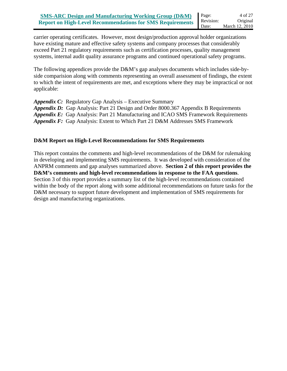carrier operating certificates. However, most design/production approval holder organizations have existing mature and effective safety systems and company processes that considerably exceed Part 21 regulatory requirements such as certification processes, quality management systems, internal audit quality assurance programs and continued operational safety programs.

The following appendices provide the D&M's gap analyses documents which includes side-byside comparision along with comments representing an overall assessment of findings, the extent to which the intent of requirements are met, and exceptions where they may be impractical or not applicable:

*Appendix C:* Regulatory Gap Analysis – Executive Summary

*Appendix D:* Gap Analysis: Part 21 Design and Order 8000.367 Appendix B Requirements *Appendix E:* Gap Analysis: Part 21 Manufacturing and ICAO SMS Framework Requirements *Appendix F:* Gap Analysis: Extent to Which Part 21 D&M Addresses SMS Framework

#### **D&M Report on High-Level Recommendations for SMS Requirements**

This report contains the comments and high-level recommendations of the D&M for rulemaking in developing and implementing SMS requirements. It was developed with consideration of the ANPRM comments and gap analyses summarized above. **Section 2 of this report provides the D&M's comments and high-level recommendations in response to the FAA questions**. Section 3 of this report provides a summary list of the high-level recommendations contained within the body of the report along with some additional recommendations on future tasks for the D&M necessary to support future development and implementation of SMS requirements for design and manufacturing organizations.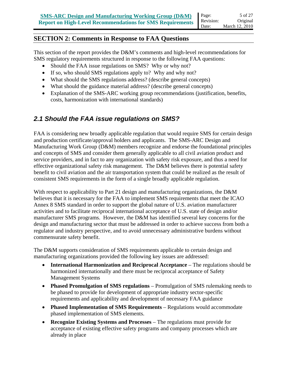### **SECTION 2: Comments in Response to FAA Questions**

This section of the report provides the D&M's comments and high-level recommendations for SMS regulatory requirements structured in response to the following FAA questions:

- Should the FAA issue regulations on SMS? Why or why not?
- If so, who should SMS regulations apply to? Why and why not?
- What should the SMS regulations address? (describe general concepts)
- What should the guidance material address? (describe general concepts)
- Explanation of the SMS-ARC working group recommendations (justification, benefits, costs, harmonization with international standards)

### *2.1 Should the FAA issue regulations on SMS?*

FAA is considering new broadly applicable regulation that would require SMS for certain design and production certificate/approval holders and applicants. The SMS-ARC Design and Manufacturing Work Group (D&M) members recognize and endorse the foundational principles and concepts of SMS and consider them generally applicable to all civil aviation product and service providers, and in fact to any organization with safety risk exposure, and thus a need for effective organizational safety risk management. The D&M believes there is potential safety benefit to civil aviation and the air transportation system that could be realized as the result of consistent SMS requirements in the form of a single broadly applicable regulation.

With respect to applicability to Part 21 design and manufacturing organizations, the D&M believes that it is necessary for the FAA to implement SMS requirements that meet the ICAO Annex 8 SMS standard in order to support the global nature of U.S. aviation manufacturer activities and to facilitate reciprocal international acceptance of U.S. state of design and/or manufacturer SMS programs. However, the D&M has identified several key concerns for the design and manufacturing sector that must be addressed in order to achieve success from both a regulator and industry perspective, and to avoid unnecessary administrative burdens without commensurate safety benefit.

The D&M supports consideration of SMS requirements applicable to certain design and manufacturing organizations provided the following key issues are addressed:

- **International Harmonization and Reciprocal Acceptance** The regulations should be harmonized internationally and there must be reciprocal acceptance of Safety Management Systems
- **Phased Promulgation of SMS regulations** Promulgation of SMS rulemaking needs to be phased to provide for development of appropriate industry sector-specific requirements and applicability and development of necessary FAA guidance
- **Phased Implementation of SMS Requirements** Regulations would accommodate phased implementation of SMS elements.
- **Recognize Existing Systems and Processes** The regulations must provide for acceptance of existing effective safety programs and company processes which are already in place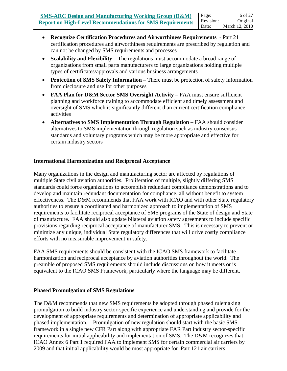- **Recognize Certification Procedures and Airworthiness Requirements**  Part 21 certification procedures and airworthiness requirements are prescribed by regulation and can not be changed by SMS requirements and processes
- **Scalability and Flexibility** The regulations must accommodate a broad range of organizations from small parts manufacturers to large organizations holding multiple types of certificates/approvals and various business arrangements
- **Protection of SMS Safety Information** There must be protection of safety information from disclosure and use for other purposes
- **FAA Plan for D&M Sector SMS Oversight Activity** FAA must ensure sufficient planning and workforce training to accommodate efficient and timely assessment and oversight of SMS which is significantly different than current certification compliance activities
- **Alternatives to SMS Implementation Through Regulation** FAA should consider alternatives to SMS implementation through regulation such as industry consensus standards and voluntary programs which may be more appropriate and effective for certain industry sectors

#### **International Harmonization and Reciprocal Acceptance**

Many organizations in the design and manufacturing sector are affected by regulations of multiple State civil aviation authorities. Proliferation of multiple, slightly differing SMS standards could force organizations to accomplish redundant compliance demonstrations and to develop and maintain redundant documentation for compliance, all without benefit to system effectiveness. The D&M recommends that FAA work with ICAO and with other State regulatory authorities to ensure a coordinated and harmonized approach to implementation of SMS requirements to facilitate reciprocal acceptance of SMS programs of the State of design and State of manufacture. FAA should also update bilateral aviation safety agreements to include specific provisions regarding reciprocal acceptance of manufacturer SMS. This is necessary to prevent or minimize any unique, individual State regulatory differences that will drive costly compliance efforts with no measurable improvement in safety.

FAA SMS requirements should be consistent with the ICAO SMS framework to facilitate harmonization and reciprocal acceptance by aviation authorities throughout the world. The preamble of proposed SMS requirements should include discussions on how it meets or is equivalent to the ICAO SMS Framework, particularly where the language may be different.

#### **Phased Promulgation of SMS Regulations**

The D&M recommends that new SMS requirements be adopted through phased rulemaking promulgation to build industry sector-specific experience and understanding and provide for the development of appropriate requirements and determination of appropriate applicability and phased implementation. Promulgation of new regulation should start with the basic SMS framework in a single new CFR Part along with appropriate FAR Part industry sector-specific requirements for initial applicability and implementation of SMS. The D&M recognizes that ICAO Annex 6 Part 1 required FAA to implement SMS for certain commercial air carriers by 2009 and that initial applicability would be most appropriate for Part 121 air carriers.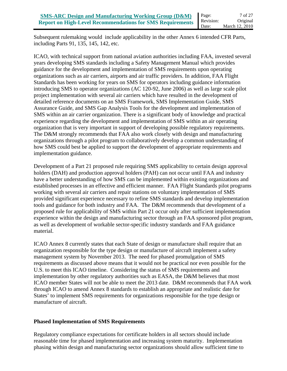Subsequent rulemaking would include applicability in the other Annex 6 intended CFR Parts, including Parts 91, 135, 145, 142, etc.

ICAO, with technical support from national aviation authorities including FAA, invested several years developing SMS standards including a Safety Management Manual which provides guidance for the development and implementation of SMS requirements upon operating organizations such as air carriers, airports and air traffic providers. In addition, FAA Flight Standards has been working for years on SMS for operators including guidance information introducing SMS to operator organizations (AC 120-92, June 2006) as well as large scale pilot project implementation with several air carriers which have resulted in the development of detailed reference documents on an SMS Framework, SMS Implementation Guide, SMS Assurance Guide, and SMS Gap Analysis Tools for the development and implementation of SMS within an air carrier organization. There is a significant body of knowledge and practical experience regarding the development and implementation of SMS within an air operating organization that is very important in support of developing possible regulatory requirements. The D&M strongly recommends that FAA also work closely with design and manufacturing organizations through a pilot program to collaboratively develop a common understanding of how SMS could best be applied to support the development of appropriate requirements and implementation guidance.

Development of a Part 21 proposed rule requiring SMS applicability to certain design approval holders (DAH) and production approval holders (PAH) can not occur until FAA and industry have a better understanding of how SMS can be implemented within existing organizations and established processes in an effective and efficient manner. FAA Flight Standards pilot programs working with several air carriers and repair stations on voluntary implementation of SMS provided significant experience necessary to refine SMS standards and develop implementation tools and guidance for both industry and FAA. The D&M recommends that development of a proposed rule for applicability of SMS within Part 21 occur only after sufficient implementation experience within the design and manufacturing sector through an FAA sponsored pilot program, as well as development of workable sector-specific industry standards and FAA guidance material.

ICAO Annex 8 currently states that each State of design or manufacture shall require that an organization responsible for the type design or manufacture of aircraft implement a safety management system by November 2013. The need for phased promulgation of SMS requirements as discussed above means that it would not be practical nor even possible for the U.S. to meet this ICAO timeline. Considering the status of SMS requirements and implementation by other regulatory authorities such as EASA, the D&M believes that most ICAO member States will not be able to meet the 2013 date. D&M recommends that FAA work through ICAO to amend Annex 8 standards to establish an appropriate and realistic date for States' to implement SMS requirements for organizations responsible for the type design or manufacture of aircraft.

#### **Phased Implementation of SMS Requirements**

Regulatory compliance expectations for certificate holders in all sectors should include reasonable time for phased implementation and increasing system maturity. Implementation phasing within design and manufacturing sector organizations should allow sufficient time to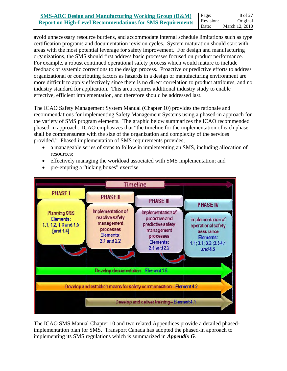avoid unnecessary resource burdens, and accommodate internal schedule limitations such as type certification programs and documentation revision cycles. System maturation should start with areas with the most potential leverage for safety improvement. For design and manufacturing organizations, the SMS should first address basic processes focused on product performance. For example, a robust continued operational safety process which would mature to include feedback of systemic corrections to the design process. Proactive or predictive efforts to address organizational or contributing factors as hazards in a design or manufacturing environment are more difficult to apply effectively since there is no direct correlation to product attributes, and no industry standard for application. This area requires additional industry study to enable effective, efficient implementation, and therefore should be addressed last.

The ICAO Safety Management System Manual (Chapter 10) provides the rationale and recommendations for implementing Safety Management Systems using a phased-in approach for the variety of SMS program elements. The graphic below summarizes the ICAO recommended phased-in approach. ICAO emphasizes that "the timeline for the implementation of each phase shall be commensurate with the size of the organization and complexity of the services provided." Phased implementation of SMS requirements provides;

- a manageable series of steps to follow in implementing an SMS, including allocation of resources;
- effectively managing the workload associated with SMS implementation; and



• pre-empting a "ticking boxes" exercise.

The ICAO SMS Manual Chapter 10 and two related Appendices provide a detailed phasedimplementation plan for SMS. Transport Canada has adopted the phased-in approach to implementing its SMS regulations which is summarized in *Appendix G*.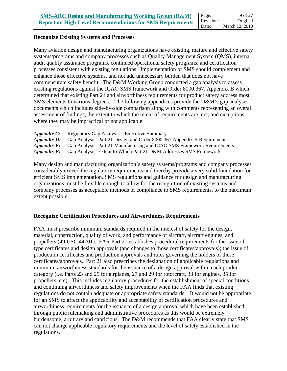#### **Recognize Existing Systems and Processes**

Many aviation design and manufacturing organizations have existing, mature and effective safety systems/programs and company processes such as Quality Management System (QMS), internal audit quality assurance programs, continued operational safety programs, and certification processes consistent with existing regulations. Implementation of SMS should complement and enhance those effective systems, and not add unnecessary burden that does not have commensurate safety benefit. The D&M Working Group conducted a gap analysis to assess existing regulations against the ICAO SMS framework and Order 8000.367, Appendix B which determined that existing Part 21 and airworthiness requirements for product safety address most SMS elements to various degrees. The following appendices provide the D&M's gap analyses documents which includes side-by-side comparison along with comments representing an overall assessment of findings, the extent to which the intent of requirements are met, and exceptions where they may be impractical or not applicable:

- *Appendix C:* Regulatory Gap Analysis Executive Summary
- *Appendix D:* Gap Analysis: Part 21 Design and Order 8000.367 Appendix B Requirements
- *Appendix E:* Gap Analysis: Part 21 Manufacturing and ICAO SMS Framework Requirements
- *Appendix F:* Gap Analysis: Extent to Which Part 21 D&M Addresses SMS Framework

Many design and manufacturing organization's safety systems/programs and company processes considerably exceed the regulatory requirements and thereby provide a very solid foundation for efficient SMS implementation. SMS regulations and guidance for design and manufacturing organizations must be flexible enough to allow for the recognition of existing systems and company processes as acceptable methods of compliance to SMS requirements, to the maximum extent possible.

#### **Recognize Certification Procedures and Airworthiness Requirements**

FAA must prescribe minimum standards required in the interest of safety for the design, material, construction, quality of work, and performance of aircraft, aircraft engines, and propellers (49 USC 44701). FAR Part 21 establishes procedural requirements for the issue of type certificates and design approvals (and changes to those certificates/approvals); the issue of production certificates and production approvals and rules governing the holders of these certificates/approvals. Part 21 also prescribes the designation of applicable regulations and minimum airworthiness standards for the issuance of a design approval within each product category (i.e. Parts 23 and 25 for airplanes, 27 and 29 for rotorcraft, 33 for engines, 35 for propellers, etc). This includes regulatory procedures for the establishment of special conditions and continuing airworthiness and safety improvements when the FAA finds that existing regulations do not contain adequate or appropriate safety standards. It would not be appropriate for an SMS to affect the applicability and acceptability of certification procedures and airworthiness requirements for the issuance of a design approval which have been established through public rulemaking and administrative procedures as this would be extremely burdensome, arbitrary and capricious. The D&M recommends that FAA clearly state that SMS can not change applicable regulatory requirements and the level of safety established in the regulations.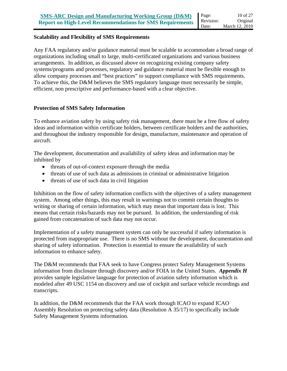#### **Scalability and Flexibility of SMS Requirements**

Any FAA regulatory and/or guidance material must be scalable to accommodate a broad range of organizations including small to large, multi-certificated organizations and various business arrangements. In addition, as discussed above on recognizing existing company safety systems/programs and processes, regulatory and guidance material must be flexible enough to allow company processes and "best practices" to support compliance with SMS requirements. To achieve this, the D&M believes the SMS regulatory language must necessarily be simple, efficient, non prescriptive and performance-based with a clear objective.

#### **Protection of SMS Safety Information**

To enhance aviation safety by using safety risk management, there must be a free flow of safety ideas and information within certificate holders, between certificate holders and the authorities, and throughout the industry responsible for design, manufacture, maintenance and operation of aircraft.

The development, documentation and availability of safety ideas and information may be inhibited by

- threats of out-of-context exposure through the media
- threats of use of such data as admissions in criminal or administrative litigation
- threats of use of such data in civil litigation

Inhibition on the flow of safety information conflicts with the objectives of a safety management system. Among other things, this may result in warnings not to commit certain thoughts to writing or sharing of certain information, which may mean that important data is lost. This means that certain risks/hazards may not be pursued. In addition, the understanding of risk gained from concatenation of such data may not occur.

Implementation of a safety management system can only be successful if safety information is protected from inappropriate use. There is no SMS without the development, documentation and sharing of safety information. Protection is essential to ensure the availability of such information to enhance safety.

The D&M recommends that FAA seek to have Congress protect Safety Management Systems information from disclosure through discovery and/or FOIA in the United States. *Appendix H* provides sample legislative language for protection of aviation safety information which is modeled after 49 USC 1154 on discovery and use of cockpit and surface vehicle recordings and transcripts.

In addition, the D&M recommends that the FAA work through ICAO to expand ICAO Assembly Resolution on protecting safety data (Resolution A 35/17) to specifically include Safety Management Systems information.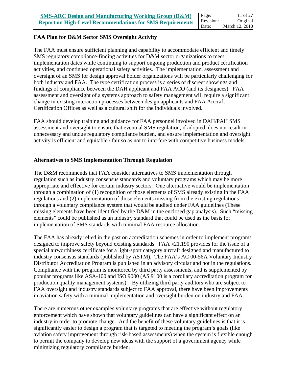#### **FAA Plan for D&M Sector SMS Oversight Activity**

The FAA must ensure sufficient planning and capability to accommodate efficient and timely SMS regulatory compliance-finding activities for D&M sector organizations to meet implementation dates while continuing to support ongoing production and product certification activities, and continued operational safety activities. The implementation, assessment and oversight of an SMS for design approval holder organizations will be particularly challenging for both industry and FAA. The type certification process is a series of discreet showings and findings of compliance between the DAH applicant and FAA ACO (and its designees). FAA assessment and oversight of a systems approach to safety management will require a significant change in existing interaction processes between design applicants and FAA Aircraft Certification Offices as well as a cultural shift for the individuals involved.

FAA should develop training and guidance for FAA personnel involved in DAH/PAH SMS assessment and oversight to ensure that eventual SMS regulation, if adopted, does not result in unnecessary and undue regulatory compliance burden, and ensure implementation and oversight activity is efficient and equitable / fair so as not to interfere with competitive business models.

#### **Alternatives to SMS Implementation Through Regulation**

The D&M recommends that FAA consider alternatives to SMS implementation through regulation such as industry consensus standards and voluntary programs which may be more appropriate and effective for certain industry sectors. One alternative would be implementation through a combination of (1) recognition of those elements of SMS already existing in the FAA regulations and (2) implementation of those elements missing from the existing regulations through a voluntary compliance system that would be audited under FAA guidelines (These missing elements have been identified by the D&M in the enclosed gap analysis). Such "missing elements" could be published as an industry standard that could be used as the basis for implementation of SMS standards with minimal FAA resource allocation.

The FAA has already relied in the past on accreditation schemes in order to implement programs designed to improve safety beyond existing standards. FAA §21.190 provides for the issue of a special airworthiness certificate for a light-sport category aircraft designed and manufactured to industry consensus standards (published by ASTM). The FAA's AC 00-56A Voluntary Industry Distributor Accreditation Program is published in an advisory circular and not in the regulations. Compliance with the program is monitored by third party assessments, and is supplemented by popular programs like ASA-100 and ISO 9000 (AS 9100 is a corollary accreditation program for production quality management systems). By utilizing third party auditors who are subject to FAA oversight and industry standards subject to FAA approval, there have been improvements in aviation safety with a minimal implementation and oversight burden on industry and FAA.

There are numerous other examples voluntary programs that are effective without regulatory enforcement which have shown that voluntary guidelines can have a significant effect on an industry in order to promote change. And the benefit of these voluntary guidelines is that it is significantly easier to design a program that is targeted to meeting the program's goals (like aviation safety improvement through risk-based assessments) when the system is flexible enough to permit the company to develop new ideas with the support of a government agency while minimizing regulatory compliance burden.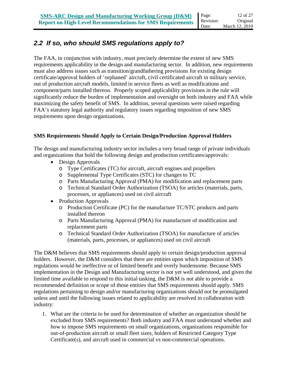## *2.2 If so, who should SMS regulations apply to?*

The FAA, in conjunction with industry, must precisely determine the extent of new SMS requirements applicability in the design and manufacturing sector. In addition, new requirements must also address issues such as transition/grandfathering provisions for existing design certificate/approval holders of 'orphaned' aircraft, civil certificated aircraft in military service, out of production aircraft models, limited in service fleets as well as modifications and component/parts installed thereon. Properly scoped applicability provisions in the rule will significantly reduce the burden of implementation and oversight on both industry and FAA while maximizing the safety benefit of SMS. In addition, several questions were raised regarding FAA's statutory legal authority and regulatory issues regarding imposition of new SMS requirements upon design organizations.

#### **SMS Requirements Should Apply to Certain Design/Production Approval Holders**

The design and manufacturing industry sector includes a very broad range of private individuals and organizations that hold the following design and production certificates/approvals:

- Design Approvals
	- o Type Certificates (TC) for aircraft, aircraft engines and propellers
	- o Supplemental Type Certificates (STC) for changes to TC
	- o Parts Manufacturing Approval (PMA) for modification and replacement parts
	- o Technical Standard Order Authorization (TSOA) for articles (materials, parts, processes, or appliances) used on civil aircraft
- Production Approvals
	- o Production Certificate (PC) for the manufacture TC/STC products and parts installed thereon
	- o Parts Manufacturing Approval (PMA) for manufacture of modification and replacement parts
	- o Technical Standard Order Authorization (TSOA) for manufacture of articles (materials, parts, processes, or appliances) used on civil aircraft

The D&M believes that SMS requirements should apply to certain design/production approval holders. However, the D&M considers that there are entities upon which imposition of SMS regulations would be ineffective or of limited benefit and overly burdensome. Because SMS implementation in the Design and Manufacturing sector is not yet well understood, and given the limited time available to respond to this initial tasking, the D&M is not able to provide a recommended definition or scope of those entities that SMS requirements should apply. SMS regulations pertaining to design and/or manufacturing organizations should not be promulgated unless and until the following issues related to applicability are resolved in collaboration with industry:

1. What are the criteria to be used for determination of whether an organization should be excluded from SMS requirements? Both industry and FAA must understand whether and how to impose SMS requirements on small organizations, organizations responsible for out-of-production aircraft or small fleet sizes, holders of Restricted Category Type Certificate(s), and aircraft used in commercial vs non-commercial operations.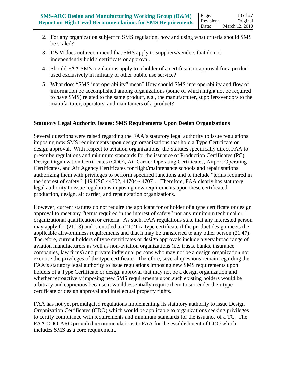- 2. For any organization subject to SMS regulation, how and using what criteria should SMS be scaled?
- 3. D&M does not recommend that SMS apply to suppliers/vendors that do not independently hold a certificate or approval.
- 4. Should FAA SMS regulations apply to a holder of a certificate or approval for a product used exclusively in military or other public use service?
- 5. What does "SMS interoperability" mean? How should SMS interoperability and flow of information be accomplished among organizations (some of which might not be required to have SMS) related to the same product, e.g., the manufacturer, suppliers/vendors to the manufacturer, operators, and maintainers of a product?

#### **Statutory Legal Authority Issues: SMS Requirements Upon Design Organizations**

Several questions were raised regarding the FAA's statutory legal authority to issue regulations imposing new SMS requirements upon design organizations that hold a Type Certificate or design approval. With respect to aviation organizations, the Statutes specifically direct FAA to prescribe regulations and minimum standards for the issuance of Production Certificates (PC), Design Organization Certificates (CDO), Air Carrier Operating Certificates, Airport Operating Certificates, and Air Agency Certificates for flight/maintenance schools and repair stations authorizing them with privileges to perform specified functions and to include "terms required in the interest of safety" [49 USC 44702, 44704-44707]. Therefore, FAA clearly has statutory legal authority to issue regulations imposing new requirements upon these certificated production, design, air carrier, and repair station organizations.

However, current statutes do not require the applicant for or holder of a type certificate or design approval to meet any "terms required in the interest of safety" nor any minimum technical or organizational qualification or criteria. As such, FAA regulations state that any interested person may apply for (21.13) and is entitled to (21.21) a type certificate if the product design meets the applicable airworthiness requirements and that it may be transferred to any other person (21.47). Therefore, current holders of type certificates or design approvals include a very broad range of aviation manufacturers as well as non-aviation organizations (i.e. trusts, banks, insurance companies, law firms) and private individual persons who may not be a design organization nor exercise the privileges of the type certificate. Therefore, several questions remain regarding the FAA's statutory legal authority to issue regulations imposing new SMS requirements upon holders of a Type Certificate or design approval that may not be a design organization and whether retroactively imposing new SMS requirements upon such existing holders would be arbitrary and capricious because it would essentially require them to surrender their type certificate or design approval and intellectual property rights.

FAA has not yet promulgated regulations implementing its statutory authority to issue Design Organization Certificates (CDO) which would be applicable to organizations seeking privileges to certify compliance with requirements and minimum standards for the issuance of a TC. The FAA CDO-ARC provided recommendations to FAA for the establishment of CDO which includes SMS as a core requirement.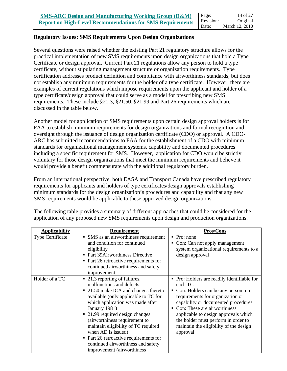#### **Regulatory Issues: SMS Requirements Upon Design Organizations**

Several questions were raised whether the existing Part 21 regulatory structure allows for the practical implementation of new SMS requirements upon design organizations that hold a Type Certificate or design approval. Current Part 21 regulations allow any person to hold a type certificate, without stipulating management structure or organization requirements. Type certification addresses product definition and compliance with airworthiness standards, but does not establish any minimum requirements for the holder of a type certificate. However, there are examples of current regulations which impose requirements upon the applicant and holder of a type certificate/design approval that could serve as a model for prescribing new SMS requirements. These include §21.3, §21.50, §21.99 and Part 26 requirements which are discussed in the table below.

Another model for application of SMS requirements upon certain design approval holders is for FAA to establish minimum requirements for design organizations and formal recognition and oversight through the issuance of design organization certificate (CDO) or approval. A CDO-ARC has submitted recommendations to FAA for the establishment of a CDO with minimum standards for organizational management systems, capability and documented procedures including a specific requirement for SMS. However, application for CDO would be strictly voluntary for those design organizations that meet the minimum requirements and believe it would provide a benefit commensurate with the additional regulatory burden.

From an international perspective, both EASA and Transport Canada have prescribed regulatory requirements for applicants and holders of type certificates/design approvals establishing minimum standards for the design organization's procedures and capability and that any new SMS requirements would be applicable to these approved design organizations.

| <b>Applicability</b> | <b>Requirement</b>                                                                                                                                                                                                                                                                                                                                                                                                                                | <b>Pros/Cons</b>                                                                                                                                                                                                                                                                                                                           |
|----------------------|---------------------------------------------------------------------------------------------------------------------------------------------------------------------------------------------------------------------------------------------------------------------------------------------------------------------------------------------------------------------------------------------------------------------------------------------------|--------------------------------------------------------------------------------------------------------------------------------------------------------------------------------------------------------------------------------------------------------------------------------------------------------------------------------------------|
| Type Certificate     | • SMS as an airworthiness requirement<br>and condition for continued<br>eligibility<br>• Part 39Airworthiness Directive<br>$\blacksquare$ Part 26 retroactive requirements for<br>continued airworthiness and safety<br>improvement                                                                                                                                                                                                               | $\blacksquare$ Pro: none<br>Con: Can not apply management<br>system organizational requirements to a<br>design approval                                                                                                                                                                                                                    |
| Holder of a TC       | ■ 21.3 reporting of failures,<br>malfunctions and defects<br>■ 21.50 make ICA and changes thereto<br>available (only applicable to TC for<br>which application was made after<br>January 1981)<br>• 21.99 required design changes<br>(airworthiness requirement to<br>maintain eligibility of TC required<br>when AD is issued)<br>Part 26 retroactive requirements for<br>٠<br>continued airworthiness and safety<br>improvement (airworthiness) | Pro: Holders are readily identifiable for<br>each TC<br>Con: Holders can be any person, no<br>requirements for organization or<br>capability or documented procedures<br>Con: These are airworthiness<br>applicable to design approvals which<br>the holder must perform in order to<br>maintain the eligibility of the design<br>approval |

The following table provides a summary of different approaches that could be considered for the application of any proposed new SMS requirements upon design and production organizations.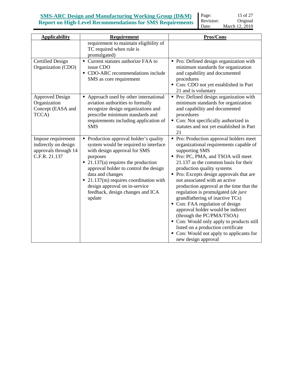### **SMS-ARC Design and Manufacturing Working Group (D&M) Report on High-Level Recommendations for SMS Requirements**

Page: Revision: Date: 15 of 27 Original March 12, 2010

| <b>Applicability</b>                                                                | Requirement                                                                                                                                                                                                                                                                                                                                                                        | Pros/Cons                                                                                                                                                                                                                                                                                                                                                                                                                                                                                                                                                                                                                                                                  |
|-------------------------------------------------------------------------------------|------------------------------------------------------------------------------------------------------------------------------------------------------------------------------------------------------------------------------------------------------------------------------------------------------------------------------------------------------------------------------------|----------------------------------------------------------------------------------------------------------------------------------------------------------------------------------------------------------------------------------------------------------------------------------------------------------------------------------------------------------------------------------------------------------------------------------------------------------------------------------------------------------------------------------------------------------------------------------------------------------------------------------------------------------------------------|
|                                                                                     | requirement to maintain eligibility of<br>TC required when rule is<br>promulgated)                                                                                                                                                                                                                                                                                                 |                                                                                                                                                                                                                                                                                                                                                                                                                                                                                                                                                                                                                                                                            |
| <b>Certified Design</b><br>Organization (CDO)                                       | • Current statutes authorize FAA to<br>issue CDO<br>• CDO-ARC recommendations include<br>SMS as core requirement                                                                                                                                                                                                                                                                   | • Pro: Defined design organization with<br>minimum standards for organization<br>and capability and documented<br>procedures<br>Con: CDO not yet established in Part<br>21 and is voluntary                                                                                                                                                                                                                                                                                                                                                                                                                                                                                |
| <b>Approved Design</b><br>Organization<br>Concept (EASA and<br>TCCA)                | • Approach used by other international<br>aviation authorities to formally<br>recognize design organizations and<br>prescribe minimum standards and<br>requirements including application of<br><b>SMS</b>                                                                                                                                                                         | • Pro: Defined design organization with<br>minimum standards for organization<br>and capability and documented<br>procedures<br>• Con: Not specifically authorized in<br>statutes and not yet established in Part<br>21                                                                                                                                                                                                                                                                                                                                                                                                                                                    |
| Impose requirement<br>indirectly on design<br>approvals through 14<br>C.F.R. 21.137 | • Production approval holder's quality<br>system would be required to interface<br>with design approval for SMS<br>purposes<br>$\blacksquare$ 21.137(a) requires the production<br>approval holder to control the design<br>data and changes<br>$\blacksquare$ 21.137(m) requires coordination with<br>design approval on in-service<br>feedback, design changes and ICA<br>update | • Pro: Production approval holders meet<br>organizational requirements capable of<br>supporting SMS<br>• Pro: PC, PMA, and TSOA will meet<br>21.137 as the common basis for their<br>production quality systems<br>• Pro: Excepts design approvals that are<br>not associated with an active<br>production approval at the time that the<br>regulation is promulgated (de jure<br>grandfathering of inactive TCs)<br>Con: FAA regulation of design<br>approval holder would be indirect<br>(through the PC/PMA/TSOA)<br>• Con: Would only apply to products still<br>listed on a production certificate<br>• Con: Would not apply to applicants for<br>new design approval |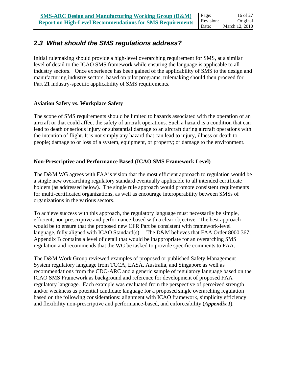### *2.3 What should the SMS regulations address?*

Initial rulemaking should provide a high-level overarching requirement for SMS, at a similar level of detail to the ICAO SMS framework while ensuring the language is applicable to all industry sectors. Once experience has been gained of the applicability of SMS to the design and manufacturing industry sectors, based on pilot programs, rulemaking should then proceed for Part 21 industry-specific applicability of SMS requirements.

#### **Aviation Safety vs. Workplace Safety**

The scope of SMS requirements should be limited to hazards associated with the operation of an aircraft or that could affect the safety of aircraft operations. Such a hazard is a condition that can lead to death or serious injury or substantial damage to an aircraft during aircraft operations with the intention of flight. It is not simply any hazard that can lead to injury, illness or death to people; damage to or loss of a system, equipment, or property; or damage to the environment.

#### **Non-Prescriptive and Performance Based (ICAO SMS Framework Level)**

The D&M WG agrees with FAA's vision that the most efficient approach to regulation would be a single new overarching regulatory standard eventually applicable to all intended certificate holders (as addressed below). The single rule approach would promote consistent requirements for multi-certificated organizations, as well as encourage interoperability between SMSs of organizations in the various sectors.

To achieve success with this approach, the regulatory language must necessarily be simple, efficient, non prescriptive and performance-based with a clear objective. The best approach would be to ensure that the proposed new CFR Part be consistent with framework-level language, fully aligned with ICAO Standard(s). The D&M believes that FAA Order 8000.367, Appendix B contains a level of detail that would be inappropriate for an overarching SMS regulation and recommends that the WG be tasked to provide specific comments to FAA.

The D&M Work Group reviewed examples of proposed or published Safety Management System regulatory language from TCCA, EASA, Australia, and Singapore as well as recommendations from the CDO-ARC and a generic sample of regulatory language based on the ICAO SMS Framework as background and reference for development of proposed FAA regulatory language. Each example was evaluated from the perspective of perceived strength and/or weakness as potential candidate language for a proposed single overarching regulation based on the following considerations: alignment with ICAO framework, simplicity efficiency and flexibility non-prescriptive and performance-based, and enforceability (*Appendix I*).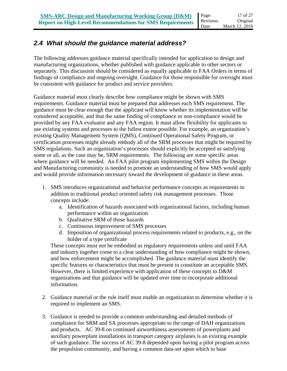### *2.4 What should the guidance material address?*

The following addresses guidance material specifically intended for application to design and manufacturing organizations, whether published with guidance applicable to other sectors or separately. This discussion should be considered as equally applicable to FAA Orders in terms of findings of compliance and ongoing oversight. Guidance for those responsible for oversight must be consistent with guidance for product and service providers.

Guidance material must clearly describe how compliance might be shown with SMS requirements. Guidance material must be prepared that addresses each SMS requirement. The guidance must be clear enough that the applicant will know whether its implementation will be considered acceptable, and that the same finding of compliance or non-compliance would be provided by any FAA evaluator and any FAA region. It must allow flexibility for applicants to use existing systems and processes to the fullest extent possible. For example, an organization's existing Quality Management System (QMS), Continued Operational Safety Program, or certification processes might already embody all of the SRM processes that might be required by SMS regulations. Such an organization's processes should explicitly be accepted as satisfying some or all, as the case may be, SRM requirements. The following are some specific areas where guidance will be needed. An FAA pilot program implementing SMS within the Design and Manufacturing community is needed to promote an understanding of how SMS would apply and would provide information necessary toward the development of guidance in these areas.

- 1. SMS introduces organizational and behavior performance concepts as requirements in addition to traditional product oriented safety risk management processes. Those concepts include:
	- a. Identification of hazards associated with organizational factors, including human performance within an organization
	- b. Qualitative SRM of those hazards
	- c. Continuous improvement of SMS processes
	- d. Imposition of organizational process requirements related to products, e.g., on the holder of a type certificate

These concepts must not be embodied as regulatory requirements unless and until FAA and industry together come to a clear understanding of how compliance might be shown, and how enforcement might be accomplished. The guidance material must identify the specific features or characteristics that must be present to constitute an acceptable SMS. However, there is limited experience with application of these concepts to D&M organizations and that guidance will be updated over time to incorporate additional information.

- 2. Guidance material or the rule itself must enable an organization to determine whether it is required to implement an SMS.
- 3. Guidance is needed to provide a common understanding and detailed methods of compliance for SRM and SA processes appropriate to the range of DAH organizations and products. AC 39-8 on continued airworthiness assessments of powerplants and auxiliary powerplant installations in transport category airplanes is an existing example of such guidance. The success of AC 39-8 depended upon having a pilot program across the propulsion community, and having a common data-set upon which to base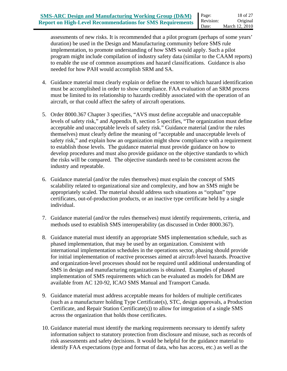assessments of new risks. It is recommended that a pilot program (perhaps of some years' duration) be used in the Design and Manufacturing community before SMS rule implementation, to promote understanding of how SMS would apply. Such a pilot program might include compilation of industry safety data (similar to the CAAM reports) to enable the use of common assumptions and hazard classifications. Guidance is also needed for how PAH would accomplish SRM and SA.

- 4. Guidance material must clearly explain or define the extent to which hazard identification must be accomplished in order to show compliance. FAA evaluation of an SRM process must be limited to its relationship to hazards credibly associated with the operation of an aircraft, or that could affect the safety of aircraft operations.
- 5. Order 8000.367 Chapter 3 specifies, "AVS must define acceptable and unacceptable levels of safety risk," and Appendix B, section 5 specifies, "The organization must define acceptable and unacceptable levels of safety risk." Guidance material (and/or the rules themselves) must clearly define the meaning of "acceptable and unacceptable levels of safety risk," and explain how an organization might show compliance with a requirement to establish those levels. The guidance material must provide guidance on how to develop procedures and must also provide guidance on the objective standards to which the risks will be compared. The objective standards need to be consistent across the industry and repeatable.
- 6. Guidance material (and/or the rules themselves) must explain the concept of SMS scalability related to organizational size and complexity, and how an SMS might be appropriately scaled. The material should address such situations as "orphan" type certificates, out-of-production products, or an inactive type certificate held by a single individual.
- 7. Guidance material (and/or the rules themselves) must identify requirements, criteria, and methods used to establish SMS interoperability (as discussed in Order 8000.367).
- 8. Guidance material must identify an appropriate SMS implementation schedule, such as phased implementation, that may be used by an organization. Consistent with international implementation schedules in the operations sector, phasing should provide for initial implementation of reactive processes aimed at aircraft-level hazards. Proactive and organization-level processes should not be required until additional understanding of SMS in design and manufacturing organizations is obtained. Examples of phased implementation of SMS requirements which can be evaluated as models for D&M are available from AC 120-92, ICAO SMS Manual and Transport Canada.
- 9. Guidance material must address acceptable means for holders of multiple certificates (such as a manufacturer holding Type Certificate(s), STC, design approvals, a Production Certificate, and Repair Station Certificate(s)) to allow for integration of a single SMS across the organization that holds those certificates.
- 10. Guidance material must identify the marking requirements necessary to identify safety information subject to statutory protection from disclosure and misuse, such as records of risk assessments and safety decisions. It would be helpful for the guidance material to identify FAA expectations (type and format of data, who has access, etc.) as well as the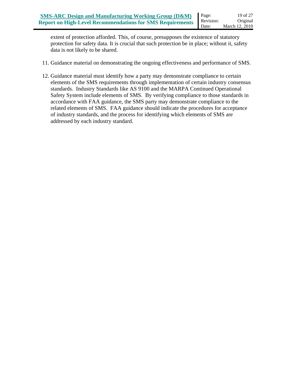extent of protection afforded. This, of course, presupposes the existence of statutory protection for safety data. It is crucial that such protection be in place; without it, safety data is not likely to be shared.

- 11. Guidance material on demonstrating the ongoing effectiveness and performance of SMS.
- 12. Guidance material must identify how a party may demonstrate compliance to certain elements of the SMS requirements through implementation of certain industry consensus standards. Industry Standards like AS 9100 and the MARPA Continued Operational Safety System include elements of SMS. By verifying compliance to those standards in accordance with FAA guidance, the SMS party may demonstrate compliance to the related elements of SMS. FAA guidance should indicate the procedures for acceptance of industry standards, and the process for identifying which elements of SMS are addressed by each industry standard.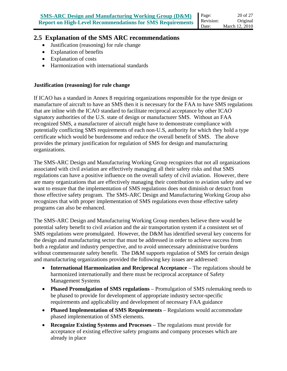#### **2.5 Explanation of the SMS ARC recommendations**

- Justification (reasoning) for rule change
- Explanation of benefits
- Explanation of costs
- Harmonization with international standards

#### **Justification (reasoning) for rule change**

If ICAO has a standard in Annex 8 requiring organizations responsible for the type design or manufacture of aircraft to have an SMS then it is necessary for the FAA to have SMS regulations that are inline with the ICAO standard to facilitate reciprocal acceptance by other ICAO signatory authorities of the U.S. state of design or manufacturer SMS. Without an FAA recognized SMS, a manufacturer of aircraft might have to demonstrate compliance with potentially conflicting SMS requirements of each non-U.S, authority for which they hold a type certificate which would be burdensome and reduce the overall benefit of SMS. The above provides the primary justification for regulation of SMS for design and manufacturing organizations.

The SMS-ARC Design and Manufacturing Working Group recognizes that not all organizations associated with civil aviation are effectively managing all their safety risks and that SMS regulations can have a positive influence on the overall safety of civil aviation. However, there are many organizations that are effectively managing their contribution to aviation safety and we want to ensure that the implementation of SMS regulations does not diminish or detract from those effective safety program. The SMS-ARC Design and Manufacturing Working Group also recognizes that with proper implementation of SMS regulations even those effective safety programs can also be enhanced.

The SMS-ARC Design and Manufacturing Working Group members believe there would be potential safety benefit to civil aviation and the air transportation system if a consistent set of SMS regulations were promulgated. However, the D&M has identified several key concerns for the design and manufacturing sector that must be addressed in order to achieve success from both a regulator and industry perspective, and to avoid unnecessary administrative burdens without commensurate safety benefit. The D&M supports regulation of SMS for certain design and manufacturing organizations provided the following key issues are addressed:

- **International Harmonization and Reciprocal Acceptance** The regulations should be harmonized internationally and there must be reciprocal acceptance of Safety Management Systems
- **Phased Promulgation of SMS regulations** Promulgation of SMS rulemaking needs to be phased to provide for development of appropriate industry sector-specific requirements and applicability and development of necessary FAA guidance
- **Phased Implementation of SMS Requirements** Regulations would accommodate phased implementation of SMS elements.
- **Recognize Existing Systems and Processes** The regulations must provide for acceptance of existing effective safety programs and company processes which are already in place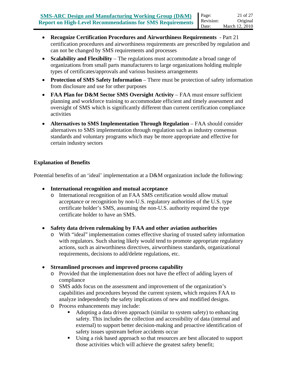- **Scalability and Flexibility** The regulations must accommodate a broad range of organizations from small parts manufacturers to large organizations holding multiple types of certificates/approvals and various business arrangements
- **Protection of SMS Safety Information** There must be protection of safety information from disclosure and use for other purposes
- **FAA Plan for D&M Sector SMS Oversight Activity** FAA must ensure sufficient planning and workforce training to accommodate efficient and timely assessment and oversight of SMS which is significantly different than current certification compliance activities
- **Alternatives to SMS Implementation Through Regulation** FAA should consider alternatives to SMS implementation through regulation such as industry consensus standards and voluntary programs which may be more appropriate and effective for certain industry sectors

#### **Explanation of Benefits**

Potential benefits of an 'ideal' implementation at a D&M organization include the following:

- **International recognition and mutual acceptance** 
	- o International recognition of an FAA SMS certification would allow mutual acceptance or recognition by non-U.S. regulatory authorities of the U.S. type certificate holder's SMS, assuming the non-U.S. authority required the type certificate holder to have an SMS.
- **Safety data driven rulemaking by FAA and other aviation authorities** 
	- o With "ideal" implementation comes effective sharing of trusted safety information with regulators. Such sharing likely would tend to promote appropriate regulatory actions, such as airworthiness directives, airworthiness standards, organizational requirements, decisions to add/delete regulations, etc.
- **Streamlined processes and improved process capability** 
	- o Provided that the implementation does not have the effect of adding layers of compliance
	- o SMS adds focus on the assessment and improvement of the organization's capabilities and procedures beyond the current system, which requires FAA to analyze independently the safety implications of new and modified designs.
	- o Process enhancements may include:
		- Adopting a data driven approach (similar to system safety) to enhancing safety. This includes the collection and accessibility of data (internal and external) to support better decision-making and proactive identification of safety issues upstream before accidents occur
		- Using a risk based approach so that resources are best allocated to support those activities which will achieve the greatest safety benefit;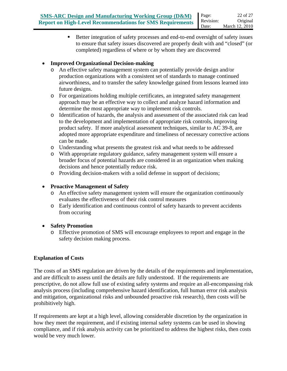Better integration of safety processes and end-to-end oversight of safety issues to ensure that safety issues discovered are properly dealt with and "closed" (or completed) regardless of where or by whom they are discovered

### • **Improved Organizational Decision-making**

- o An effective safety management system can potentially provide design and/or production organizations with a consistent set of standards to manage continued airworthiness, and to transfer the safety knowledge gained from lessons learned into future designs.
- o For organizations holding multiple certificates, an integrated safety management approach may be an effective way to collect and analyze hazard information and determine the most appropriate way to implement risk controls.
- o Identification of hazards, the analysis and assessment of the associated risk can lead to the development and implementation of appropriate risk controls, improving product safety. If more analytical assessment techniques, similar to AC 39-8, are adopted more appropriate expenditure and timeliness of necessary corrective actions can be made.
- o Understanding what presents the greatest risk and what needs to be addressed
- o With appropriate regulatory guidance, safety management system will ensure a broader focus of potential hazards are considered in an organization when making decisions and hence potentially reduce risk.
- o Providing decision-makers with a solid defense in support of decisions;

### • **Proactive Management of Safety**

- o An effective safety management system will ensure the organization continuously evaluates the effectiveness of their risk control measures
- o Early identification and continuous control of safety hazards to prevent accidents from occuring

### • **Safety Promotion**

o Effective promotion of SMS will encourage employees to report and engage in the safety decision making process.

### **Explanation of Costs**

The costs of an SMS regulation are driven by the details of the requirements and implementation, and are difficult to assess until the details are fully understood. If the requirements are prescriptive, do not allow full use of existing safety systems and require an all-encompassing risk analysis process (including comprehensive hazard identification, full human error risk analysis and mitigation, organizational risks and unbounded proactive risk research), then costs will be prohibitively high.

If requirements are kept at a high level, allowing considerable discretion by the organization in how they meet the requirement, and if existing internal safety systems can be used in showing compliance, and if risk analysis activity can be prioritized to address the highest risks, then costs would be very much lower.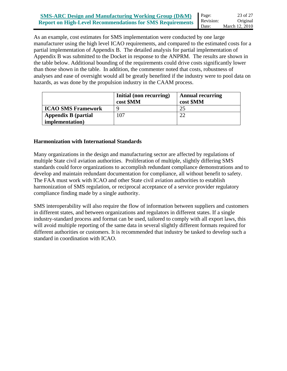As an example, cost estimates for SMS implementation were conducted by one large manufacturer using the high level ICAO requirements, and compared to the estimated costs for a partial implementation of Appendix B. The detailed analysis for partial implementation of Appendix B was submitted to the Docket in response to the ANPRM. The results are shown in the table below. Additional bounding of the requirements could drive costs significantly lower than those shown in the table. In addition, the commenter noted that costs, robustness of analyses and ease of oversight would all be greatly benefited if the industry were to pool data on hazards, as was done by the propulsion industry in the CAAM process.

|                            | Initial (non recurring)<br>cost \$MM | <b>Annual recurring</b><br>cost \$MM |
|----------------------------|--------------------------------------|--------------------------------------|
| <b>ICAO SMS Framework</b>  | Q                                    | 25                                   |
| <b>Appendix B</b> (partial | 107                                  | ാ                                    |
| <i>implementation</i> )    |                                      |                                      |

#### **Harmonization with International Standards**

Many organizations in the design and manufacturing sector are affected by regulations of multiple State civil aviation authorities. Proliferation of multiple, slightly differing SMS standards could force organizations to accomplish redundant compliance demonstrations and to develop and maintain redundant documentation for compliance, all without benefit to safety. The FAA must work with ICAO and other State civil aviation authorities to establish harmonization of SMS regulation, or reciprocal acceptance of a service provider regulatory compliance finding made by a single authority.

SMS interoperability will also require the flow of information between suppliers and customers in different states, and between organizations and regulators in different states. If a single industry-standard process and format can be used, tailored to comply with all export laws, this will avoid multiple reporting of the same data in several slightly different formats required for different authorities or customers. It is recommended that industry be tasked to develop such a standard in coordination with ICAO.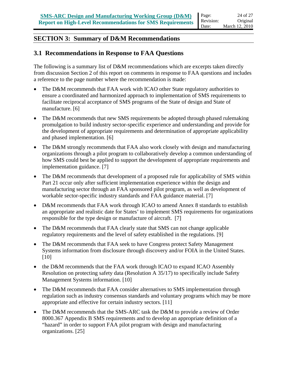### **SECTION 3: Summary of D&M Recommendations**

### **3.1 Recommendations in Response to FAA Questions**

The following is a summary list of D&M recommendations which are excerpts taken directly from discussion Section 2 of this report on comments in response to FAA questions and includes a reference to the page number where the recommendation is made:

- The D&M recommends that FAA work with ICAO other State regulatory authorities to ensure a coordinated and harmonized approach to implementation of SMS requirements to facilitate reciprocal acceptance of SMS programs of the State of design and State of manufacture. [6]
- The D&M recommends that new SMS requirements be adopted through phased rulemaking promulgation to build industry sector-specific experience and understanding and provide for the development of appropriate requirements and determination of appropriate applicability and phased implementation. [6]
- The D&M strongly recommends that FAA also work closely with design and manufacturing organizations through a pilot program to collaboratively develop a common understanding of how SMS could best be applied to support the development of appropriate requirements and implementation guidance. [7]
- The D&M recommends that development of a proposed rule for applicability of SMS within Part 21 occur only after sufficient implementation experience within the design and manufacturing sector through an FAA sponsored pilot program, as well as development of workable sector-specific industry standards and FAA guidance material. [7]
- D&M recommends that FAA work through ICAO to amend Annex 8 standards to establish an appropriate and realistic date for States' to implement SMS requirements for organizations responsible for the type design or manufacture of aircraft. [7]
- The D&M recommends that FAA clearly state that SMS can not change applicable regulatory requirements and the level of safety established in the regulations. [9]
- The D&M recommends that FAA seek to have Congress protect Safety Management Systems information from disclosure through discovery and/or FOIA in the United States. [10]
- the D&M recommends that the FAA work through ICAO to expand ICAO Assembly Resolution on protecting safety data (Resolution A 35/17) to specifically include Safety Management Systems information. [10]
- The D&M recommends that FAA consider alternatives to SMS implementation through regulation such as industry consensus standards and voluntary programs which may be more appropriate and effective for certain industry sectors. [11]
- The D&M recommends that the SMS-ARC task the D&M to provide a review of Order 8000.367 Appendix B SMS requirements and to develop an appropriate definition of a "hazard" in order to support FAA pilot program with design and manufacturing organizations. [25]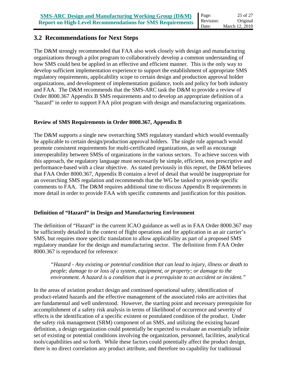### **3.2 Recommendations for Next Steps**

The D&M strongly recommended that FAA also work closely with design and manufacturing organizations through a pilot program to collaboratively develop a common understanding of how SMS could best be applied in an effective and efficient manner. This is the only way to develop sufficient implementation experience to support the establishment of appropriate SMS regulatory requirements, applicability scope to certain design and production approval holder organizations, and development of implementation guidance, tools and policy for both industry and FAA. The D&M recommends that the SMS-ARC task the D&M to provide a review of Order 8000.367 Appendix B SMS requirements and to develop an appropriate definition of a "hazard" in order to support FAA pilot program with design and manufacturing organizations.

#### **Review of SMS Requirements in Order 8000.367, Appendix B**

The D&M supports a single new overarching SMS regulatory standard which would eventually be applicable to certain design/production approval holders. The single rule approach would promote consistent requirements for multi-certificated organizations, as well as encourage interoperability between SMSs of organizations in the various sectors. To achieve success with this approach, the regulatory language must necessarily be simple, efficient, non prescriptive and performance-based with a clear objective. As stated previously in this report, the D&M believes that FAA Order 8000.367, Appendix B contains a level of detail that would be inappropriate for an overarching SMS regulation and recommends that the WG be tasked to provide specific comments to FAA. The D&M requires additional time to discuss Appendix B requirements in more detail in order to provide FAA with specific comments and justification for this position.

#### **Definition of "Hazard" in Design and Manufacturing Environment**

The definition of "Hazard" in the current ICAO guidance as well as in FAA Order 8000.367 may be sufficiently detailed in the context of flight operations and for application in an air carrier's SMS, but requires more specific translation to allow applicability as part of a proposed SMS regulatory mandate for the design and manufacturing sector. The definition from FAA Order 8000.367 is reproduced for reference:

*"Hazard - Any existing or potential condition that can lead to injury, illness or death to people; damage to or loss of a system, equipment, or property; or damage to the environment. A hazard is a condition that is a prerequisite to an accident or incident."*

In the areas of aviation product design and continued operational safety, identification of product-related hazards and the effective management of the associated risks are activities that are fundamental and well understood. However, the starting point and necessary prerequisite for accomplishment of a safety risk analysis in terms of likelihood of occurrence and severity of effects is the identification of a specific existent or postulated condition of the product. Under the safety risk management (SRM) component of an SMS, and utilizing the existing hazard definition, a design organization could potentially be expected to evaluate an essentially infinite set of existing or potential conditions involving the organization, personnel, facilities, analytical tools/capabilities and so forth. While these factors could potentially affect the product design, there is no direct correlation any product attribute, and therefore no capability for traditional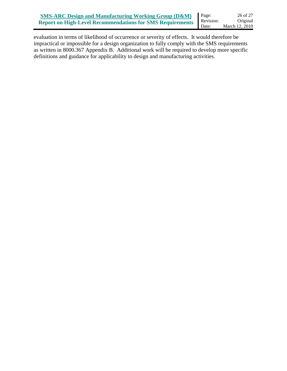evaluation in terms of likelihood of occurrence or severity of effects. It would therefore be impractical or impossible for a design organization to fully comply with the SMS requirements as written in 8000.367 Appendix B. Additional work will be required to develop more specific definitions and guidance for applicability to design and manufacturing activities.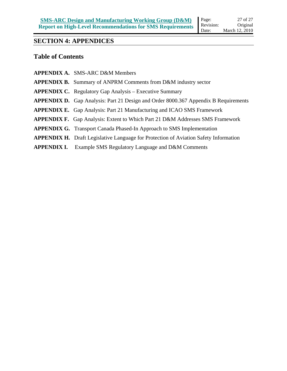### **SECTION 4: APPENDICES**

### **Table of Contents**

| <b>APPENDIX A. SMS-ARC D&amp;M Members</b>                                                  |
|---------------------------------------------------------------------------------------------|
| <b>APPENDIX B.</b> Summary of ANPRM Comments from D&M industry sector                       |
| <b>APPENDIX C.</b> Regulatory Gap Analysis – Executive Summary                              |
| <b>APPENDIX D.</b> Gap Analysis: Part 21 Design and Order 8000.367 Appendix B Requirements  |
| <b>APPENDIX E.</b> Gap Analysis: Part 21 Manufacturing and ICAO SMS Framework               |
| <b>APPENDIX F.</b> Gap Analysis: Extent to Which Part 21 D&M Addresses SMS Framework        |
| <b>APPENDIX G.</b> Transport Canada Phased-In Approach to SMS Implementation                |
| <b>APPENDIX H.</b> Draft Legislative Language for Protection of Aviation Safety Information |
| <b>APPENDIX I.</b> Example SMS Regulatory Language and D&M Comments                         |
|                                                                                             |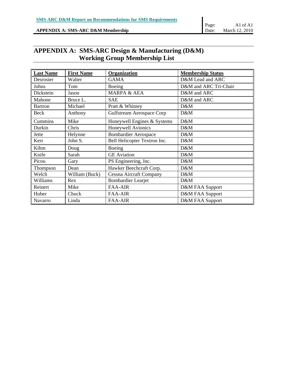#### **APPENDIX A: SMS-ARC D&M Membership**

#### Page: Date: A1 of A1 March 12, 2010

## **APPENDIX A: SMS-ARC Design & Manufacturing (D&M) Working Group Membership List**

| <b>Last Name</b> | <b>First Name</b> | <b>Organization</b>              | <b>Membership Status</b> |
|------------------|-------------------|----------------------------------|--------------------------|
| Desrosier        | Walter            | <b>GAMA</b>                      | D&M Lead and ARC         |
| Johns            | Tom               | Boeing                           | D&M and ARC Tri-Chair    |
| Dickstein        | Jason             | <b>MARPA &amp; AEA</b>           | D&M and ARC              |
| Mahone           | Bruce L.          | <b>SAE</b>                       | D&M and ARC              |
| <b>Bartron</b>   | Michael           | Pratt & Whitney                  | D&M                      |
| Beck             | Anthony           | <b>Gulfstream Aerospace Corp</b> | D&M                      |
| Cummins          | Mike              | Honeywell Engines & Systems      | D&M                      |
| Durkin           | Chris             | Honeywell Avionics               | D&M                      |
| Jette            | Helynne           | <b>Bombardier Aerospace</b>      | D&M                      |
| Kerr             | John S.           | Bell Helicopter Textron Inc.     | D&M                      |
| Kihm             | Doug              | Boeing                           | D&M                      |
| Knife            | Sarah             | <b>GE</b> Aviation               | D&M                      |
| Picou            | Gary              | PS Engineering, Inc.             | D&M                      |
| Thompson         | Dean              | Hawker Beechcraft Corp.          | D&M                      |
| Welch            | William (Buck)    | <b>Cessna Aircraft Company</b>   | D&M                      |
| Williams         | Rex               | <b>Bombardier Learjet</b>        | D&M                      |
| Reinert          | Mike              | <b>FAA-AIR</b>                   | D&M FAA Support          |
| Huber            | Chuck             | <b>FAA-AIR</b>                   | D&M FAA Support          |
| Navarro          | Linda             | <b>FAA-AIR</b>                   | D&M FAA Support          |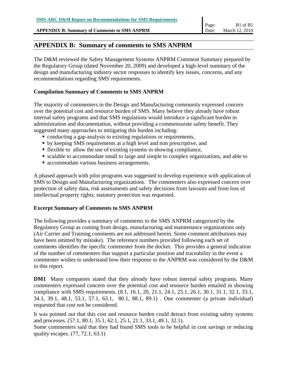**APPENDIX B: Summary of Comments to SMS ANPRM** 

### **APPENDIX B: Summary of comments to SMS ANPRM**

The D&M reviewed the Safety Management Systems ANPRM Comment Summary prepared by the Regulatory Group (dated November 20, 2009) and developed a high-level summary of the design and manufacturing industry sector responses to identify key issues, concerns, and any recommendations regarding SMS requirements.

#### **Compilation Summary of Comments to SMS ANPRM**

The majority of commenters in the Design and Manufacturing community expressed concern over the potential cost and resource burden of SMS. Many believe they already have robust internal safety programs and that SMS regulations would introduce a significant burden in administration and documentation, without providing a commensurate safety benefit. They suggested many approaches to mitigating this burden including:

- conducting a gap analysis to existing regulations or requirements,
- by keeping SMS requirements at a high level and non prescriptive, and
- $\blacksquare$  flexible to allow the use of existing systems in showing compliance,
- scalable to accommodate small to large and simple to complex organizations, and able to
- **accommodate various business arrangements.**

A phased approach with pilot programs was suggested to develop experience with application of SMS to Design and Manufacturing organizations. The commenters also expressed concern over protection of safety data, risk assessments and safety decisions from lawsuits and from loss of intellectual property rights; statutory protection was requested.

#### **Excerpt Summary of Comments to SMS ANPRM**

The following provides a summary of comments to the SMS ANPRM categorized by the Regulatory Group as coming from design, manufacturing and maintenance organizations only (Air Carrier and Training comments are not addressed herein. Some comment attributions may have been omitted by mistake). The reference numbers provided following each set of comments identifies the specific commenter from the docket. This provides a general indication of the number of commenters that support a particular position and traceability in the event a commenter wishes to understand how their response to the ANPRM was considered by the D&M in this report.

**DM1** Many companies stated that they already have robust internal safety programs. Many commenters expressed concern over the potential cost and resource burden entailed in showing compliance with SMS requirements. (8.1, 16.1, 20, 21.1, 24.1, 25.1, 26.1, 30.1, 31.1, 32.1, 33.1, 34.1, 39.1, 48.1, 53.1, 57.1, 63.1, 80.1, 88.1, 89.1) . One commenter (a private individual) requested that cost not be considered.

It was pointed out that this cost and resource burden could detract from existing safety systems and processes. (57.1, 80.1, 35.1, 62.1, 25.1, 21.1, 33.1, 49.1, 32.1). Some commenters said that they had found SMS tools to be helpful in cost savings or reducing quality escapes. (77, 72.1, 63.1)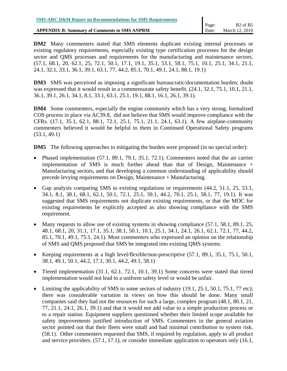**DM2** Many commenters stated that SMS elements duplicate existing internal processes or existing regulatory requirements, especially existing type certification processes for the design sector and QMS processes and requirements for the manufacturing and maintenance sectors. (57.1, 68.1, 20, 62.1, 25, 72.1, 50.1, 17.1, 19.1, 35.1, 53.1, 58.1, 75.1, 10.1, 25.1, 34.1, 21.1, 24.1, 32.1, 33.1, 36.1, 39.1, 63.1, 77, 44.2, 85.1, 70.1, 49.1, 24.1, 88.1, 19.1)

**DM3** SMS was perceived as imposing a significant bureaucratic/documentation burden; doubt was expressed that it would result in a commensurate safety benefit.  $(24.1, 32.1, 75.1, 10.1, 21.1, 10.1)$ 36.1, 39.1, 26.1, 34.1, 8.1, 33.1, 63.1, 25.1, 19.1, 88.1, 16.1, 26.1, 39.1).

**DM4** Some commenters, especially the engine community which has a very strong, formalized COS process in place via AC39.8, did not believe that SMS would improve compliance with the CFRs. (17.1, 35.1, 62.1, 88.1, 72.1, 25.1, 75.1, 21.1, 24.1, 63.1). A few airplane-community commenters believed it would be helpful to them in Continued Operational Safety programs (53.1, 49.1)

**DM5** The following approaches to mitigating the burden were proposed (in no special order):

- Phased implementation (57.1, 89.1, 79.1, 35.1, 72.1). Commenters noted that the air carrier implementation of SMS is much further ahead than that of Design, Maintenance + Manufacturing sectors, and that developing a common understanding of applicability should precede levying requirements on Design, Maintenance + Manufacturing.
- Gap analysis comparing SMS to existing regulations or requirements (44.2, 51.1, 25, 53.1, 34.1, 8.1, 38.1, 68.1, 62.1, 50.1, 72.1, 25.1, 39.1, 44.2, 70.1, 25.1, 58.1, 77, 19.1). It was suggested that SMS requirements not duplicate existing requirements, or that the MOC for existing requirements be explicitly accepted as also showing compliance with the SMS requirement.
- Many requests to allow use of existing systems in showing compliance (57.1, 58.1, 89.1, 25, 48.1, 68.1, 20, 31.1, 17.1, 35.1, 38.1, 50.1, 10.1, 25.1, 34.1, 24.1, 26.1, 62.1, 72.1, 77, 44.2, 85.1, 70.1, 49.1, 75.1, 24.1). Most commenters who expressed an opinion on the relationship of SMS and QMS proposed that SMS be integrated into existing QMS systems.
- Keeping requirements at a high level/flexible/non-prescriptive (57.1, 89.1, 35.1, 75.1, 50.1, 38.1, 49.1, 50.1, 44.2, 17.1, 30.1, 44.2, 49.1, 58.1)
- Tiered implementation (31.1, 62.1, 72.1, 10.1, 39.1) Some concerns were stated that tiered implementation would not lead to a uniform safety level or would be unfair.
- Limiting the applicability of SMS to some sectors of industry  $(19.1, 25.1, 50.1, 75.1, 77 \text{ etc});$ there was considerable variation in views on how this should be done. Many small companies said they had not the resources for such a large, complex program (48.1, 80.1, 21, 77, 21.1, 24.1, 26.1, 39.1) and that it would not add value to a simple production process or to a repair station. Equipment suppliers questioned whether their limited scope available for safety improvements justified introduction of SMS. Commenters in the general aviation sector pointed out that their fleets were small and had minimal contribution to system risk. (58.1). Other commenters requested that SMS, if required by regulation, apply to all product and service providers. (57.1, 17.1), or consider immediate application to operators only (16.1,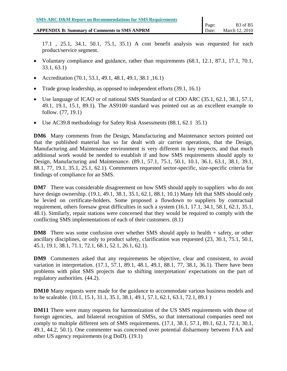**APPENDIX B: Summary of Comments to SMS ANPRM** 

- Voluntary compliance and guidance, rather than requirements (68.1, 12.1, 87.1, 17.1, 70.1, 33.1, 63.1)
- Accreditation (70.1, 53.1, 49.1, 48.1, 49.1, 38.1, 16.1)
- Trade group leadership, as opposed to independent efforts (39.1, 16.1)
- Use language of ICAO or of national SMS Standard or of CDO ARC (35.1, 62.1, 38.1, 57.1, 49.1, 19.1, 15.1, 89.1). The AS9100 standard was pointed out as an excellent example to follow. (77, 19.1)
- Use AC39.8 methodology for Safety Risk Assessments (88.1, 62.1 35.1)

**DM6** Many comments from the Design, Manufacturing and Maintenance sectors pointed out that the published material has so far dealt with air carrier operations, that the Design, Manufacturing and Maintenance environment is very different in key respects, and that much additional work would be needed to establish if and how SMS requirements should apply to Design, Manufacturing and Maintenance. (89.1, 57.1, 75.1, 50.1, 10.1, 36.1, 63.1, 38.1, 39.1, 88.1, 77, 19.1, 35.1, 25.1, 62.1). Commenters requested sector-specific, size-specific criteria for findings of compliance for an SMS.

**DM7** There was considerable disagreement on how SMS should apply to suppliers who do not have design ownership. (19.1, 49.1, 38.1, 35.1, 62.1, 88.1, 10.1) Many felt that SMS should only be levied on certificate-holders. Some proposed a flowdown to suppliers by contractual requirement, others foresaw great difficulties in such a system (16.1, 17.1, 34.1, 58.1, 62.1, 35.1, 48.1). Similarly, repair stations were concerned that they would be required to comply with the conflicting SMS implementations of each of their customers. (8.1)

**DM8** There was some confusion over whether SMS should apply to health + safety, or other ancillary disciplines, or only to product safety, clarification was requested (23, 30.1, 75.1, 50.1, 45.1, 19.1, 38.1, 71.1, 72.1, 68.1, 52.1, 26.1, 62.1).

**DM9** Commenters asked that any requirements be objective, clear and consistent, to avoid variation in interpretation. (17.1, 57.1, 89.1, 48.1, 49.1, 88.1, 77, 38.1, 36.1). There have been problems with pilot SMS projects due to shifting interpretation/ expectations on the part of regulatory authorities. (44.2).

**DM10** Many requests were made for the guidance to accommodate various business models and to be scaleable. (10.1, 15.1, 31.1, 35.1, 38.1, 49.1, 57.1, 62.1, 63.1, 72.1, 89.1 )

**DM11** There were many requests for harmonization of the US SMS requirements with those of foreign agencies, and bilateral recognition of SMSs, so that international companies need not comply to multiple different sets of SMS requirements. (17.1, 38.1, 57.1, 89.1, 62.1, 72.1, 30.1, 49.1, 44.2, 50.1). One commenter was concerned over potential disharmony between FAA and other US agency requirements (e.g DoD). (19.1)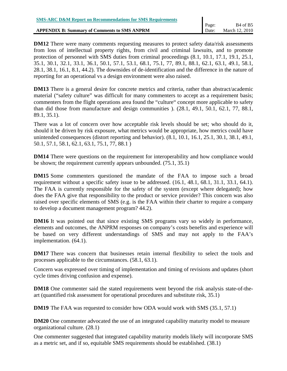**DM12** There were many comments requesting measures to protect safety data/risk assessments from loss of intellectual property rights, from civil and criminal lawsuits, and to promote protection of personnel with SMS duties from criminal proceedings (8.1, 10.1, 17.1, 19.1, 25.1, 35.1, 30.1, 32.1, 33.1, 36.1, 50.1, 57.1, 53.1, 68.1, 75.1, 77, 89.1, 88.1, 62.1, 63.1, 49.1, 58.1, 28.1, 38.1, 16.1, 8.1, 44.2). The downsides of de-identification and the difference in the nature of reporting for an operational vs a design environment were also raised.

**DM13** There is a general desire for concrete metrics and criteria, rather than abstract/academic material ("safety culture" was difficult for many commenters to accept as a requirement basis; commenters from the flight operations area found the "culture" concept more applicable to safety than did those from manufacture and design communities ). (28.1, 49.1, 50.1, 62.1, 77, 88.1, 89.1, 35.1).

There was a lot of concern over how acceptable risk levels should be set; who should do it, should it be driven by risk exposure, what metrics would be appropriate, how metrics could have unintended consequences (distort reporting and behavior). (8.1, 10.1, 16.1, 25.1, 30.1, 38.1, 49.1, 50.1, 57.1, 58.1, 62.1, 63.1, 75.1, 77, 88.1 )

**DM14** There were questions on the requirement for interoperability and how compliance would be shown; the requirement currently appears unbounded. (75.1, 35.1)

**DM15** Some commenters questioned the mandate of the FAA to impose such a broad requirement without a specific safety issue to be addressed. (16.1, 48.1, 68.1, 31.1, 33.1, 64.1). The FAA is currently responsible for the safety of the system (except where delegated); how does the FAA give that responsibility to the product or service provider? This concern was also raised over specific elements of SMS (e.g. is the FAA within their charter to require a company to develop a document management program? 44.2).

**DM16** It was pointed out that since existing SMS programs vary so widely in performance, elements and outcomes, the ANPRM responses on company's costs benefits and experience will be based on very different understandings of SMS and may not apply to the FAA's implementation. (64.1).

**DM17** There was concern that businesses retain internal flexibility to select the tools and processes applicable to the circumstances. (58.1, 63.1).

Concern was expressed over timing of implementation and timing of revisions and updates (short cycle times driving confusion and expense).

**DM18** One commenter said the stated requirements went beyond the risk analysis state-of-theart (quantified risk assessment for operational procedures and substitute risk, 35.1)

**DM19** The FAA was requested to consider how ODA would work with SMS (35.1, 57.1)

**DM20** One commenter advocated the use of an integrated capability maturity model to measure organizational culture. (28.1)

One commenter suggested that integrated capability maturity models likely will incorporate SMS as a metric set, and if so, equitable SMS requirements should be established. (38.1)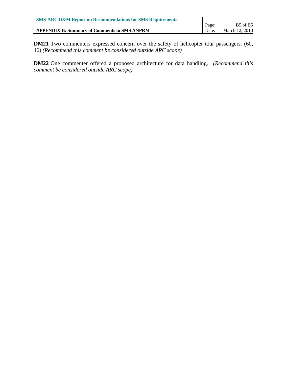| <b>SMS-ARC D&amp;M Report on Recommendations for SMS Requirements</b> |       |                                  |
|-----------------------------------------------------------------------|-------|----------------------------------|
|                                                                       | Page: | B <sub>5</sub> of B <sub>5</sub> |
| <b>APPENDIX B: Summary of Comments to SMS ANPRM</b>                   | Date: | March 12, 2010                   |
|                                                                       |       |                                  |

**DM21** Two commenters expressed concern over the safety of helicopter tour passengers. (60, 46) *(Recommend this comment be considered outside ARC scope)*

**DM22** One commenter offered a proposed architecture for data handling. *(Recommend this comment be considered outside ARC scope)*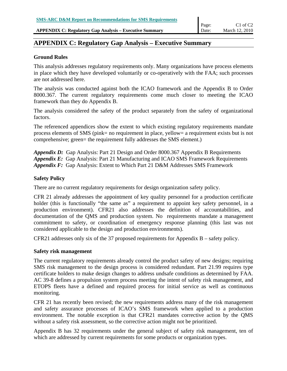**APPENDIX C: Regulatory Gap Analysis – Executive Summary** 

### **APPENDIX C: Regulatory Gap Analysis – Executive Summary**

#### **Ground Rules**

This analysis addresses regulatory requirements only. Many organizations have process elements in place which they have developed voluntarily or co-operatively with the FAA; such processes are not addressed here.

The analysis was conducted against both the ICAO framework and the Appendix B to Order 8000.367. The current regulatory requirements come much closer to meeting the ICAO framework than they do Appendix B.

The analysis considered the safety of the product separately from the safety of organizational factors.

The referenced appendices show the extent to which existing regulatory requirements mandate process elements of SMS (pink= no requirement in place, yellow= a requirement exists but is not comprehensive; green= the requirement fully addresses the SMS element.)

*Appendix D:* Gap Analysis: Part 21 Design and Order 8000.367 Appendix B Requirements *Appendix E:* Gap Analysis: Part 21 Manufacturing and ICAO SMS Framework Requirements *Appendix F:* Gap Analysis: Extent to Which Part 21 D&M Addresses SMS Framework

#### **Safety Policy**

There are no current regulatory requirements for design organization safety policy.

CFR 21 already addresses the appointment of key quality personnel for a production certificate holder (this is functionally "the same as" a requirement to appoint key safety personnel, in a production environment). CFR21 also addresses the definition of accountabilities, and documentation of the QMS and production system. No requirements mandate a management commitment to safety, or coordination of emergency response planning (this last was not considered applicable to the design and production environments).

CFR21 addresses only six of the 37 proposed requirements for Appendix B – safety policy.

#### **Safety risk management**

The current regulatory requirements already control the product safety of new designs; requiring SMS risk management to the design process is considered redundant. Part 21.99 requires type certificate holders to make design changes to address undsafe conditions as determined by FAA. AC 39-8 defines a propulsion system process meeting the intent of safety risk management, and ETOPS fleets have a defined and required process for initial service as well as continuous monitoring.

CFR 21 has recently been revised; the new requirements address many of the risk management and safety assurance processes of ICAO's SMS framework when applied to a production environment. The notable exception is that CFR21 mandates corrective action by the QMS without a safety risk assessment, so the corrective action might not be prioritized.

Appendix B has 32 requirements under the general subject of safety risk management, ten of which are addressed by current requirements for some products or organization types.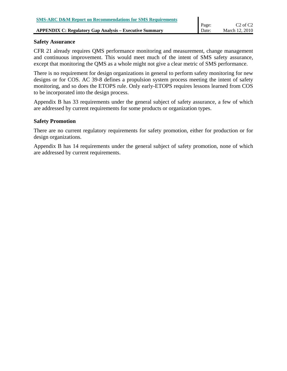#### **Safety Assurance**

CFR 21 already requires QMS performance monitoring and measurement, change management and continuous improvement. This would meet much of the intent of SMS safety assurance, except that monitoring the QMS as a whole might not give a clear metric of SMS performance.

There is no requirement for design organizations in general to perform safety monitoring for new designs or for COS. AC 39-8 defines a propulsion system process meeting the intent of safety monitoring, and so does the ETOPS rule. Only early-ETOPS requires lessons learned from COS to be incorporated into the design process.

Appendix B has 33 requirements under the general subject of safety assurance, a few of which are addressed by current requirements for some products or organization types.

#### **Safety Promotion**

There are no current regulatory requirements for safety promotion, either for production or for design organizations.

Appendix B has 14 requirements under the general subject of safety promotion, none of which are addressed by current requirements.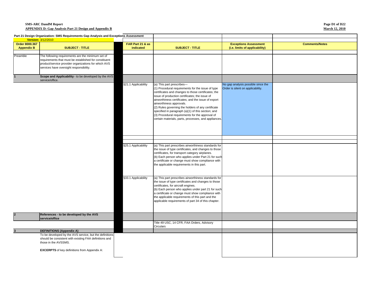**Page D1 of D22 March 12, 2010**

|                   | Part 21 Design Organization: SMS Requirements Gap Analysis and Exceptions Assessment                                                                                                                          |                     |                                                                                                                                                                                                                                                                                                                                                                                                                                                                                                   |                                                                         |                       |
|-------------------|---------------------------------------------------------------------------------------------------------------------------------------------------------------------------------------------------------------|---------------------|---------------------------------------------------------------------------------------------------------------------------------------------------------------------------------------------------------------------------------------------------------------------------------------------------------------------------------------------------------------------------------------------------------------------------------------------------------------------------------------------------|-------------------------------------------------------------------------|-----------------------|
|                   | Version: 3/12/2010<br>$\mathcal{L}(\mathcal{L})$ and $\mathcal{L}(\mathcal{L})$ and $\mathcal{L}(\mathcal{L})$ and $\mathcal{L}(\mathcal{L})$                                                                 |                     |                                                                                                                                                                                                                                                                                                                                                                                                                                                                                                   |                                                                         |                       |
| Order 8000.367    |                                                                                                                                                                                                               | FAR Part 21 & as    |                                                                                                                                                                                                                                                                                                                                                                                                                                                                                                   | <b>Exceptions Assessment</b>                                            | <b>Comments/Notes</b> |
| <b>Appendix B</b> | <b>SUBJECT - TITLE</b>                                                                                                                                                                                        | indicated           | <b>SUBJECT - TITLE</b>                                                                                                                                                                                                                                                                                                                                                                                                                                                                            | (i.e. limits of applicability)                                          |                       |
| Preamble          | The following requirements are the minimum set of<br>requirements that must be established for constituent<br>product/service provider organizations for which AVS<br>services have oversight responsibility. |                     |                                                                                                                                                                                                                                                                                                                                                                                                                                                                                                   |                                                                         |                       |
|                   | Scope and Applicability - to be developed by the AVS<br>service/office.                                                                                                                                       |                     |                                                                                                                                                                                                                                                                                                                                                                                                                                                                                                   |                                                                         |                       |
|                   |                                                                                                                                                                                                               | §21.1 Applicability | (a) This part prescribes-<br>(1) Procedural requirements for the issue of type<br>certificates and changes to those certificates; the<br>issue of production certificates; the issue of<br>airworthiness certificates; and the issue of export<br>airworthiness approvals.<br>(2) Rules governing the holders of any certificate<br>specified in paragraph (a)(1) of this section; and<br>(3) Procedural requirements for the approval of<br>certain materials, parts, processes, and appliances. | No gap analysis possible since the<br>Order is silent on applicability. |                       |
|                   |                                                                                                                                                                                                               |                     |                                                                                                                                                                                                                                                                                                                                                                                                                                                                                                   |                                                                         |                       |
|                   |                                                                                                                                                                                                               |                     |                                                                                                                                                                                                                                                                                                                                                                                                                                                                                                   |                                                                         |                       |
|                   |                                                                                                                                                                                                               | §25.1 Applicability | (a) This part prescribes airworthiness standards for<br>the issue of type certificates, and changes to those<br>certificates, for transport category airplanes.<br>(b) Each person who applies under Part 21 for such<br>a certificate or change must show compliance with<br>the applicable requirements in this part.                                                                                                                                                                           |                                                                         |                       |
|                   |                                                                                                                                                                                                               | §33.1 Applicability | (a) This part prescribes airworthiness standards for<br>the issue of type certificates and changes to those<br>certificates, for aircraft engines.<br>(b) Each person who applies under part 21 for such<br>a certificate or change must show compliance with<br>the applicable requirements of this part and the<br>applicable requirements of part 34 of this chapter.                                                                                                                          |                                                                         |                       |
| $\overline{2}$    | References - to be developed by the AVS<br>service/office                                                                                                                                                     |                     |                                                                                                                                                                                                                                                                                                                                                                                                                                                                                                   |                                                                         |                       |
|                   |                                                                                                                                                                                                               |                     | Title 49 USC, 14 CFR, FAA Orders, Advisory<br>Circulars                                                                                                                                                                                                                                                                                                                                                                                                                                           |                                                                         |                       |
|                   | <b>DEFINITIONS (Appendix A)</b>                                                                                                                                                                               |                     |                                                                                                                                                                                                                                                                                                                                                                                                                                                                                                   |                                                                         |                       |
|                   | To be developed by the AVS service, but the definitions<br>should be consistent with existing FAA definitions and<br>those in the AVSSMS.                                                                     |                     |                                                                                                                                                                                                                                                                                                                                                                                                                                                                                                   |                                                                         |                       |
|                   | <b>EXCERPTS</b> of key definitions from Appendix A:                                                                                                                                                           |                     |                                                                                                                                                                                                                                                                                                                                                                                                                                                                                                   |                                                                         |                       |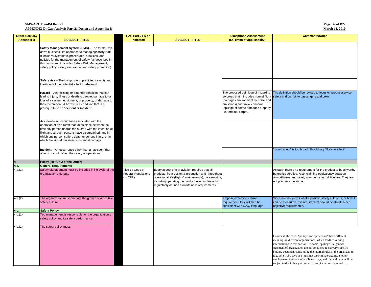**Page D2 of D22 March 12, 2010**

| Order 8000.367    |                                                                                                                   | FAR Part 21 & as           |                                                        | <b>Exceptions Assessment</b>            | <b>Comments/Notes</b>                                                                                                                  |
|-------------------|-------------------------------------------------------------------------------------------------------------------|----------------------------|--------------------------------------------------------|-----------------------------------------|----------------------------------------------------------------------------------------------------------------------------------------|
| <b>Appendix B</b> | <b>SUBJECT - TITLE</b>                                                                                            | indicated                  | <b>SUBJECT - TITLE</b>                                 | (i.e. limits of applicability)          |                                                                                                                                        |
|                   |                                                                                                                   |                            |                                                        |                                         |                                                                                                                                        |
|                   | Safety Management System (SMS) - The formal, top-                                                                 |                            |                                                        |                                         |                                                                                                                                        |
|                   | down business-like approach to managingsafety risk.                                                               |                            |                                                        |                                         |                                                                                                                                        |
|                   | It includes systematic procedures, practices, and                                                                 |                            |                                                        |                                         |                                                                                                                                        |
|                   | policies for the management of safety (as described in                                                            |                            |                                                        |                                         |                                                                                                                                        |
|                   | this document it includes Safety Risk Management,                                                                 |                            |                                                        |                                         |                                                                                                                                        |
|                   | safety policy, safety assurance, and safety promotion).                                                           |                            |                                                        |                                         |                                                                                                                                        |
|                   |                                                                                                                   |                            |                                                        |                                         |                                                                                                                                        |
|                   |                                                                                                                   |                            |                                                        |                                         |                                                                                                                                        |
|                   | Safety risk - The composite of predicted severity and                                                             |                            |                                                        |                                         |                                                                                                                                        |
|                   | likelihood of the potential effect of ahazard.                                                                    |                            |                                                        |                                         |                                                                                                                                        |
|                   |                                                                                                                   |                            |                                                        | The proposed definition of hazard is    | The definition should be revised to focus on product/servise                                                                           |
|                   | Hazard - Any existing or potential condition that can<br>lead to injury, illness or death to people; damage to or |                            |                                                        | so broad that it includes normal flight | safety and on risk to passengers and crew.                                                                                             |
|                   | loss of a system, equipment, or property; or damage to                                                            |                            |                                                        | (damages environment by noise and       |                                                                                                                                        |
|                   | the environment. A hazard is a condition that is a                                                                |                            |                                                        | emissions) and trivial concerns         |                                                                                                                                        |
|                   | prerequisite to an accident or incident.                                                                          |                            |                                                        | (spillage of coffee damages property    |                                                                                                                                        |
|                   |                                                                                                                   |                            |                                                        | I.e. terminal carpet.                   |                                                                                                                                        |
|                   |                                                                                                                   |                            |                                                        |                                         |                                                                                                                                        |
|                   | Accident - An occurrence associated with the                                                                      |                            |                                                        |                                         |                                                                                                                                        |
|                   | operation of an aircraft that takes place between the                                                             |                            |                                                        |                                         |                                                                                                                                        |
|                   | time any person boards the aircraft with the intention of                                                         |                            |                                                        |                                         |                                                                                                                                        |
|                   | flight and all such persons have disembarked, and in                                                              |                            |                                                        |                                         |                                                                                                                                        |
|                   | which any person suffers death or serious injury, or in                                                           |                            |                                                        |                                         |                                                                                                                                        |
|                   | which the aircraft receives substantial damage.                                                                   |                            |                                                        |                                         |                                                                                                                                        |
|                   |                                                                                                                   |                            |                                                        |                                         |                                                                                                                                        |
|                   | Incident - An occurrence other than an accident that                                                              |                            |                                                        |                                         | could affect" is too broad. Should say "likely to affect"                                                                              |
|                   | affects or could affect the safety of operations.                                                                 |                            |                                                        |                                         |                                                                                                                                        |
|                   | Policy [Ref Ch 2 of the Order]                                                                                    |                            |                                                        |                                         |                                                                                                                                        |
| 4.a.              | <b>General Requirements</b>                                                                                       |                            |                                                        |                                         |                                                                                                                                        |
| 4.a.(1)           | Safety Management must be included in life cycle of the                                                           | Title 14 Code of           | Every aspect of civil aviation requires that all       |                                         | Actually, there's no requirement for the product to be airworthy                                                                       |
|                   | organization's outputs                                                                                            | <b>Federal Regulations</b> | products, from design & production and throughout      |                                         | before it's certified. Also, claiming equivalency between                                                                              |
|                   |                                                                                                                   | (14CFR)                    | operational life (flight & maintenance), be airworthy, |                                         | airworthiness and safety may get us into difficulties. They are                                                                        |
|                   |                                                                                                                   |                            | ncluding operating the product in accordance with      |                                         | not precisely the same.                                                                                                                |
|                   |                                                                                                                   |                            | regulatorily defined airworthiness requirements        |                                         |                                                                                                                                        |
|                   |                                                                                                                   |                            |                                                        |                                         |                                                                                                                                        |
|                   |                                                                                                                   |                            |                                                        |                                         |                                                                                                                                        |
| 4.a.(2)           | The organization must promote the growth of a positive                                                            |                            |                                                        | Propose exception - strike              | Since no-one knows what a positive safety culture is, or how it                                                                        |
|                   | safety culture                                                                                                    |                            |                                                        | requirement, this will then be          | can be measured, this requirement should be struck. Need                                                                               |
|                   |                                                                                                                   |                            |                                                        | consistent with ICAO language           | objective requirements.                                                                                                                |
| 4.b.              | <b>Safety Policy</b>                                                                                              |                            |                                                        |                                         |                                                                                                                                        |
| 4.b.(1)           | Top management is responsible for the organization's                                                              |                            |                                                        |                                         |                                                                                                                                        |
|                   | safety policy and its safety performance                                                                          |                            |                                                        |                                         |                                                                                                                                        |
|                   |                                                                                                                   |                            |                                                        |                                         |                                                                                                                                        |
| 4.b.(2)           | The safety policy must:                                                                                           |                            |                                                        |                                         |                                                                                                                                        |
|                   |                                                                                                                   |                            |                                                        |                                         |                                                                                                                                        |
|                   |                                                                                                                   |                            |                                                        |                                         | Comment: the terms "policy" and "procedure" have different                                                                             |
|                   |                                                                                                                   |                            |                                                        |                                         | meanings in different organizations, which leads to varying                                                                            |
|                   |                                                                                                                   |                            |                                                        |                                         | interpretation in this section. To some, "policy" is a general                                                                         |
|                   |                                                                                                                   |                            |                                                        |                                         | statement of organization intent. To others, it is a very specific                                                                     |
|                   |                                                                                                                   |                            |                                                        |                                         | binding document constituting the internal rules of the organization.                                                                  |
|                   |                                                                                                                   |                            |                                                        |                                         | E.g. policy abc says you must not discriminate against another<br>employee on the basis of attributes x,y,z, and if you do you will be |
|                   |                                                                                                                   |                            |                                                        |                                         | subject to disciplinary action up to and including dismissal                                                                           |
|                   |                                                                                                                   |                            |                                                        |                                         |                                                                                                                                        |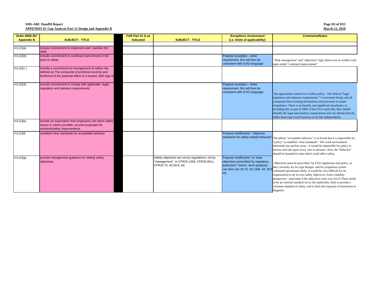| Page D3 of D22        |
|-----------------------|
| <b>March 12. 2010</b> |

| Order 8000.367    | <b>SUBJECT - TITLE</b>                                                                                                                                                  | FAR Part 21 & as | <b>SUBJECT - TITLE</b>                                                                                                | <b>Exceptions Assessment</b>                                                                                                                                  | <b>Comments/Notes</b>                                                                                                                                                                                                                                                                                                                                                                                                                                                                                          |
|-------------------|-------------------------------------------------------------------------------------------------------------------------------------------------------------------------|------------------|-----------------------------------------------------------------------------------------------------------------------|---------------------------------------------------------------------------------------------------------------------------------------------------------------|----------------------------------------------------------------------------------------------------------------------------------------------------------------------------------------------------------------------------------------------------------------------------------------------------------------------------------------------------------------------------------------------------------------------------------------------------------------------------------------------------------------|
| <b>Appendix B</b> |                                                                                                                                                                         | indicated        |                                                                                                                       | (i.e. limits of applicability)                                                                                                                                |                                                                                                                                                                                                                                                                                                                                                                                                                                                                                                                |
| 4.b.(2)(a)        | include commitment to implement and maintain the<br><b>SMS</b>                                                                                                          |                  |                                                                                                                       |                                                                                                                                                               |                                                                                                                                                                                                                                                                                                                                                                                                                                                                                                                |
| 4.b.(2)(b)        | include commitment to continual improvement in the<br>level of safety                                                                                                   |                  |                                                                                                                       | Propose exception - strike<br>requirement, this will then be<br>consistent with ICAO language                                                                 | "Risk management" and "objectives" ((g), below) are in conflict with<br>open ended "continual improvement"                                                                                                                                                                                                                                                                                                                                                                                                     |
| 4.b.(2)(c)        | include a commitment to management of safety risk,<br>defined as The composite of predicted severity and<br>likelihood of the potential effect of a hazard. (Ref App A) |                  |                                                                                                                       |                                                                                                                                                               |                                                                                                                                                                                                                                                                                                                                                                                                                                                                                                                |
| 4.b.(2)(d)        | include commitment to comply with applicable legal,<br>regulatory and statutory requirements                                                                            |                  |                                                                                                                       | Propose exception - strike<br>requirement, this will then be<br>consistent with ICAO language                                                                 | Not appropriate content for a Safety policy. The field of "legal"<br>regulatory and statutory requirements " is extremely broad, and all<br>companies have existing mechanisms and processes to assure<br>compliance. There is no benefit, and significant drawbacks, to<br>including this as part of SMS. If the FAA wants this, they should<br>identify the legal and statutory requirements and cite themm directly,<br>rather than expect each business to do this independently.                          |
| 4.b.(2)(e)        | include an expectation that employees will report safety<br>issues &, where possible, provide proposals for<br>solutions/safety improvements                            |                  |                                                                                                                       |                                                                                                                                                               |                                                                                                                                                                                                                                                                                                                                                                                                                                                                                                                |
| 4.b.(2)(f)        | establish clear standards for acceptable behavior                                                                                                                       |                  |                                                                                                                       | Propose modification "objective<br>standards for safety-related behavior                                                                                      | The phrase "acceptable behavior" is so broad that it is impossible for<br>"policy" to establish "clear standards". The work environment<br>inherently has unclear areas - it would be impossible for policy to<br>foresee and rule upon every case in advance. Also, the "behavior"<br>should be bounded to that which could affect safety.                                                                                                                                                                    |
| 4.b.(2)(g)        | provide management quidance for setting safety<br>objectives                                                                                                            |                  | Safety objectives are set by regulations, not by<br>"management", in CFR25.1309, CFR25.901c,<br>CFR33.75, AC39-8, etc | Propose modification "or state<br>objectives prescribed by regulatory<br>authorities" Sector -level quidance<br>can then cite 33.75, 25.1309, AC 39.8<br>etc. | Objectives must be prescribed by FAA regulations and policy, as<br>they currently are for type designs and for propulsion system<br>continued operational safety. It would be very difficult for an<br>organization to set its own safety objectives, from a liability<br>perspective. (and what if the objectives were very low?) There needs<br>to be an external standard set by the authorities, both to provide a<br>common standard of safety, and to limit the exposure of businesses to<br>litigation. |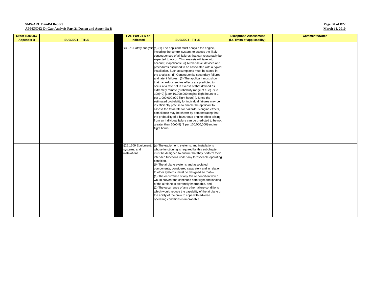#### **Page D4 of D22 March 12, 2010**

| Order 8000.367    |                        | FAR Part 21 & as                                    |                                                                                                                                                                                                                                                                                                                                                                                                                                                                                                                                                                                                                                                                                                                                                                                                                                                                                                                                                                                                                                                                                                                                                                                               | <b>Exceptions Assessment</b>   | <b>Comments/Notes</b> |
|-------------------|------------------------|-----------------------------------------------------|-----------------------------------------------------------------------------------------------------------------------------------------------------------------------------------------------------------------------------------------------------------------------------------------------------------------------------------------------------------------------------------------------------------------------------------------------------------------------------------------------------------------------------------------------------------------------------------------------------------------------------------------------------------------------------------------------------------------------------------------------------------------------------------------------------------------------------------------------------------------------------------------------------------------------------------------------------------------------------------------------------------------------------------------------------------------------------------------------------------------------------------------------------------------------------------------------|--------------------------------|-----------------------|
| <b>Appendix B</b> | <b>SUBJECT - TITLE</b> | indicated                                           | <b>SUBJECT - TITLE</b>                                                                                                                                                                                                                                                                                                                                                                                                                                                                                                                                                                                                                                                                                                                                                                                                                                                                                                                                                                                                                                                                                                                                                                        | (i.e. limits of applicability) |                       |
|                   |                        |                                                     |                                                                                                                                                                                                                                                                                                                                                                                                                                                                                                                                                                                                                                                                                                                                                                                                                                                                                                                                                                                                                                                                                                                                                                                               |                                |                       |
|                   |                        |                                                     | §33.75 Safety analysis (a) (1) The applicant must analyze the engine,<br>including the control system, to assess the likely<br>consequences of all failures that can reasonably be<br>expected to occur. This analysis will take into<br>account, if applicable: (i) Aircraft-level devices and<br>procedures assumed to be associated with a typical<br>installation. Such assumptions must be stated in<br>the analysis. (ii) Consequential secondary failures<br>and latent failures. (3) The applicant must show<br>that hazardous engine effects are predicted to<br>occur at a rate not in excess of that defined as<br>extremely remote (probability range of 10e(-7) to<br>10e(-9) [1per 10,000,000 engine flight hours to 1<br>per 1,000,000,000 flight hours]). Since the<br>estimated probability for individual failures may be<br>insufficiently precise to enable the applicant to<br>assess the total rate for hazardous engine effects,<br>compliance may be shown by demonstrating that<br>the probability of a hazardous engine effect arising<br>from an individual failure can be predicted to be not<br>greater than 10e(-8) [1 per 100,000,000] engine<br>flight hours. |                                |                       |
|                   |                        | §25.1309 Equipment,<br>systems, and<br>instalations | (a) The equipment, systems, and installations<br>whose functioning is required by this subchapter,<br>must be designed to ensure that they perform their<br>intended functions under any foreseeable operating<br>condition.<br>(b) The airplane systems and associated<br>components, considered separately and in relation<br>to other systems, must be designed so that-<br>(1) The occurrence of any failure condition which<br>would prevent the continued safe flight and landing<br>of the airplane is extremely improbable, and<br>(2) The occurrence of any other failure conditions<br>which would reduce the capability of the airplane or<br>the ability of the crew to cope with adverse<br>operating conditions is improbable.                                                                                                                                                                                                                                                                                                                                                                                                                                                  |                                |                       |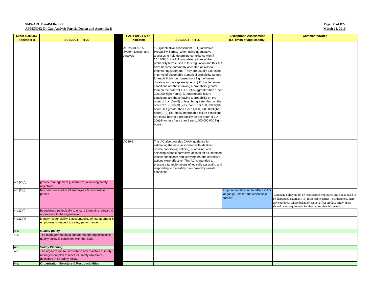#### **Page D5 of D22 March 12, 2010**

| Order 8000.367    |                                                                                                                                           | FAR Part 21 & as                               |                                                                                                                                                                                                                                                                                                                                                                                                                                                                                                                                                                                                                                                                                                                                                                                                                                                                                                                                                                                                                                 | <b>Exceptions Assessment</b>                                                          | <b>Comments/Notes</b>                                                                                                                                                                                                                                                           |
|-------------------|-------------------------------------------------------------------------------------------------------------------------------------------|------------------------------------------------|---------------------------------------------------------------------------------------------------------------------------------------------------------------------------------------------------------------------------------------------------------------------------------------------------------------------------------------------------------------------------------------------------------------------------------------------------------------------------------------------------------------------------------------------------------------------------------------------------------------------------------------------------------------------------------------------------------------------------------------------------------------------------------------------------------------------------------------------------------------------------------------------------------------------------------------------------------------------------------------------------------------------------------|---------------------------------------------------------------------------------------|---------------------------------------------------------------------------------------------------------------------------------------------------------------------------------------------------------------------------------------------------------------------------------|
|                   | <b>SUBJECT - TITLE</b>                                                                                                                    | indicated                                      | <b>SUBJECT - TITLE</b>                                                                                                                                                                                                                                                                                                                                                                                                                                                                                                                                                                                                                                                                                                                                                                                                                                                                                                                                                                                                          | (i.e. limits of applicability)                                                        |                                                                                                                                                                                                                                                                                 |
| <b>Appendix B</b> |                                                                                                                                           | AC 25.1309-1A<br>System Design and<br>Analysis | 10. Quantitative Assessment, B. Quantitative<br>Probability Terms. When using quantitative<br>analyses to help determine compliance with §<br>25.1309(b), the following descriptions of the<br>probability terms used in this regulation and this AC<br>have become commonly-accepted as aids to<br>engineering judgment. They are usually expressed<br>in terms of acceptable numerical probability ranges<br>for each flight-hour, based on a flight of mean<br>duration for the airplane type. (1) Probable failure<br>conditions are those having a probability greater<br>than on the order of 1 X 10e(-5), [greater than 1 per<br>100,000 flight-hours}. (2) Improbable failure<br>conditions are those having a probability on the<br>order of 1 X 10e(-5) or less, but greater than on the<br>order of 1 X 10e(-9) [less than 1 per 100,000 flight-<br>hours, but greater than 1 per 1,000,000,000 flight-<br>hours]. (3) Extremely Improbable failure conditions<br>are those having a probability on the order of 1 X |                                                                                       |                                                                                                                                                                                                                                                                                 |
|                   |                                                                                                                                           |                                                | 10e(-9) or less [less than 1 per 1,000,000,000 flight<br>hours].                                                                                                                                                                                                                                                                                                                                                                                                                                                                                                                                                                                                                                                                                                                                                                                                                                                                                                                                                                |                                                                                       |                                                                                                                                                                                                                                                                                 |
|                   |                                                                                                                                           | AC39-8                                         | This AC also provides CAAM guidance for<br>estimating the risks associated with identified<br>unsafe conditions; defining, prioritizing, and<br>selecting suitable corrective actions for all identified<br>unsafe conditions; and verifying that the corrective<br>actions were effective. This AC is intended to<br>present a tangible means of logically assessing and<br>responding to the safety risks posed by unsafe<br>conditions.                                                                                                                                                                                                                                                                                                                                                                                                                                                                                                                                                                                      |                                                                                       |                                                                                                                                                                                                                                                                                 |
| 4.b.(2)(h)        | provide management guidance for reviewing safety<br>objectives                                                                            |                                                |                                                                                                                                                                                                                                                                                                                                                                                                                                                                                                                                                                                                                                                                                                                                                                                                                                                                                                                                                                                                                                 |                                                                                       |                                                                                                                                                                                                                                                                                 |
| 4.b.(2)(i)        | be communicated to all employees & responsible<br>parties                                                                                 |                                                |                                                                                                                                                                                                                                                                                                                                                                                                                                                                                                                                                                                                                                                                                                                                                                                                                                                                                                                                                                                                                                 | Propose modification to reflect ICAO<br>language - strike "and responsble<br>parties" | Company policy might be restricted to employees and not allowed to<br>be distributed externally to "responsible parties". Furthermore, there<br>are employees whose behavior cannot affect product safety; there<br>should be no requirement for them to receive this material. |
| 4.b.(2)(j)        | be reviewed periodically to ensure it remains relevant &<br>appropriate to the organization                                               |                                                |                                                                                                                                                                                                                                                                                                                                                                                                                                                                                                                                                                                                                                                                                                                                                                                                                                                                                                                                                                                                                                 |                                                                                       |                                                                                                                                                                                                                                                                                 |
| 4.b.(2)(k)        | identify responsibility & accountability of management &<br>employees w/respect to safety performance                                     |                                                |                                                                                                                                                                                                                                                                                                                                                                                                                                                                                                                                                                                                                                                                                                                                                                                                                                                                                                                                                                                                                                 |                                                                                       |                                                                                                                                                                                                                                                                                 |
| 4.c.              | Quality policy.                                                                                                                           |                                                |                                                                                                                                                                                                                                                                                                                                                                                                                                                                                                                                                                                                                                                                                                                                                                                                                                                                                                                                                                                                                                 |                                                                                       |                                                                                                                                                                                                                                                                                 |
| 4.c.              | Top management must ensure that the organization's<br>quality policy is consistent with the SMS.                                          |                                                |                                                                                                                                                                                                                                                                                                                                                                                                                                                                                                                                                                                                                                                                                                                                                                                                                                                                                                                                                                                                                                 |                                                                                       |                                                                                                                                                                                                                                                                                 |
| 4.d.              | <b>Safety Planning.</b>                                                                                                                   |                                                |                                                                                                                                                                                                                                                                                                                                                                                                                                                                                                                                                                                                                                                                                                                                                                                                                                                                                                                                                                                                                                 |                                                                                       |                                                                                                                                                                                                                                                                                 |
| 4.d.              | The organization must establish and maintain a safety<br>management plan to meet the safety objectives<br>described in its safety policy. |                                                |                                                                                                                                                                                                                                                                                                                                                                                                                                                                                                                                                                                                                                                                                                                                                                                                                                                                                                                                                                                                                                 |                                                                                       |                                                                                                                                                                                                                                                                                 |
| 4.e.              | <b>Organization Structure &amp; Responsibilities</b>                                                                                      |                                                |                                                                                                                                                                                                                                                                                                                                                                                                                                                                                                                                                                                                                                                                                                                                                                                                                                                                                                                                                                                                                                 |                                                                                       |                                                                                                                                                                                                                                                                                 |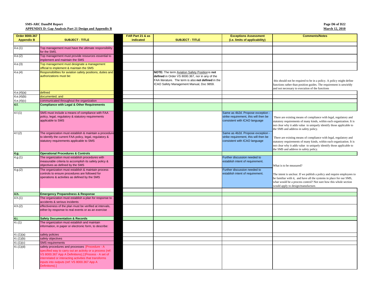| Order 8000.367          |                                                                                                                                                                                                                                                                                              | FAR Part 21 & as |                                                                                                                                                                                                      | <b>Exceptions Assessment</b>                                                                                | <b>Comments/Notes</b>                                                                                                                                                                                                                                       |
|-------------------------|----------------------------------------------------------------------------------------------------------------------------------------------------------------------------------------------------------------------------------------------------------------------------------------------|------------------|------------------------------------------------------------------------------------------------------------------------------------------------------------------------------------------------------|-------------------------------------------------------------------------------------------------------------|-------------------------------------------------------------------------------------------------------------------------------------------------------------------------------------------------------------------------------------------------------------|
| <b>Appendix B</b>       | <b>SUBJECT - TITLE</b>                                                                                                                                                                                                                                                                       | indicated        | <b>SUBJECT - TITLE</b>                                                                                                                                                                               | (i.e. limits of applicability)                                                                              |                                                                                                                                                                                                                                                             |
|                         |                                                                                                                                                                                                                                                                                              |                  |                                                                                                                                                                                                      |                                                                                                             |                                                                                                                                                                                                                                                             |
| 4.e.(1)                 | Top management must have the ultimate responsibility<br>for the SMS.                                                                                                                                                                                                                         |                  |                                                                                                                                                                                                      |                                                                                                             |                                                                                                                                                                                                                                                             |
| 4.e.(2)                 | Top management must provide resources essential to<br>implement and maintain the SMS                                                                                                                                                                                                         |                  |                                                                                                                                                                                                      |                                                                                                             |                                                                                                                                                                                                                                                             |
| 4.e.(3)                 | Top management must designate a management<br>official to implement & maintain the SMS                                                                                                                                                                                                       |                  |                                                                                                                                                                                                      |                                                                                                             |                                                                                                                                                                                                                                                             |
| 4.e.(4)                 | Responsibilities for aviation safety positions, duties and<br>authorizations must be:                                                                                                                                                                                                        |                  | NOTE: The term Aviation Safety Position is not<br>defined in Order VS 8000.367, nor in any of the<br>FAA literature. The term is also not defined in the<br>ICAO Safety Management Manual, Doc 9859. |                                                                                                             | this should not be required to be in a policy. A policy might define<br>functions rather than position guides. The requirement is unwieldy<br>and not necessary to execution of the functions                                                               |
| 4.e.(4)(a)              | defined                                                                                                                                                                                                                                                                                      |                  |                                                                                                                                                                                                      |                                                                                                             |                                                                                                                                                                                                                                                             |
| 4.e.(4)(b)              | documented; and                                                                                                                                                                                                                                                                              |                  |                                                                                                                                                                                                      |                                                                                                             |                                                                                                                                                                                                                                                             |
| 4.e.(4)(c)              | communicated throughout the organization                                                                                                                                                                                                                                                     |                  |                                                                                                                                                                                                      |                                                                                                             |                                                                                                                                                                                                                                                             |
| 4.f.                    | <b>Compliance with Legal &amp; Other Requirements</b>                                                                                                                                                                                                                                        |                  |                                                                                                                                                                                                      |                                                                                                             |                                                                                                                                                                                                                                                             |
| 4.f.(1)                 | SMS must include a means of compliance with FAA<br>policy, legal, regulatory & statutory requirements<br>applicable to SMS                                                                                                                                                                   |                  |                                                                                                                                                                                                      | Same as 4b2d. Propose exception -<br>strike requirement, this will then be<br>consistent with ICAO language | There are existing means of compliance with legal, regulatory and<br>statutory requirements of many kinds, within each organization. It is<br>not clear why it adds value to uniquely identify those applicable to<br>the SMS and address in safety policy. |
| 4.f.(2)                 | The organization must establish & maintain a procedure<br>to identify the current FAA policy, legal, regulatory &<br>statutory requirements applicable to SMS                                                                                                                                |                  |                                                                                                                                                                                                      | Same as 4b2d. Propose exception -<br>strike requirement, this will then be<br>consistent with ICAO language | There are existing means of compliance with legal, regulatory and<br>statutory requirements of many kinds, within each organization. It is<br>not clear why it adds value to uniquely identify those applicable to<br>the SMS and address in safety policy. |
| 4.g.                    | <b>Operational Procedures &amp; Controls</b>                                                                                                                                                                                                                                                 |                  |                                                                                                                                                                                                      |                                                                                                             |                                                                                                                                                                                                                                                             |
| 4.g.(1)                 | The organization must establish procedures with<br>measurable criteria to accomplish its safety policy &<br>objectives as defined by the SMS                                                                                                                                                 |                  |                                                                                                                                                                                                      | Further discussion needed to<br>establish intent of requirement.                                            | What is to be measured?                                                                                                                                                                                                                                     |
| 4.g.(2)                 | The organization must establish & maintain process<br>controls to ensure procedures are followed for<br>operations & activities as defined by the SMS                                                                                                                                        |                  |                                                                                                                                                                                                      | Further discussion needed to<br>establish intent of requirement.                                            | The intent is unclear. If we publish a policy and require employees to<br>be familiar with it, and have all the systems in place for our SMS,<br>what would be a process control? Not sure how this whole section<br>would apply to design/manufacture.     |
|                         |                                                                                                                                                                                                                                                                                              |                  |                                                                                                                                                                                                      |                                                                                                             |                                                                                                                                                                                                                                                             |
| 4.h.                    | <b>Emergency Preparedness &amp; Response</b>                                                                                                                                                                                                                                                 |                  |                                                                                                                                                                                                      |                                                                                                             |                                                                                                                                                                                                                                                             |
| 4.h(1)                  | The organization must establish a plan for response to<br>accidents & serious incidents                                                                                                                                                                                                      |                  |                                                                                                                                                                                                      |                                                                                                             |                                                                                                                                                                                                                                                             |
| 4.h(2)                  | effectiveness of the plan must be verified at intervals,<br>either by response to real events or as an exercise                                                                                                                                                                              |                  |                                                                                                                                                                                                      |                                                                                                             |                                                                                                                                                                                                                                                             |
| 4.i.                    | <b>Safety Documentation &amp; Records</b>                                                                                                                                                                                                                                                    |                  |                                                                                                                                                                                                      |                                                                                                             |                                                                                                                                                                                                                                                             |
| 4.i(1)                  | The organization must establish and maintain<br>information, in paper or electronic form, to describe:                                                                                                                                                                                       |                  |                                                                                                                                                                                                      |                                                                                                             |                                                                                                                                                                                                                                                             |
| 4.i.(1)(a)              | safety policies                                                                                                                                                                                                                                                                              |                  |                                                                                                                                                                                                      |                                                                                                             |                                                                                                                                                                                                                                                             |
| 4.i.(1)(b)              | safety objectives                                                                                                                                                                                                                                                                            |                  |                                                                                                                                                                                                      |                                                                                                             |                                                                                                                                                                                                                                                             |
| $\overline{4.i.(1)}(c)$ | <b>SMS</b> requirements                                                                                                                                                                                                                                                                      |                  |                                                                                                                                                                                                      |                                                                                                             |                                                                                                                                                                                                                                                             |
| $\overline{4.i.(1)(d)}$ | safety procedures and processes [Procedure - A<br>specified way to carry out an activity or a process (ref:<br>/S 8000.367 App A Definitions).] [Process - A set of<br>nterrelated or interacting activities that transforms<br>nputs into outputs (ref: VS 8000.367 App A<br>Definitions).] |                  |                                                                                                                                                                                                      |                                                                                                             |                                                                                                                                                                                                                                                             |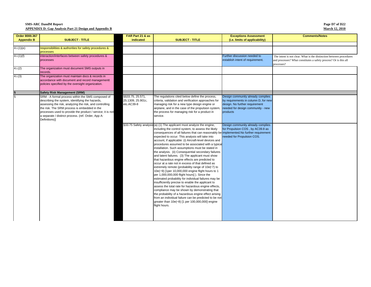| Page D7 of D22        |
|-----------------------|
| <b>March 12, 2010</b> |

| Order 8000.367    |                                                                                                                                                                                                                                                                                                                                                      | FAR Part 21 & as                                    |                                                                                                                                                                                                                                                                                                                                                                                                                                                                                                                                                                                                                                                                                                                                                                                                                                                                                                                                                                                                                                                                                                                                                                                                                                   | <b>Exceptions Assessment</b>                                                                                                                                 | <b>Comments/Notes</b>                                                                                                                                 |
|-------------------|------------------------------------------------------------------------------------------------------------------------------------------------------------------------------------------------------------------------------------------------------------------------------------------------------------------------------------------------------|-----------------------------------------------------|-----------------------------------------------------------------------------------------------------------------------------------------------------------------------------------------------------------------------------------------------------------------------------------------------------------------------------------------------------------------------------------------------------------------------------------------------------------------------------------------------------------------------------------------------------------------------------------------------------------------------------------------------------------------------------------------------------------------------------------------------------------------------------------------------------------------------------------------------------------------------------------------------------------------------------------------------------------------------------------------------------------------------------------------------------------------------------------------------------------------------------------------------------------------------------------------------------------------------------------|--------------------------------------------------------------------------------------------------------------------------------------------------------------|-------------------------------------------------------------------------------------------------------------------------------------------------------|
| <b>Appendix B</b> | <b>SUBJECT - TITLE</b>                                                                                                                                                                                                                                                                                                                               | indicated                                           | <b>SUBJECT - TITLE</b>                                                                                                                                                                                                                                                                                                                                                                                                                                                                                                                                                                                                                                                                                                                                                                                                                                                                                                                                                                                                                                                                                                                                                                                                            | (i.e. limits of applicability)                                                                                                                               |                                                                                                                                                       |
| 4.i.(1)(e)        | responsibilities & authorities for safety procedures &                                                                                                                                                                                                                                                                                               |                                                     |                                                                                                                                                                                                                                                                                                                                                                                                                                                                                                                                                                                                                                                                                                                                                                                                                                                                                                                                                                                                                                                                                                                                                                                                                                   |                                                                                                                                                              |                                                                                                                                                       |
|                   | processes                                                                                                                                                                                                                                                                                                                                            |                                                     |                                                                                                                                                                                                                                                                                                                                                                                                                                                                                                                                                                                                                                                                                                                                                                                                                                                                                                                                                                                                                                                                                                                                                                                                                                   |                                                                                                                                                              |                                                                                                                                                       |
| 4.i.(1)(f)        | interaction/interfaces between safety procedures &<br>processes                                                                                                                                                                                                                                                                                      |                                                     |                                                                                                                                                                                                                                                                                                                                                                                                                                                                                                                                                                                                                                                                                                                                                                                                                                                                                                                                                                                                                                                                                                                                                                                                                                   | Further discussion needed to<br>establish intent of requirement.                                                                                             | The intent is not clear. What is the distinction between procedures<br>and processes? What constitutes a safety process? Or is this all<br>processes? |
| 4.i(2)            | The organization must document SMS outputs in<br>records.                                                                                                                                                                                                                                                                                            |                                                     |                                                                                                                                                                                                                                                                                                                                                                                                                                                                                                                                                                                                                                                                                                                                                                                                                                                                                                                                                                                                                                                                                                                                                                                                                                   |                                                                                                                                                              |                                                                                                                                                       |
| 4.i(3)            | The organization must maintain docs & records in<br>accordance with document and record managementt<br>policies specified by the oversight organization.                                                                                                                                                                                             |                                                     |                                                                                                                                                                                                                                                                                                                                                                                                                                                                                                                                                                                                                                                                                                                                                                                                                                                                                                                                                                                                                                                                                                                                                                                                                                   |                                                                                                                                                              |                                                                                                                                                       |
| 5                 | <b>Safety Risk Management (SRM)</b>                                                                                                                                                                                                                                                                                                                  |                                                     |                                                                                                                                                                                                                                                                                                                                                                                                                                                                                                                                                                                                                                                                                                                                                                                                                                                                                                                                                                                                                                                                                                                                                                                                                                   |                                                                                                                                                              |                                                                                                                                                       |
| 5                 | SRM - A formal process within the SMS composed of<br>describing the system, identifying the hazards,<br>assessing the risk, analyzing the risk, and controlling<br>the risk. The SRM process is embedded in the<br>processes used to provide the product / service; it is not<br>a separate / distinct process. (ref. Order, App A:<br>Definitions)] | §§33.75, 25.571,<br>25.1309, 25.901c,<br>etc.AC39-8 | The regulations cited below define the process,<br>criteria, validation and verification approaches for<br>managing risk for a new type design engine or<br>airplane, and in the case of the propulsion system,<br>the process for managing risk for a product in<br>service.                                                                                                                                                                                                                                                                                                                                                                                                                                                                                                                                                                                                                                                                                                                                                                                                                                                                                                                                                     | Design community already complies<br>by requirements in column D, for new<br>design. No further requirement<br>needed for design community - new<br>products |                                                                                                                                                       |
|                   |                                                                                                                                                                                                                                                                                                                                                      |                                                     | §33.75 Safety analysis (a) (1) The applicant must analyze the engine,<br>including the control system, to assess the likely<br>consequences of all failures that can reasonably be implemented. No further requirement<br>expected to occur. This analysis will take into<br>account, if applicable: (i) Aircraft-level devices and<br>procedures assumed to be associated with a typical<br>installation. Such assumptions must be stated in<br>the analysis. (ii) Consequential secondary failures<br>and latent failures. (3) The applicant must show<br>that hazardous engine effects are predicted to<br>occur at a rate not in excess of that defined as<br>extremely remote (probability range of 10e(-7) to<br>10e(-9) [1per 10,000,000 engine flight hours to 1<br>per 1,000,000,000 flight hours]). Since the<br>estimated probability for individual failures may be<br>insufficiently precise to enable the applicant to<br>assess the total rate for hazardous engine effects,<br>compliance may be shown by demonstrating that<br>the probability of a hazardous engine effect arising<br>from an individual failure can be predicted to be not<br>greater than 10e(-8) [1 per 100,000,000] engine<br>flight hours. | Design community already complies<br>for Propulsion COS, by AC39.8 as<br>needed for Propulsion COS.                                                          |                                                                                                                                                       |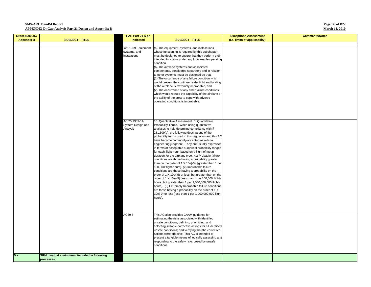#### **Page D8 of D22 March 12, 2010**

| Order 8000.367    |                                               | FAR Part 21 & as                                    |                                                                                                                                                                                                                                                                                                                                                                                                                                                                                                                                                                                                                                                                                                                                                                                                                                                                                                                                                                                                                                                                                                                                                                                             | <b>Exceptions Assessment</b>   | <b>Comments/Notes</b> |
|-------------------|-----------------------------------------------|-----------------------------------------------------|---------------------------------------------------------------------------------------------------------------------------------------------------------------------------------------------------------------------------------------------------------------------------------------------------------------------------------------------------------------------------------------------------------------------------------------------------------------------------------------------------------------------------------------------------------------------------------------------------------------------------------------------------------------------------------------------------------------------------------------------------------------------------------------------------------------------------------------------------------------------------------------------------------------------------------------------------------------------------------------------------------------------------------------------------------------------------------------------------------------------------------------------------------------------------------------------|--------------------------------|-----------------------|
| <b>Appendix B</b> | <b>SUBJECT - TITLE</b>                        | indicated                                           | <b>SUBJECT - TITLE</b>                                                                                                                                                                                                                                                                                                                                                                                                                                                                                                                                                                                                                                                                                                                                                                                                                                                                                                                                                                                                                                                                                                                                                                      | (i.e. limits of applicability) |                       |
|                   |                                               | §25.1309 Equipment,<br>systems, and<br>instalations | (a) The equipment, systems, and installations<br>whose functioning is required by this subchapter,<br>must be designed to ensure that they perform their<br>intended functions under any foreseeable operating<br>condition.<br>(b) The airplane systems and associated<br>components, considered separately and in relation<br>to other systems, must be designed so that-<br>(1) The occurrence of any failure condition which<br>would prevent the continued safe flight and landing<br>of the airplane is extremely improbable, and<br>(2) The occurrence of any other failure conditions<br>which would reduce the capability of the airplane or                                                                                                                                                                                                                                                                                                                                                                                                                                                                                                                                       |                                |                       |
|                   |                                               | AC 25.1309-1A<br>System Design and<br>Analysis      | the ability of the crew to cope with adverse<br>operating conditions is improbable.<br>10. Quantitative Assessment. B. Quantitative<br>Probability Terms. When using quantitative<br>analyses to help determine compliance with §<br>25.1309(b), the following descriptions of the<br>probability terms used in this regulation and this AC<br>have become commonly-accepted as aids to<br>engineering judgment. They are usually expressed<br>in terms of acceptable numerical probability ranges<br>for each flight-hour, based on a flight of mean<br>duration for the airplane type. (1) Probable failure<br>conditions are those having a probability greater<br>than on the order of 1 X 10e(-5), [greater than 1 per<br>100,000 flight-hours}. (2) Improbable failure<br>conditions are those having a probability on the<br>order of 1 X 10e(-5) or less, but greater than on the<br>order of 1 X 10e(-9) [less than 1 per 100,000 flight-<br>hours, but greater than 1 per 1,000,000,000 flight-<br>hours]. (3) Extremely Improbable failure conditions<br>are those having a probability on the order of 1 X<br>10e(-9) or less [less than 1 per 1,000,000,000 flight-<br>hours]. |                                |                       |
| 5.a.              | SRM must, at a minimum, include the following | AC39-8                                              | This AC also provides CAAM guidance for<br>estimating the risks associated with identified<br>unsafe conditions; defining, prioritizing, and<br>selecting suitable corrective actions for all identified<br>unsafe conditions; and verifying that the corrective<br>actions were effective. This AC is intended to<br>present a tangible means of logically assessing and<br>responding to the safety risks posed by unsafe<br>conditions.                                                                                                                                                                                                                                                                                                                                                                                                                                                                                                                                                                                                                                                                                                                                                  |                                |                       |
|                   | processes:                                    |                                                     |                                                                                                                                                                                                                                                                                                                                                                                                                                                                                                                                                                                                                                                                                                                                                                                                                                                                                                                                                                                                                                                                                                                                                                                             |                                |                       |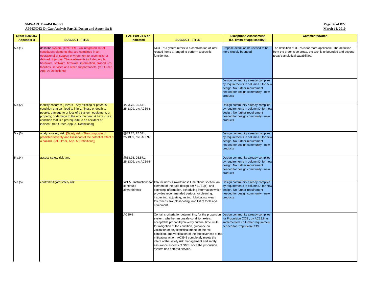#### **Page D9 of D22 March 12, 2010**

| Order 8000.367    |                                                                                                                                                                                                                                                                                                                                                              | FAR Part 21 & as                         |                                                                                                                                                                                                                                                                                                                                                                                                                                                                                                                  | <b>Exceptions Assessment</b>                                                                                                                                 | <b>Comments/Notes</b>                                                                                                                                              |
|-------------------|--------------------------------------------------------------------------------------------------------------------------------------------------------------------------------------------------------------------------------------------------------------------------------------------------------------------------------------------------------------|------------------------------------------|------------------------------------------------------------------------------------------------------------------------------------------------------------------------------------------------------------------------------------------------------------------------------------------------------------------------------------------------------------------------------------------------------------------------------------------------------------------------------------------------------------------|--------------------------------------------------------------------------------------------------------------------------------------------------------------|--------------------------------------------------------------------------------------------------------------------------------------------------------------------|
| <b>Appendix B</b> | <b>SUBJECT - TITLE</b>                                                                                                                                                                                                                                                                                                                                       | indicated                                | <b>SUBJECT - TITLE</b>                                                                                                                                                                                                                                                                                                                                                                                                                                                                                           | (i.e. limits of applicability)                                                                                                                               |                                                                                                                                                                    |
| 5.a.(1)           | describe system; [SYSTEM - An integrated set of<br>constituent elements that are combined in an<br>operational or support environment to accomplish a<br>defined objective. These elements include people,<br>nardware, software, firmware, information, procedures,<br>facilities, services and other support facets. (ref. Order,<br>App. A: Definitions)] |                                          | AC33.75 System refers to a combination of inter-<br>related items arranged to perform a specific<br>function(s).                                                                                                                                                                                                                                                                                                                                                                                                 | Propose definition be revised to be<br>more closely bounded.                                                                                                 | The definition of 33.75 is far more applicable. The definition<br>from the order is so broad, the task is unbounded and beyond<br>today's analytical capabilities. |
|                   |                                                                                                                                                                                                                                                                                                                                                              |                                          |                                                                                                                                                                                                                                                                                                                                                                                                                                                                                                                  | Design community already complies<br>by requirements in column D, for new<br>design. No further requirement<br>needed for design community - new<br>products |                                                                                                                                                                    |
| 5.a.(2)           | identify hazards; [Hazard - Any existing or potential<br>condition that can lead to injury, illness or death to<br>people; damage to or loss of a system, equipment, or<br>property; or damage to the environment. A hazard is a<br>condition that is a prerequisite to an accident or<br>incident. (ref. Order, App. A: Definitions)]                       | §§33.75, 25.571,<br>25.1309, etc.AC39-8  |                                                                                                                                                                                                                                                                                                                                                                                                                                                                                                                  | Design community already complies<br>by requirements in column D, for new<br>design. No further requirement<br>needed for design community - new<br>products |                                                                                                                                                                    |
| 5.a.(3)           | analyze safety risk; [Safety risk - The composite of<br>predicted severity and likelihood of the potential effect o<br>a hazard. (ref. Order, App. A: Definitions)]                                                                                                                                                                                          | §§33.75, 25.571,<br>25.1309, etc. AC39-8 |                                                                                                                                                                                                                                                                                                                                                                                                                                                                                                                  | Design community already complies<br>by requirements in column D, for new<br>design. No further requirement<br>needed for design community - new<br>products |                                                                                                                                                                    |
| 5.a.(4)           | assess safety risk; and                                                                                                                                                                                                                                                                                                                                      | §§33.75, 25.571,<br>25.1309, etc.AC39-8  |                                                                                                                                                                                                                                                                                                                                                                                                                                                                                                                  | Design community already complies<br>by requirements in column D, for new<br>design. No further requirement<br>needed for design community - new<br>products |                                                                                                                                                                    |
| 5.a.(5)           | control/mitigate safety risk                                                                                                                                                                                                                                                                                                                                 | continued<br>airworthiness               | §21.50 Instructions for ICA includes Airworthiness Limitations section, an<br>element of the type design per §21.31(c), and<br>servicing information, scheduling information which<br>provides recommended periods for cleaning,<br>inspecting, adjusting, testing, lubricating, wear<br>tolerances, troubleshooting, and list of tools and<br>equipment.                                                                                                                                                        | Design community already complies<br>by requirements in column D, for new<br>design. No further requirement<br>needed for design community - new<br>products |                                                                                                                                                                    |
|                   |                                                                                                                                                                                                                                                                                                                                                              | AC39-8                                   | Contains criteria for determining, for the propulsion<br>system, whether an unsafe condition exists;<br>acceptable probability/severity criteria, time limits<br>for mitigation of the condition, guidance on<br>validation of any statistical model of the risk<br>condition, and verification of the effectiveness of the<br>mitigating action. AC39-8 completely meets the<br>intent of the safety risk management and safety<br>assurance aspects of SMS, once the propulsion<br>system has entered service. | Design community already complies<br>for Propulsion COS, by AC39.8 as<br>implemented.No further requirement<br>needed for Propulsion COS.                    |                                                                                                                                                                    |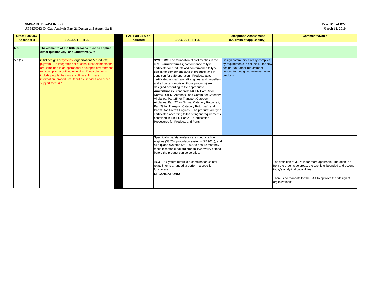**Page D10 of D22 March 12, 2010**

| Order 8000.367    |                                                          | FAR Part 21 & as |                                                                                                       | <b>Exceptions Assessment</b>         | <b>Comments/Notes</b>                                                       |
|-------------------|----------------------------------------------------------|------------------|-------------------------------------------------------------------------------------------------------|--------------------------------------|-----------------------------------------------------------------------------|
| <b>Appendix B</b> | <b>SUBJECT - TITLE</b>                                   | indicated        | <b>SUBJECT - TITLE</b>                                                                                | (i.e. limits of applicability)       |                                                                             |
|                   |                                                          |                  |                                                                                                       |                                      |                                                                             |
| 5.b.              | The elements of the SRM process must be applied,         |                  |                                                                                                       |                                      |                                                                             |
|                   | either qualitatively, or quantitatively, to:             |                  |                                                                                                       |                                      |                                                                             |
|                   |                                                          |                  |                                                                                                       |                                      |                                                                             |
| 5.b.(1)           | initial designs of systems, organizations & products;    |                  | <b>SYSTEMS:</b> The foundation of civil aviation in the                                               | Design community already complies    |                                                                             |
|                   | [System - An integrated set of constituent elements that |                  | U.S. is airworthiness; conformance to type                                                            | by requirements in column D, for new |                                                                             |
|                   | are combined in an operational or support environment    |                  | certificate for products and conformance to type                                                      | design. No further requirement       |                                                                             |
|                   | to accomplish a defined objective. These elements        |                  | design for component parts of products, and in                                                        | needed for design community - new    |                                                                             |
|                   | include people, hardware, software, firmware,            |                  | condition for safe operation. Products (type                                                          | products                             |                                                                             |
|                   | information, procedures, facilities, services and other  |                  | certificated aircraft, aircraft engines, and propellers                                               |                                      |                                                                             |
|                   | support facets) *.                                       |                  | and all parts comprising those products) are                                                          |                                      |                                                                             |
|                   |                                                          |                  | designed according to the appropriate                                                                 |                                      |                                                                             |
|                   |                                                          |                  | Airworthiness Standards: 14CFR Part 23 for                                                            |                                      |                                                                             |
|                   |                                                          |                  | Normal, Utility, Acrobatic, and Commuter Category                                                     |                                      |                                                                             |
|                   |                                                          |                  | Airplanes; Part 25 for Transport Category                                                             |                                      |                                                                             |
|                   |                                                          |                  | Airplanes; Part 27 for Normal Category Rotorcraft,<br>Part 29 for Transport Category Rotorcraft; and, |                                      |                                                                             |
|                   |                                                          |                  | Part 33 for Aircraft Engines. The products are type                                                   |                                      |                                                                             |
|                   |                                                          |                  | certificated according to the stringent requirements                                                  |                                      |                                                                             |
|                   |                                                          |                  | contained in 14CFR Part 21 - Certification                                                            |                                      |                                                                             |
|                   |                                                          |                  | Procedures for Products and Parts.                                                                    |                                      |                                                                             |
|                   |                                                          |                  |                                                                                                       |                                      |                                                                             |
|                   |                                                          |                  |                                                                                                       |                                      |                                                                             |
|                   |                                                          |                  |                                                                                                       |                                      |                                                                             |
|                   |                                                          |                  | Specifically, safety analyses are conducted on                                                        |                                      |                                                                             |
|                   |                                                          |                  | engines (33.75), propulsion systems (25.901c), and                                                    |                                      |                                                                             |
|                   |                                                          |                  | all airplane systems (25.1309) to ensure that they                                                    |                                      |                                                                             |
|                   |                                                          |                  | meet acceptable hazard probability/severity criteria                                                  |                                      |                                                                             |
|                   |                                                          |                  | before the product can be certified.                                                                  |                                      |                                                                             |
|                   |                                                          |                  |                                                                                                       |                                      |                                                                             |
|                   |                                                          |                  | AC33.75 System refers to a combination of inter-                                                      |                                      | The definition of 33.75 is far more applicable. The definition              |
|                   |                                                          |                  | related items arranged to perform a specific                                                          |                                      | from the order is so broad, the task is unbounded and beyond                |
|                   |                                                          |                  | function(s).                                                                                          |                                      | today's analytical capabilities.                                            |
|                   |                                                          |                  | <b>ORGANIZATIONS:</b>                                                                                 |                                      |                                                                             |
|                   |                                                          |                  |                                                                                                       |                                      | There is no mandate for the FAA to approve the "design of<br>organizations" |
|                   |                                                          |                  |                                                                                                       |                                      |                                                                             |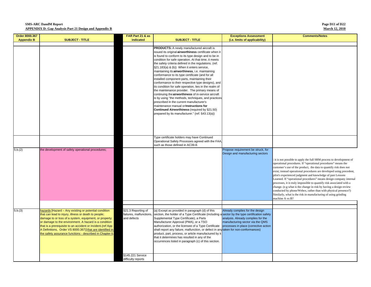#### **Page D11 of D22 March 12, 2010**

| Order 8000.367    |                                                                                                                                                                                                                                                                                                                                                                                                                         | FAR Part 21 & as                                             |                                                                                                                                                                                                                                                                                                                                                                                                                                                                                                                                                                                                                                                                                                                                                                                                                                                                                                                                                          | <b>Exceptions Assessment</b>                                                                                                                                                      | <b>Comments/Notes</b>                                                                                                                                                                                                                                                                                                                                                                                                                                                                                                                                                                                                                                                                                                    |
|-------------------|-------------------------------------------------------------------------------------------------------------------------------------------------------------------------------------------------------------------------------------------------------------------------------------------------------------------------------------------------------------------------------------------------------------------------|--------------------------------------------------------------|----------------------------------------------------------------------------------------------------------------------------------------------------------------------------------------------------------------------------------------------------------------------------------------------------------------------------------------------------------------------------------------------------------------------------------------------------------------------------------------------------------------------------------------------------------------------------------------------------------------------------------------------------------------------------------------------------------------------------------------------------------------------------------------------------------------------------------------------------------------------------------------------------------------------------------------------------------|-----------------------------------------------------------------------------------------------------------------------------------------------------------------------------------|--------------------------------------------------------------------------------------------------------------------------------------------------------------------------------------------------------------------------------------------------------------------------------------------------------------------------------------------------------------------------------------------------------------------------------------------------------------------------------------------------------------------------------------------------------------------------------------------------------------------------------------------------------------------------------------------------------------------------|
| <b>Appendix B</b> | <b>SUBJECT - TITLE</b>                                                                                                                                                                                                                                                                                                                                                                                                  | indicated                                                    | <b>SUBJECT - TITLE</b>                                                                                                                                                                                                                                                                                                                                                                                                                                                                                                                                                                                                                                                                                                                                                                                                                                                                                                                                   | (i.e. limits of applicability)                                                                                                                                                    |                                                                                                                                                                                                                                                                                                                                                                                                                                                                                                                                                                                                                                                                                                                          |
|                   |                                                                                                                                                                                                                                                                                                                                                                                                                         |                                                              | PRODUCTS: A newly manufactured aircraft is<br>issued its original airworthiness certificate when it<br>is found to conform to its type design and to be in<br>condition for safe operation. At that time, it meets<br>the safety criteria defined in the regulations. (ref.<br>§21.183(a) & (b)) When it enters service,<br>maintaining its airworthiness, i.e. maintaining<br>conformance to its type certificate (and for all<br>installed component parts, maintaining their<br>conformance to their respective type designs), and<br>its condition for safe operation, lies in the realm of<br>the maintenance provider. The primary means of<br>continuing the airworthiness of in-service aircraft<br>is by using "the methods, techniques, and practices<br>prescribed in the current manufacturer's<br>maintenance manual or Instructions for<br>Continued Airworthiness (required by §21.50)<br>prepared by its manufacturer." (ref. §43.13(a)) |                                                                                                                                                                                   |                                                                                                                                                                                                                                                                                                                                                                                                                                                                                                                                                                                                                                                                                                                          |
|                   |                                                                                                                                                                                                                                                                                                                                                                                                                         |                                                              | Type certificate holders may have Continued<br>Operational Safety Processes agreed with the FAA,<br>such as those defined in AC39-8.                                                                                                                                                                                                                                                                                                                                                                                                                                                                                                                                                                                                                                                                                                                                                                                                                     |                                                                                                                                                                                   |                                                                                                                                                                                                                                                                                                                                                                                                                                                                                                                                                                                                                                                                                                                          |
| 5.b.(2)           | the development of safety operational procedures;                                                                                                                                                                                                                                                                                                                                                                       |                                                              |                                                                                                                                                                                                                                                                                                                                                                                                                                                                                                                                                                                                                                                                                                                                                                                                                                                                                                                                                          | Propose requirement be struck, for<br>Design and manufacturing sectors                                                                                                            | it is not possible to apply the full SRM process to development of<br>operational procedures. If "operational procedures" means the<br>customer's use of the product, the data to quantify risk does not<br>exist; instead operational procedures are developed using precedent,<br>pilot's experienced judgment and knowledge of past Lessons<br>Learned. If "operational procedures" means design company internal<br>processes, it is truly impossible to quantify risk associated with a<br>change. (e.g what is the change in risk by having a design review<br>conducted by phone/Webex, rather than with physical presence?)<br>Similarly, what is the risk in manufacturing of using grinding<br>machine A vs B? |
|                   |                                                                                                                                                                                                                                                                                                                                                                                                                         |                                                              |                                                                                                                                                                                                                                                                                                                                                                                                                                                                                                                                                                                                                                                                                                                                                                                                                                                                                                                                                          |                                                                                                                                                                                   |                                                                                                                                                                                                                                                                                                                                                                                                                                                                                                                                                                                                                                                                                                                          |
| 5.b.(3)           | hazards [Hazard - Any existing or potential condition<br>that can lead to injury, illness or death to people;<br>damage to or loss of a system, equipment, or property;<br>or damage to the environment. A hazard is a condition<br>that is a prerequisite to an accident or incident.(ref App<br>A Definitions, Order VS 8000.367)] that are identified in<br>the safety assurance functions - described in Chapter 6. | §21.3 Reporting of<br>failures, malfunctions,<br>and defects | (a) Except as provided in paragraph (d) of this<br>section, the holder of a Type Certificate (including a sector by the type certification safety<br>Supplemental Type Certificate), a Parts<br>Manufacturer Approval (PMA), or a TSO<br>authorization, or the licensee of a Type Certificate<br>shall report any failure, malfunction, or defect in an<br>product, part, process, or article manufactured by it<br>that it determines has resulted in any of the<br>occurrences listed in paragraph (c) of this section.                                                                                                                                                                                                                                                                                                                                                                                                                                | Already complies for the design<br>analysis. Already complies for the<br>manufacturing sector via the QMS<br>processes in place (corrective action<br>taken for non-conformances) |                                                                                                                                                                                                                                                                                                                                                                                                                                                                                                                                                                                                                                                                                                                          |
|                   |                                                                                                                                                                                                                                                                                                                                                                                                                         | \$145.221 Service<br>difficulty reports                      |                                                                                                                                                                                                                                                                                                                                                                                                                                                                                                                                                                                                                                                                                                                                                                                                                                                                                                                                                          |                                                                                                                                                                                   |                                                                                                                                                                                                                                                                                                                                                                                                                                                                                                                                                                                                                                                                                                                          |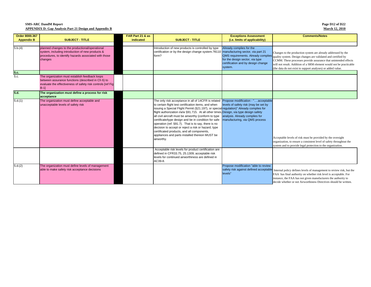| Page D12 of D22       |  |
|-----------------------|--|
| <b>March 12, 2010</b> |  |

| Order 8000.367    |                                                                                                                                                                              | FAR Part 21 & as |                                                                                                                                                                                                                                                                                                                                                                                                                                                                                                                                                                                                                                              | <b>Exceptions Assessment</b>                                                                                                                       | <b>Comments/Notes</b>                                                                                                                                                                                                                                                                                                                   |
|-------------------|------------------------------------------------------------------------------------------------------------------------------------------------------------------------------|------------------|----------------------------------------------------------------------------------------------------------------------------------------------------------------------------------------------------------------------------------------------------------------------------------------------------------------------------------------------------------------------------------------------------------------------------------------------------------------------------------------------------------------------------------------------------------------------------------------------------------------------------------------------|----------------------------------------------------------------------------------------------------------------------------------------------------|-----------------------------------------------------------------------------------------------------------------------------------------------------------------------------------------------------------------------------------------------------------------------------------------------------------------------------------------|
| <b>Appendix B</b> | <b>SUBJECT - TITLE</b>                                                                                                                                                       | indicated        | <b>SUBJECT - TITLE</b>                                                                                                                                                                                                                                                                                                                                                                                                                                                                                                                                                                                                                       | (i.e. limits of applicability)                                                                                                                     |                                                                                                                                                                                                                                                                                                                                         |
| 5.b.(4)           | planned changes to the productional/operational<br>system, including introduction of new products &<br>procedures, to identify hazards associated with those<br>changes      |                  | Introduction of new products is controlled by type<br>certification or by the design change system. ?8110 manufacturing sector, via part 21<br>form?                                                                                                                                                                                                                                                                                                                                                                                                                                                                                         | Already complies for the<br>QMS requirements. Already complies<br>for the design sector, via type<br>certification and by design change<br>system. | Changes to the production system are already addressed by the<br>quality system. Design changes are validated and certified by<br>CCMM. These processes provide assurance that unintended effects<br>will not result. Addition of a SRM element would not be practicable<br>(the data do not exist to support analyses) or added value. |
| 5.c.              |                                                                                                                                                                              |                  |                                                                                                                                                                                                                                                                                                                                                                                                                                                                                                                                                                                                                                              |                                                                                                                                                    |                                                                                                                                                                                                                                                                                                                                         |
| 5.c.              | The organization must establish feedback loops<br>between assurance functions (described in Ch 6) to<br>evaluate the effectiveness of safety risk controls [ref Fig<br>$B-1$ |                  |                                                                                                                                                                                                                                                                                                                                                                                                                                                                                                                                                                                                                                              |                                                                                                                                                    |                                                                                                                                                                                                                                                                                                                                         |
| 5.d.              | The organization must define a process for risk<br>acceptance                                                                                                                |                  |                                                                                                                                                                                                                                                                                                                                                                                                                                                                                                                                                                                                                                              |                                                                                                                                                    |                                                                                                                                                                                                                                                                                                                                         |
| 5.d.(1)           | The organization must define acceptable and<br>unacceptable levels of safety risk                                                                                            |                  | The only risk acceptance in all of 14CFR is related<br>to certain flight test certification items, and when<br>issuing a Special Flight Permit (§21.197), or special regulation)" Already complies for<br>flight authorization i/a/w §91.715. At all other times Design, via type design safety<br>all civil aircraft must be airworthy (conform to type<br>certificate/type design and be in condition for safe<br>operation (ref. §91.7). That is to say, there is no<br>decision to accept or reject a risk or hazard; type<br>certificated products, and all components,<br>appliances and parts installed thereon MUST be<br>airworthy. | Propose modification - "acceptable<br>levels of safety risk (may be set by<br>analysis. Already complies for<br>manufacturing, via QMS process     | Acceptable levels of risk must be provided by the oversight<br>organization, to ensure a consistent level of safety throughout the<br>system and to provide legal protection to the organization.                                                                                                                                       |
|                   |                                                                                                                                                                              |                  | Acceptable risk levels for product certification are<br>defined in CFR33.75, 25.1309; acceptable risk<br>levels for continued airworthiness are defined in<br>AC39-8.                                                                                                                                                                                                                                                                                                                                                                                                                                                                        |                                                                                                                                                    |                                                                                                                                                                                                                                                                                                                                         |
| 5.d.(2)           | The organization must define levels of management<br>able to make safety risk acceptance decisions                                                                           |                  |                                                                                                                                                                                                                                                                                                                                                                                                                                                                                                                                                                                                                                              | Propose modification "able to review<br>safety risk against defined acceptable<br>levels"                                                          | Internal policy defines levels of management to review risk, but the<br>FAA has final authority on whether risk level is acceptable. For<br>instance, the FAA has not given manufacturers the authority to<br>decide whether or not Airworthiness Directives should be written.                                                         |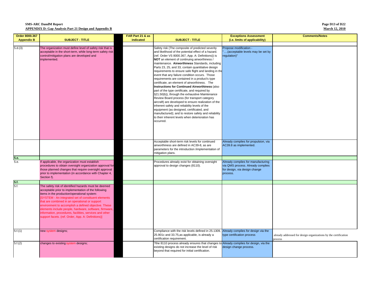**Page D13 of D22 March 12, 2010**

| Order 8000.367    |                                                                                                                                                                                                                                                                                                                                                                                                                                                                                                      | FAR Part 21 & as |                                                                                                                                                                                                                                                                                                                                                                                                                                                                                                                                                                                                                                                                                                                                                                                                                                                                                                                                                                                                                       | <b>Exceptions Assessment</b>                                                                                         | <b>Comments/Notes</b>                                                      |
|-------------------|------------------------------------------------------------------------------------------------------------------------------------------------------------------------------------------------------------------------------------------------------------------------------------------------------------------------------------------------------------------------------------------------------------------------------------------------------------------------------------------------------|------------------|-----------------------------------------------------------------------------------------------------------------------------------------------------------------------------------------------------------------------------------------------------------------------------------------------------------------------------------------------------------------------------------------------------------------------------------------------------------------------------------------------------------------------------------------------------------------------------------------------------------------------------------------------------------------------------------------------------------------------------------------------------------------------------------------------------------------------------------------------------------------------------------------------------------------------------------------------------------------------------------------------------------------------|----------------------------------------------------------------------------------------------------------------------|----------------------------------------------------------------------------|
| <b>Appendix B</b> | <b>SUBJECT - TITLE</b>                                                                                                                                                                                                                                                                                                                                                                                                                                                                               | indicated        | <b>SUBJECT - TITLE</b>                                                                                                                                                                                                                                                                                                                                                                                                                                                                                                                                                                                                                                                                                                                                                                                                                                                                                                                                                                                                | (i.e. limits of applicability)                                                                                       |                                                                            |
| 5.d.(3)           | The organization must define level of safety risk that is<br>acceptable in the short-term, while long-term safety risk<br>control/mitigation plans are developed and<br>implemented.                                                                                                                                                                                                                                                                                                                 |                  | Safety risk (The composite of predicted severity<br>and likelihood of the potential effect of a hazard.<br>(ref. Order VS 8000.367, App. A: Definitions)) is<br>NOT an element of continuing airworthiness /<br>maintenance. Airworthiness Standards, including<br>Parts 23, 25, and 33, contain quantitative design<br>requirements to ensure safe flight and landing in the<br>event that any failure condition occurs. Those<br>requirements are contained in a product's type<br>certificate, an element of airworthiness. The<br>Instructions for Continued Airworthiness (also<br>part of the type certificate, and required by<br>§21.50(b)), through the exhaustive Maintenance<br>Review Board process (for transport category<br>aircraft) are developed to ensure realization of the<br>inherent safety and reliability levels of the<br>equipment (as designed, certificated, and<br>manufactured); and to restore safety and reliability<br>to their inherent levels when deterioration has<br>occurred. | Propose modification -<br>(acceptable levels may be set by<br>regulation)"                                           |                                                                            |
|                   |                                                                                                                                                                                                                                                                                                                                                                                                                                                                                                      |                  | Acceptable short-term risk levels for continued<br>airworthiness are defined in AC39-8, as are<br>parameters for the introduction /implementation of<br>mitigation plans.                                                                                                                                                                                                                                                                                                                                                                                                                                                                                                                                                                                                                                                                                                                                                                                                                                             | Already complies for propulsion, via<br>AC39.8 as implemented.                                                       |                                                                            |
| 5.e.              |                                                                                                                                                                                                                                                                                                                                                                                                                                                                                                      |                  |                                                                                                                                                                                                                                                                                                                                                                                                                                                                                                                                                                                                                                                                                                                                                                                                                                                                                                                                                                                                                       |                                                                                                                      |                                                                            |
| 5.e.              | If applicable, the organization must establish<br>procedures to obtain oversight organization approval for<br>those planned changes that require oversight approval<br>prior to implementation (in accordance with Chapter 4,<br>Section f).                                                                                                                                                                                                                                                         |                  | Procedures already exist for obtaining oversight<br>approval to design changes (8110).                                                                                                                                                                                                                                                                                                                                                                                                                                                                                                                                                                                                                                                                                                                                                                                                                                                                                                                                | Already complies for manufacturing<br>via QMS process. Already complies<br>for design, via design change<br>process. |                                                                            |
| 5.f.              |                                                                                                                                                                                                                                                                                                                                                                                                                                                                                                      |                  |                                                                                                                                                                                                                                                                                                                                                                                                                                                                                                                                                                                                                                                                                                                                                                                                                                                                                                                                                                                                                       |                                                                                                                      |                                                                            |
| 5.f.              | The safety risk of identified hazards must be deemed<br>acceptable prior to implementation of the following<br>items in the production/operational system:<br>SYSTEM - An integrated set of constituent elements<br>that are combined in an operational or support<br>environment to accomplish a defined objective. These<br>elements include people, hardware, software, firmware,<br>nformation, procedures, facilities, services and other<br>support facets. (ref. Order, App. A: Definitions)] |                  |                                                                                                                                                                                                                                                                                                                                                                                                                                                                                                                                                                                                                                                                                                                                                                                                                                                                                                                                                                                                                       |                                                                                                                      |                                                                            |
| 5.f.(1)           | new system designs;                                                                                                                                                                                                                                                                                                                                                                                                                                                                                  |                  | Compliance with the risk levels defined in 25.1309,<br>25.901c and 33.75, as applicable, is already a<br>certification requirement.                                                                                                                                                                                                                                                                                                                                                                                                                                                                                                                                                                                                                                                                                                                                                                                                                                                                                   | Already complies for design via the<br>type certification process                                                    | already addressed for design organizations by the certification<br>process |
| 5.f.(2)           | changes to existing system designs;                                                                                                                                                                                                                                                                                                                                                                                                                                                                  |                  | ?the 8110 process already ensures that changes to Already complies for design, via the<br>existing designs do not increase the level of risk<br>beyond that required for initial certification.                                                                                                                                                                                                                                                                                                                                                                                                                                                                                                                                                                                                                                                                                                                                                                                                                       | design change process.                                                                                               |                                                                            |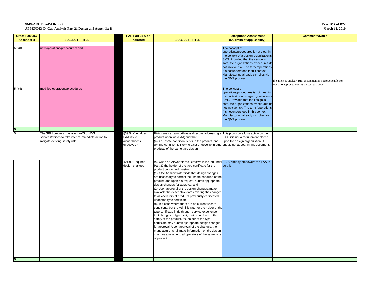**Page D14 of D22 March 12, 2010**

| Order 8000.367    |                                                                                                                                | FAR Part 21 & as                                                                                  |                                                                                                                                                                                                                                                                                                                                                                                                                                                                                                                                                                                                                                                                                                                                                                                                                                                                                                                                                                                                                                                                                                                                                                                                                                                                                                                                                                                                                   | <b>Exceptions Assessment</b>                                                                                                                                                                                                                                                                                              | <b>Comments/Notes</b>                                                                                       |
|-------------------|--------------------------------------------------------------------------------------------------------------------------------|---------------------------------------------------------------------------------------------------|-------------------------------------------------------------------------------------------------------------------------------------------------------------------------------------------------------------------------------------------------------------------------------------------------------------------------------------------------------------------------------------------------------------------------------------------------------------------------------------------------------------------------------------------------------------------------------------------------------------------------------------------------------------------------------------------------------------------------------------------------------------------------------------------------------------------------------------------------------------------------------------------------------------------------------------------------------------------------------------------------------------------------------------------------------------------------------------------------------------------------------------------------------------------------------------------------------------------------------------------------------------------------------------------------------------------------------------------------------------------------------------------------------------------|---------------------------------------------------------------------------------------------------------------------------------------------------------------------------------------------------------------------------------------------------------------------------------------------------------------------------|-------------------------------------------------------------------------------------------------------------|
| <b>Appendix B</b> | <b>SUBJECT - TITLE</b>                                                                                                         | indicated                                                                                         | <b>SUBJECT - TITLE</b>                                                                                                                                                                                                                                                                                                                                                                                                                                                                                                                                                                                                                                                                                                                                                                                                                                                                                                                                                                                                                                                                                                                                                                                                                                                                                                                                                                                            | (i.e. limits of applicability)                                                                                                                                                                                                                                                                                            |                                                                                                             |
|                   |                                                                                                                                |                                                                                                   |                                                                                                                                                                                                                                                                                                                                                                                                                                                                                                                                                                                                                                                                                                                                                                                                                                                                                                                                                                                                                                                                                                                                                                                                                                                                                                                                                                                                                   |                                                                                                                                                                                                                                                                                                                           |                                                                                                             |
| 5.f.(3)           | new operations/procedures; and                                                                                                 |                                                                                                   |                                                                                                                                                                                                                                                                                                                                                                                                                                                                                                                                                                                                                                                                                                                                                                                                                                                                                                                                                                                                                                                                                                                                                                                                                                                                                                                                                                                                                   | The concept of<br>operations/procedures is not clear in<br>the context of a design organization's<br>SMS. Provided that the design is<br>safe, the organizations procedures do<br>not involve risk. The term "operations<br>" is not understood in this context.<br>Manufacturing already complies via<br>the QMS process | the intent is unclear. Risk assessment is not practicable for<br>operations/procedures, as discussed above. |
| 5.f.(4)           | modified operations/procedures                                                                                                 |                                                                                                   |                                                                                                                                                                                                                                                                                                                                                                                                                                                                                                                                                                                                                                                                                                                                                                                                                                                                                                                                                                                                                                                                                                                                                                                                                                                                                                                                                                                                                   | The concept of<br>operations/procedures is not clear in<br>the context of a design organization's<br>SMS. Provided that the design is<br>safe, the organizations procedures do<br>not involve risk. The term "operations<br>" is not understood in this context.<br>Manufacturing already complies via<br>the QMS process |                                                                                                             |
| 5.g.              |                                                                                                                                |                                                                                                   |                                                                                                                                                                                                                                                                                                                                                                                                                                                                                                                                                                                                                                                                                                                                                                                                                                                                                                                                                                                                                                                                                                                                                                                                                                                                                                                                                                                                                   |                                                                                                                                                                                                                                                                                                                           |                                                                                                             |
| 5.g.              | The SRM process may allow AVS or AVS<br>services/offices to take interim immediate action to<br>mitigate existing safety risk. | §39.5 When does<br>FAA issue<br>airworthiness<br>directives?<br>§21.99 Required<br>design changes | FAA issues an airworthiness directive addressing a This provision allows action by the<br>product when we (FAA) find that:<br>(a) An unsafe condition exists in the product; and<br>(b) The condition is likely to exist or develop in other should not appear in this document.<br>products of the same type design.<br>(a) When an Airworthiness Directive is issued under 21.99 already empowers the FAA to<br>Part 39 the holder of the type certificate for the<br>product concerned must-<br>(1) If the Administrator finds that design changes<br>are necessary to correct the unsafe condition of the<br>product, and upon his request, submit appropriate<br>design changes for approval; and<br>(2) Upon approval of the design changes, make<br>available the descriptive data covering the changes<br>to all operators of products previously certificated<br>under the type certificate.<br>(b) In a case where there are no current unsafe<br>conditions, but the Administrator or the holder of the<br>type certificate finds through service experience<br>that changes in type design will contribute to the<br>safety of the product, the holder of the type<br>certificate may submit appropriate design changes<br>for approval. Upon approval of the changes, the<br>manufacturer shall make information on the design<br>changes available to all operators of the same type<br>of product. | FAA, it is not a requirement placed<br>upon the design organization. It<br>do this.                                                                                                                                                                                                                                       |                                                                                                             |
| 5.h.              |                                                                                                                                |                                                                                                   |                                                                                                                                                                                                                                                                                                                                                                                                                                                                                                                                                                                                                                                                                                                                                                                                                                                                                                                                                                                                                                                                                                                                                                                                                                                                                                                                                                                                                   |                                                                                                                                                                                                                                                                                                                           |                                                                                                             |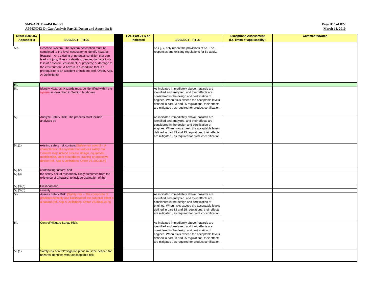#### **Page D15 of D22 March 12, 2010**

| Order 8000.367                    |                                                                                | FAR Part 21 & as |                                                                                                               | <b>Exceptions Assessment</b>   | <b>Comments/Notes</b> |
|-----------------------------------|--------------------------------------------------------------------------------|------------------|---------------------------------------------------------------------------------------------------------------|--------------------------------|-----------------------|
| <b>Appendix B</b>                 | <b>SUBJECT - TITLE</b>                                                         | indicated        | <b>SUBJECT - TITLE</b>                                                                                        | (i.e. limits of applicability) |                       |
| 5.h.                              | Describe System. The system description must be                                |                  | 5h,i, j, k, only repeat the provisions of 5a. The                                                             |                                |                       |
|                                   | completed to the level necessary to identify hazards.                          |                  | responses and existing regulations for 5a apply.                                                              |                                |                       |
|                                   | [Hazard - Any existing or potential condition that can                         |                  |                                                                                                               |                                |                       |
|                                   | lead to injury, illness or death to people; damage to or                       |                  |                                                                                                               |                                |                       |
|                                   | loss of a system, equipment, or property; or damage to                         |                  |                                                                                                               |                                |                       |
|                                   | the environment. A hazard is a condition that is a                             |                  |                                                                                                               |                                |                       |
|                                   | prerequisite to an accident or incident. (ref. Order, App.<br>A; Definitions)] |                  |                                                                                                               |                                |                       |
|                                   |                                                                                |                  |                                                                                                               |                                |                       |
|                                   |                                                                                |                  |                                                                                                               |                                |                       |
| $\frac{5 \text{.}i}{5 \text{.}i}$ | dentify Hazards. Hazards must be identified within the                         |                  | As indicated immediately above, hazards are                                                                   |                                |                       |
|                                   | system as described in Section h (above).                                      |                  | identified and analyzed, and their effects are                                                                |                                |                       |
|                                   |                                                                                |                  | considered in the design and certification of                                                                 |                                |                       |
|                                   |                                                                                |                  | engines. When risks exceed the acceptable levels                                                              |                                |                       |
|                                   |                                                                                |                  | defined in part 33 and 25 regulations, their effects<br>are mitigated, as required for product certification. |                                |                       |
|                                   |                                                                                |                  |                                                                                                               |                                |                       |
| 5.j.                              | Analyze Safety Risk. The process must include                                  |                  | As indicated immediately above, hazards are                                                                   |                                |                       |
|                                   | analyses of:                                                                   |                  | identified and analyzed, and their effects are                                                                |                                |                       |
|                                   |                                                                                |                  | considered in the design and certification of                                                                 |                                |                       |
|                                   |                                                                                |                  | engines. When risks exceed the acceptable levels<br>defined in part 33 and 25 regulations, their effects      |                                |                       |
|                                   |                                                                                |                  | are mitigated, as required for product certification.                                                         |                                |                       |
|                                   |                                                                                |                  |                                                                                                               |                                |                       |
| 5.j.(1)                           | existing safety risk controls [Safety risk control - A                         |                  |                                                                                                               |                                |                       |
|                                   | characteristic of a system that reduces safety risk.                           |                  |                                                                                                               |                                |                       |
|                                   | Controls may include process design, equipment                                 |                  |                                                                                                               |                                |                       |
|                                   | nodification, work procedures, training or protective                          |                  |                                                                                                               |                                |                       |
|                                   | device.(ref. App A Definitions, Order VS 800.367)]                             |                  |                                                                                                               |                                |                       |
| 5.j.(2)                           | contributing factors; and                                                      |                  |                                                                                                               |                                |                       |
| 5.j.(3)                           | the safety risk of reasonably likely outcomes from the                         |                  |                                                                                                               |                                |                       |
|                                   | existence of a hazard, to include estimation of the:                           |                  |                                                                                                               |                                |                       |
| 5.j.(3)(a)                        | likelihood and                                                                 |                  |                                                                                                               |                                |                       |
| 5.j.(3)(b)                        | severity                                                                       |                  |                                                                                                               |                                |                       |
| 5. k                              | Assess Safety Risk. [Safety risk - The composite of                            |                  | As indicated immediately above, hazards are                                                                   |                                |                       |
|                                   | predicted severity and likelihood of the potential effect of                   |                  | identified and analyzed, and their effects are                                                                |                                |                       |
|                                   | a hazard.(ref. App A Definitions, Order VS 8000.367)]                          |                  | considered in the design and certification of                                                                 |                                |                       |
|                                   |                                                                                |                  | engines. When risks exceed the acceptable levels                                                              |                                |                       |
|                                   |                                                                                |                  | defined in part 33 and 25 regulations, their effects<br>are mitigated, as required for product certification. |                                |                       |
|                                   |                                                                                |                  |                                                                                                               |                                |                       |
| 5.1.                              | Control/Mitigate Safety Risk.                                                  |                  | As indicated immediately above, hazards are                                                                   |                                |                       |
|                                   |                                                                                |                  | identified and analyzed, and their effects are                                                                |                                |                       |
|                                   |                                                                                |                  | considered in the design and certification of                                                                 |                                |                       |
|                                   |                                                                                |                  | engines. When risks exceed the acceptable levels                                                              |                                |                       |
|                                   |                                                                                |                  | defined in part 33 and 25 regulations, their effects<br>are mitigated, as required for product certification. |                                |                       |
|                                   |                                                                                |                  |                                                                                                               |                                |                       |
| 5.1(1)                            | Safety risk control/mitigation plans must be defined for                       |                  |                                                                                                               |                                |                       |
|                                   | hazards identified with unacceptable risk.                                     |                  |                                                                                                               |                                |                       |
|                                   |                                                                                |                  |                                                                                                               |                                |                       |
|                                   |                                                                                |                  |                                                                                                               |                                |                       |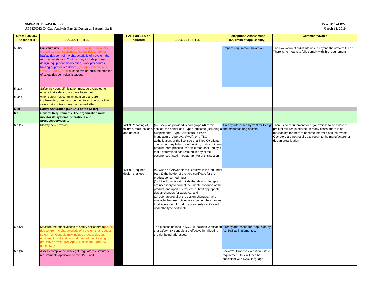| Page D16 of D22       |  |
|-----------------------|--|
| <b>March 12, 2010</b> |  |

| Order 8000.367    |                                                                                                                                                                                                                                                                                                                                                                                                                                               | FAR Part 21 & as                                             |                                                                                                                                                                                                                                                                                                                                                                                                                                                                                                                                            | <b>Exceptions Assessment</b>                                                                           | <b>Comments/Notes</b>                                                                                                                                                                                                                                                                                   |
|-------------------|-----------------------------------------------------------------------------------------------------------------------------------------------------------------------------------------------------------------------------------------------------------------------------------------------------------------------------------------------------------------------------------------------------------------------------------------------|--------------------------------------------------------------|--------------------------------------------------------------------------------------------------------------------------------------------------------------------------------------------------------------------------------------------------------------------------------------------------------------------------------------------------------------------------------------------------------------------------------------------------------------------------------------------------------------------------------------------|--------------------------------------------------------------------------------------------------------|---------------------------------------------------------------------------------------------------------------------------------------------------------------------------------------------------------------------------------------------------------------------------------------------------------|
| <b>Appendix B</b> | <b>SUBJECT - TITLE</b>                                                                                                                                                                                                                                                                                                                                                                                                                        | indicated                                                    | <b>SUBJECT - TITLE</b>                                                                                                                                                                                                                                                                                                                                                                                                                                                                                                                     | (i.e. limits of applicability)                                                                         |                                                                                                                                                                                                                                                                                                         |
|                   |                                                                                                                                                                                                                                                                                                                                                                                                                                               |                                                              |                                                                                                                                                                                                                                                                                                                                                                                                                                                                                                                                            |                                                                                                        |                                                                                                                                                                                                                                                                                                         |
| 5.1(2)            | Substitute risk [Substitute risk - Risk unintentionally<br>created as a consequence of safety risk control(s)<br>[Safety risk control - A characteristic of a system that<br>reduces safety risk. Controls may include process<br>design, equipment modification, work procedures,<br>training or protective device.].(ref App A Definitions,<br>Order VS 8000.367)] must be evaluated in the creation<br>of safety risk controls/mitigations |                                                              |                                                                                                                                                                                                                                                                                                                                                                                                                                                                                                                                            | Propose requirement be struck.                                                                         | The evaluation of substitute risk is beyond the state of the art.<br>There is no means to fully comply with this requirement                                                                                                                                                                            |
| 5.1(3)            | Safety risk control/mitigation must be evaluated to                                                                                                                                                                                                                                                                                                                                                                                           |                                                              |                                                                                                                                                                                                                                                                                                                                                                                                                                                                                                                                            |                                                                                                        |                                                                                                                                                                                                                                                                                                         |
| 5.1(4)            | ensure that safety rqmts have been met<br>when safety risk control/mitigation plans are<br>implemented, they must be monitored to ensure that                                                                                                                                                                                                                                                                                                 |                                                              |                                                                                                                                                                                                                                                                                                                                                                                                                                                                                                                                            |                                                                                                        |                                                                                                                                                                                                                                                                                                         |
|                   | safety risk controls have the desired effect.                                                                                                                                                                                                                                                                                                                                                                                                 |                                                              |                                                                                                                                                                                                                                                                                                                                                                                                                                                                                                                                            |                                                                                                        |                                                                                                                                                                                                                                                                                                         |
| 6.00              | Safety Assurance [Ref Ch 4 of the Order]                                                                                                                                                                                                                                                                                                                                                                                                      |                                                              |                                                                                                                                                                                                                                                                                                                                                                                                                                                                                                                                            |                                                                                                        |                                                                                                                                                                                                                                                                                                         |
| 6.a.              | <b>General Requirements. The organization must</b><br>monitor its systems, operations and<br>products/services to:                                                                                                                                                                                                                                                                                                                            |                                                              |                                                                                                                                                                                                                                                                                                                                                                                                                                                                                                                                            |                                                                                                        |                                                                                                                                                                                                                                                                                                         |
| 6.a.(1)           | dentify new hazards;                                                                                                                                                                                                                                                                                                                                                                                                                          | §21.3 Reporting of<br>failures, mallfunctions<br>and defects | (a) Except as provided in paragraph (d) of this<br>section, the holder of a Type Certificate (including a and manufacturing sectors.<br>Supplemental Type Certificate), a Parts<br>Manufacturer Approval (PMA), or a TSO<br>authorization, or the licensee of a Type Certificate<br>shall report any failure, malfunction, or defect in any<br>product, part, process, or article manufactured by it<br>that it determines has resulted in any of the<br>occurrences listed in paragraph (c) of this section.                              |                                                                                                        | Already addressed by 21.3 for Design There is no requirement for organizations to be aware of<br>product failures in service. In many cases, there is no<br>mechanism for them to become informed of such events.<br>Operators are not required to report to the manufacturer or<br>design organization |
|                   |                                                                                                                                                                                                                                                                                                                                                                                                                                               | §21.99 Required<br>design changes                            | (a) When an Airworthiness Directive is issued under<br>Part 39 the holder of the type certificate for the<br>product concerned must-<br>(1) If the Administrator finds that design changes<br>are necessary to correct the unsafe condition of the<br>product, and upon his request, submit appropriate<br>design changes for approval; and<br>(2) Upon approval of the design changes, make<br>available the descriptive data covering the changes<br>to all operators of products previously certificated<br>under the type certificate. |                                                                                                        |                                                                                                                                                                                                                                                                                                         |
| 6.a.(2)           | Measure the effectiveness of safety risk controls Safet<br>isk control - A characteristic of a system that reduces<br>safety risk. Controls may include process design,<br>equipment modification, work procedures, training or<br>protective device. (ref. App A Definitions, Order VS<br>8000.367)],                                                                                                                                        |                                                              | The process defined in AC39-8 includes verification Already addressed for Propulsion by<br>that safety risk controls are effective in mitigating<br>the risk being addressed.                                                                                                                                                                                                                                                                                                                                                              | AC 39.8 as implemented.                                                                                |                                                                                                                                                                                                                                                                                                         |
| 6.a.(3)           | Assess compliance with legal, regulatory & statutory<br>requirements applicable to the SMS; and                                                                                                                                                                                                                                                                                                                                               |                                                              |                                                                                                                                                                                                                                                                                                                                                                                                                                                                                                                                            | See4b2d. Propose exception - strike<br>requirement, this will then be<br>consistent with ICAO language |                                                                                                                                                                                                                                                                                                         |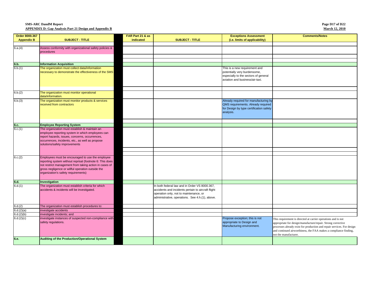| Order 8000.367    |                                                                                                                                                                                                                                                                    | FAR Part 21 & as |                                                                                                                                                                                                  | <b>Exceptions Assessment</b>                                                                                                             | <b>Comments/Notes</b>                                                                                                                                                                                                                                                                                |
|-------------------|--------------------------------------------------------------------------------------------------------------------------------------------------------------------------------------------------------------------------------------------------------------------|------------------|--------------------------------------------------------------------------------------------------------------------------------------------------------------------------------------------------|------------------------------------------------------------------------------------------------------------------------------------------|------------------------------------------------------------------------------------------------------------------------------------------------------------------------------------------------------------------------------------------------------------------------------------------------------|
| <b>Appendix B</b> | <b>SUBJECT - TITLE</b>                                                                                                                                                                                                                                             | indicated        | <b>SUBJECT - TITLE</b>                                                                                                                                                                           | (i.e. limits of applicability)                                                                                                           |                                                                                                                                                                                                                                                                                                      |
|                   |                                                                                                                                                                                                                                                                    |                  |                                                                                                                                                                                                  |                                                                                                                                          |                                                                                                                                                                                                                                                                                                      |
| 6.a.(4)           | Assess conformity with organizational safety policies &<br>procedures                                                                                                                                                                                              |                  |                                                                                                                                                                                                  |                                                                                                                                          |                                                                                                                                                                                                                                                                                                      |
|                   |                                                                                                                                                                                                                                                                    |                  |                                                                                                                                                                                                  |                                                                                                                                          |                                                                                                                                                                                                                                                                                                      |
|                   |                                                                                                                                                                                                                                                                    |                  |                                                                                                                                                                                                  |                                                                                                                                          |                                                                                                                                                                                                                                                                                                      |
| 6.b.              | <b>Information Acquisition</b>                                                                                                                                                                                                                                     |                  |                                                                                                                                                                                                  |                                                                                                                                          |                                                                                                                                                                                                                                                                                                      |
| 6.b.(1)           | The organization must collect data/information<br>necessary to demonstrate the effectiveness of the SMS                                                                                                                                                            |                  |                                                                                                                                                                                                  | This is a new requirement and<br>potentially very burdensome,<br>especially to the sectors of general<br>aviation and business/air-taxi. |                                                                                                                                                                                                                                                                                                      |
| 6.b.(2)           | The organization must monitor operational                                                                                                                                                                                                                          |                  |                                                                                                                                                                                                  |                                                                                                                                          |                                                                                                                                                                                                                                                                                                      |
|                   | data/information.                                                                                                                                                                                                                                                  |                  |                                                                                                                                                                                                  |                                                                                                                                          |                                                                                                                                                                                                                                                                                                      |
| 6.b.(3)           | The organization must monitor products & services<br>received from contractors                                                                                                                                                                                     |                  |                                                                                                                                                                                                  | Already required for manufacturing by<br>QMS requirements. Already required<br>for Design by type certification safety<br>analysis.      |                                                                                                                                                                                                                                                                                                      |
|                   |                                                                                                                                                                                                                                                                    |                  |                                                                                                                                                                                                  |                                                                                                                                          |                                                                                                                                                                                                                                                                                                      |
| 6.c.<br>6.c.(1)   | <b>Employee Reporting System</b>                                                                                                                                                                                                                                   |                  |                                                                                                                                                                                                  |                                                                                                                                          |                                                                                                                                                                                                                                                                                                      |
|                   | The organization must establish & maintain an<br>employee reporting system in which employees can<br>report hazards, issues, concerns, occurrences,<br>occurrences, incidents, etc., as well as propose<br>solutions/safety improvements                           |                  |                                                                                                                                                                                                  |                                                                                                                                          |                                                                                                                                                                                                                                                                                                      |
|                   |                                                                                                                                                                                                                                                                    |                  |                                                                                                                                                                                                  |                                                                                                                                          |                                                                                                                                                                                                                                                                                                      |
| 6.c.(2)           | Employees must be encouraged to use the employee<br>reporting system without reprisal (footnote 6: This does<br>not restrict management from taking action in cases of<br>gross negligence or willful operation outside the<br>organization's safety requirements) |                  |                                                                                                                                                                                                  |                                                                                                                                          |                                                                                                                                                                                                                                                                                                      |
| 6.d.              | Investigation                                                                                                                                                                                                                                                      |                  |                                                                                                                                                                                                  |                                                                                                                                          |                                                                                                                                                                                                                                                                                                      |
| 6.d.(1)           | The organization must establish criteria for which<br>accidents & incidents will be investigated.                                                                                                                                                                  |                  | In both federal law and in Order VS 8000.367,<br>accidents and incidents pertain to aircraft flight<br>operation only, not to maintenance, or<br>administrative, operations. See 4.h.(1), above. |                                                                                                                                          |                                                                                                                                                                                                                                                                                                      |
| 6.d.(2)           | The organization must establish procedures to:                                                                                                                                                                                                                     |                  |                                                                                                                                                                                                  |                                                                                                                                          |                                                                                                                                                                                                                                                                                                      |
| 6.d.(2)(a)        | investigate accidents                                                                                                                                                                                                                                              |                  |                                                                                                                                                                                                  |                                                                                                                                          |                                                                                                                                                                                                                                                                                                      |
| 6.d.(2)(b)        | investigate incidents; and                                                                                                                                                                                                                                         |                  |                                                                                                                                                                                                  |                                                                                                                                          |                                                                                                                                                                                                                                                                                                      |
| 6.d.(2)(c)        | investigate instances of suspected non-compliance with<br>safety regulations.                                                                                                                                                                                      |                  |                                                                                                                                                                                                  | Propose exception; this is not<br>appropriate to Design and<br>Manufacturing environment.                                                | This requirement is directed at carrier operations and is not<br>appropriate for design/manufacture/repair. Strong corrective<br>processes already exist for production and repair services. For design<br>and continued airworthiness, the FAA makes a compliance finding,<br>not the manufacturer. |
| 6.e.              | Auditing of the Production/Operational System                                                                                                                                                                                                                      |                  |                                                                                                                                                                                                  |                                                                                                                                          |                                                                                                                                                                                                                                                                                                      |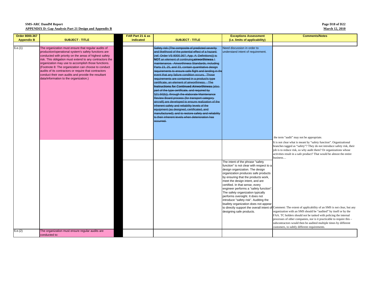| Page D18 of D22       |  |
|-----------------------|--|
| <b>March 12, 2010</b> |  |

| Order 8000.367    |                                                                                                                                                                                                                                                                                                                                                                                                                                                                                                          | FAR Part 21 & as |                                                                                                                                                                                                                                                                                                                                                                                                                                                                                                                                                                                                                                                                                                                                                                                                                                                                                                                                                                                                                         | <b>Exceptions Assessment</b>                                                                                                                                                                                                                                                                                                                                                                                                                                                                       | <b>Comments/Notes</b>                                                                                                                                                                                                                                                                                                                                                                                                                              |
|-------------------|----------------------------------------------------------------------------------------------------------------------------------------------------------------------------------------------------------------------------------------------------------------------------------------------------------------------------------------------------------------------------------------------------------------------------------------------------------------------------------------------------------|------------------|-------------------------------------------------------------------------------------------------------------------------------------------------------------------------------------------------------------------------------------------------------------------------------------------------------------------------------------------------------------------------------------------------------------------------------------------------------------------------------------------------------------------------------------------------------------------------------------------------------------------------------------------------------------------------------------------------------------------------------------------------------------------------------------------------------------------------------------------------------------------------------------------------------------------------------------------------------------------------------------------------------------------------|----------------------------------------------------------------------------------------------------------------------------------------------------------------------------------------------------------------------------------------------------------------------------------------------------------------------------------------------------------------------------------------------------------------------------------------------------------------------------------------------------|----------------------------------------------------------------------------------------------------------------------------------------------------------------------------------------------------------------------------------------------------------------------------------------------------------------------------------------------------------------------------------------------------------------------------------------------------|
| <b>Appendix B</b> | <b>SUBJECT - TITLE</b>                                                                                                                                                                                                                                                                                                                                                                                                                                                                                   | indicated        | <b>SUBJECT - TITLE</b>                                                                                                                                                                                                                                                                                                                                                                                                                                                                                                                                                                                                                                                                                                                                                                                                                                                                                                                                                                                                  | (i.e. limits of applicability)                                                                                                                                                                                                                                                                                                                                                                                                                                                                     |                                                                                                                                                                                                                                                                                                                                                                                                                                                    |
| 6.e.(1)           | The organization must ensure that regular audits of<br>production/operational system's safety functions are<br>conducted with priority on the areas of highest safety<br>risk. This obligation must extend to any contractors the<br>organization may use to accomplish those functions.<br>(Footnote 8: The organization can choose to conduct<br>audits of its contractors or require that contractors<br>conduct their own audits and provide the resultant<br>data/information to the organization.) |                  | Safety risk (The composite of predicted severity-<br>and likelihood of the potential effect of a hazard.<br>(ref. Order VS 8000.367, App. A: Definitions)) is<br>NOT an element of continuing airworthiness /<br>maintenance. Airworthiness Standards, including<br>Parts 23, 25, and 33, contain quantitative design<br>requirements to ensure safe flight and landing in the<br>event that any failure condition occurs. Those<br>requirements are contained in a product's type<br>certificate, an element of airworthiness. The<br>Instructions for Continued Airworthiness (also-<br>part of the type certificate, and required by<br>§21.50(b)), through the elaborate Maintenance<br>Review Board process (for transport category-<br>aircraft) are developed to ensure realization of the<br>inherent safety and reliability levels of the<br>equipment (as designed, certificated, and<br>manufactured); and to restore safety and reliability<br>to their inherent levels when deterioration has<br>occurred. | Need discussion in order to<br>understand intent of requirement.                                                                                                                                                                                                                                                                                                                                                                                                                                   |                                                                                                                                                                                                                                                                                                                                                                                                                                                    |
|                   |                                                                                                                                                                                                                                                                                                                                                                                                                                                                                                          |                  |                                                                                                                                                                                                                                                                                                                                                                                                                                                                                                                                                                                                                                                                                                                                                                                                                                                                                                                                                                                                                         |                                                                                                                                                                                                                                                                                                                                                                                                                                                                                                    | the term "audit" may not be appropriate.<br>It is not clear what is meant by "safety function". Organizational<br>branches tagged as "safety"? They do not introduce safety risk, their<br>job is to reduce risk, so why audit them? Or organizations whose<br>activities result in a safe product? That would be almost the entire<br>business                                                                                                    |
|                   |                                                                                                                                                                                                                                                                                                                                                                                                                                                                                                          |                  |                                                                                                                                                                                                                                                                                                                                                                                                                                                                                                                                                                                                                                                                                                                                                                                                                                                                                                                                                                                                                         | The intent of the phrase "safety<br>function" is not clear with respect to a<br>design organization. The design<br>organization produces safe products<br>by ensuring that the products work,<br>meet the design intent, and are<br>certified. In that sense, every<br>engineer performs a "safety function".<br>The safety organization typically<br>performs oversight. It does not<br>introduce "safety risk". Auditing the<br>bsafety organization does not appear<br>designing safe products. | to directly support the overall intent of Comment: The extent of applicability of an SMS is not clear, but any<br>organization with an SMS should be "audited" by itself or by the<br>FAA. TC holders should not be tasked with policing the internal<br>processes of other companies, nor is it practicable to require this -<br>subcontractors would then be audited multiple times by different<br>customers, to subtly different requirements. |
| 6.e.(2)           | The organization must ensure regular audits are<br>conducted to:                                                                                                                                                                                                                                                                                                                                                                                                                                         |                  |                                                                                                                                                                                                                                                                                                                                                                                                                                                                                                                                                                                                                                                                                                                                                                                                                                                                                                                                                                                                                         |                                                                                                                                                                                                                                                                                                                                                                                                                                                                                                    |                                                                                                                                                                                                                                                                                                                                                                                                                                                    |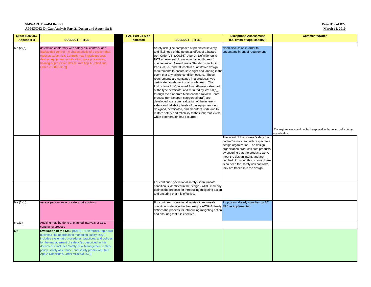**Page D19 of D22 March 12, 2010**

| Order 8000.367    |                                                                                                                                                                                                                                                                                                                                                                                     | FAR Part 21 & as |                                                                                                                                                                                                                                                                                                                                                                                                                                                                                                                                                                                                                                                                                                                                                                                                                                                                                                                                                                                                                   | <b>Exceptions Assessment</b>                                                                                                                                                                                                                                                                                         | <b>Comments/Notes</b>                                                                |
|-------------------|-------------------------------------------------------------------------------------------------------------------------------------------------------------------------------------------------------------------------------------------------------------------------------------------------------------------------------------------------------------------------------------|------------------|-------------------------------------------------------------------------------------------------------------------------------------------------------------------------------------------------------------------------------------------------------------------------------------------------------------------------------------------------------------------------------------------------------------------------------------------------------------------------------------------------------------------------------------------------------------------------------------------------------------------------------------------------------------------------------------------------------------------------------------------------------------------------------------------------------------------------------------------------------------------------------------------------------------------------------------------------------------------------------------------------------------------|----------------------------------------------------------------------------------------------------------------------------------------------------------------------------------------------------------------------------------------------------------------------------------------------------------------------|--------------------------------------------------------------------------------------|
| <b>Appendix B</b> | <b>SUBJECT - TITLE</b>                                                                                                                                                                                                                                                                                                                                                              | indicated        | <b>SUBJECT - TITLE</b>                                                                                                                                                                                                                                                                                                                                                                                                                                                                                                                                                                                                                                                                                                                                                                                                                                                                                                                                                                                            | (i.e. limits of applicability)                                                                                                                                                                                                                                                                                       |                                                                                      |
| 6.e.(2)(a)        | determine conformity with safety risk controls; and<br>Safety risk control - A characteristic of a system that<br>educes safety risk. Controls may include process<br>design, equipment modification, work procedures,<br>training or protective device. (ref App A Definitions,<br>Order VS8000.367)]                                                                              |                  | Safety risk (The composite of predicted severity<br>and likelihood of the potential effect of a hazard.<br>(ref. Order VS 8000.367, App. A: Definitions)) is<br>NOT an element of continuing airworthiness /<br>maintenance. Airworthiness Standards, including<br>Parts 23, 25, and 33, contain quantitative design<br>requirements to ensure safe flight and landing in the<br>event that any failure condition occurs. Those<br>requirements are contained in a product's type<br>certificate, an element of airworthiness. The<br>Instructions for Continued Airworthiness (also part<br>of the type certificate, and required by §21.50(b)),<br>through the elaborate Maintenance Review Board<br>process (for transport category aircraft) are<br>developed to ensure realization of the inherent<br>safety and reliability levels of the equipment (as<br>designed, certificated, and manufactured); and to<br>restore safety and reliability to their inherent levels<br>when deterioration has occurred. | Need discussion in order to<br>understand intent of requirement.                                                                                                                                                                                                                                                     |                                                                                      |
|                   |                                                                                                                                                                                                                                                                                                                                                                                     |                  |                                                                                                                                                                                                                                                                                                                                                                                                                                                                                                                                                                                                                                                                                                                                                                                                                                                                                                                                                                                                                   | The intent of the phrase "safety risk                                                                                                                                                                                                                                                                                | The requirement could not be interpreted in the context of a design<br>organization. |
|                   |                                                                                                                                                                                                                                                                                                                                                                                     |                  |                                                                                                                                                                                                                                                                                                                                                                                                                                                                                                                                                                                                                                                                                                                                                                                                                                                                                                                                                                                                                   | control" is not clear with respect to a<br>design organization. The design<br>organization produces safe products<br>by ensuring that the products work,<br>meet the design intent, and are<br>certified. Provided this is done, there<br>is no need for "safety risk controls",<br>they are frozen into the design. |                                                                                      |
|                   |                                                                                                                                                                                                                                                                                                                                                                                     |                  | For continued operational safety - if an unsafe<br>condition is identified in the design - AC39-8 clearly<br>defines the process for introducing mitigating action<br>and ensuring that it is effective.                                                                                                                                                                                                                                                                                                                                                                                                                                                                                                                                                                                                                                                                                                                                                                                                          |                                                                                                                                                                                                                                                                                                                      |                                                                                      |
| 6.e.(2)(b)        | assess performance of safety risk controls                                                                                                                                                                                                                                                                                                                                          |                  | For continued operational safety - if an unsafe<br>condition is identified in the design - AC39-8 clearly 39.8 as implemented.<br>defines the process for introducing mitigating actior<br>and ensuring that it is effective.                                                                                                                                                                                                                                                                                                                                                                                                                                                                                                                                                                                                                                                                                                                                                                                     | Propulsion already complies by AC                                                                                                                                                                                                                                                                                    |                                                                                      |
| 6.e.(3)           | Auditing may be done at planned intervals or as a<br>continuing process                                                                                                                                                                                                                                                                                                             |                  |                                                                                                                                                                                                                                                                                                                                                                                                                                                                                                                                                                                                                                                                                                                                                                                                                                                                                                                                                                                                                   |                                                                                                                                                                                                                                                                                                                      |                                                                                      |
| 6.f.              | Evaluation of the SMS [(SMS) - The formal, top-down<br>business-like approach to managing safety risk. It<br>includes systematic procedures, practices, and policies<br>for the management of safety (as described in this<br>document it includes Safety Risk Management, safety<br>policy, safety assurance, and safety promotion). (ref<br>App A Definitions, Order VS8000.367)] |                  |                                                                                                                                                                                                                                                                                                                                                                                                                                                                                                                                                                                                                                                                                                                                                                                                                                                                                                                                                                                                                   |                                                                                                                                                                                                                                                                                                                      |                                                                                      |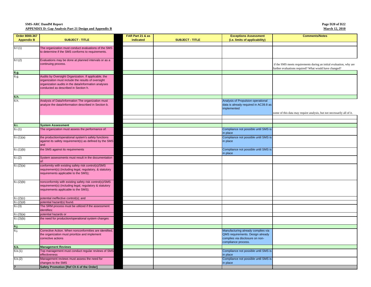| Page D <sub>20</sub> of D <sub>22</sub> |  |
|-----------------------------------------|--|
| <b>March 12. 2010</b>                   |  |

| Order 8000.367    |                                                                | FAR Part 21 & as |                        | <b>Exceptions Assessment</b>                     | <b>Comments/Notes</b>                                                  |
|-------------------|----------------------------------------------------------------|------------------|------------------------|--------------------------------------------------|------------------------------------------------------------------------|
| <b>Appendix B</b> | <b>SUBJECT - TITLE</b>                                         | indicated        | <b>SUBJECT - TITLE</b> | (i.e. limits of applicability)                   |                                                                        |
|                   |                                                                |                  |                        |                                                  |                                                                        |
| 6.f.(1)           | The organization must conduct evaluations of the SMS           |                  |                        |                                                  |                                                                        |
|                   | to determine if the SMS conforms to requirements.              |                  |                        |                                                  |                                                                        |
|                   | Evaluations may be done at planned intervals or as a           |                  |                        |                                                  |                                                                        |
| 6.f.(2)           | continuing process.                                            |                  |                        |                                                  | if the SMS meets requirements during an initial evaluation, why are    |
|                   |                                                                |                  |                        |                                                  | further evaluations required? What would have changed?                 |
| 6.g.              |                                                                |                  |                        |                                                  |                                                                        |
| 6.g.              | Audits by Oversight Organization. If applicable, the           |                  |                        |                                                  |                                                                        |
|                   | organization must include the results of oversight             |                  |                        |                                                  |                                                                        |
|                   | organization audits in the data/information analyses           |                  |                        |                                                  |                                                                        |
|                   | conducted as described in Section h.                           |                  |                        |                                                  |                                                                        |
|                   |                                                                |                  |                        |                                                  |                                                                        |
| 6.h.<br>6.h.      | Analysis of Data/Information The organization must             |                  |                        | Analysis of Propulsion operational               |                                                                        |
|                   | analyze the data/information described in Section b.           |                  |                        | data is already required in AC39.8 as            |                                                                        |
|                   |                                                                |                  |                        | implemented                                      |                                                                        |
|                   |                                                                |                  |                        |                                                  | some of this data may require analysis, but not necessarily all of it. |
|                   |                                                                |                  |                        |                                                  |                                                                        |
|                   |                                                                |                  |                        |                                                  |                                                                        |
| 6.1.              | <b>System Assessment</b>                                       |                  |                        |                                                  |                                                                        |
| 6.i.(1)           | The organization must assess the performance of:               |                  |                        | Compliance not possible until SMS is             |                                                                        |
|                   |                                                                |                  |                        | in place                                         |                                                                        |
| 6.i.(1)(a)        | the production/operational system's safety functions           |                  |                        | Compliance not possible until SMS is             |                                                                        |
|                   | against its safety requirement(s) as defined by the SMS<br>and |                  |                        | in place                                         |                                                                        |
| 6.i.(1)(b)        | the SMS against its requirements                               |                  |                        | Compliance not possible until SMS is             |                                                                        |
|                   |                                                                |                  |                        | in place                                         |                                                                        |
| 6.i(2)            | System assessments must result in the documentation            |                  |                        |                                                  |                                                                        |
|                   |                                                                |                  |                        |                                                  |                                                                        |
| 6.i.(2)(a)        | conformity with existing safety risk control(s)/SMS            |                  |                        |                                                  |                                                                        |
|                   | requirement(s) (including legal, regulatory, & statutory       |                  |                        |                                                  |                                                                        |
|                   | requirements applicable to the SMS);                           |                  |                        |                                                  |                                                                        |
|                   | nonconformity with existing safety risk control(s)/SMS         |                  |                        |                                                  |                                                                        |
| 6.i.(2)(b)        | requirement(s) (including legal, regulatory & statutory        |                  |                        |                                                  |                                                                        |
|                   | requirements applicable to the SMS);                           |                  |                        |                                                  |                                                                        |
|                   |                                                                |                  |                        |                                                  |                                                                        |
| 6.i.(2)(c)        | potential ineffective control(s); and                          |                  |                        |                                                  |                                                                        |
| 6.i.(2)(d)        | potential hazard(s) found.                                     |                  |                        |                                                  |                                                                        |
| 6.i.(3)           | The SRM process must be utilized if the assessment             |                  |                        |                                                  |                                                                        |
|                   | identifies:                                                    |                  |                        |                                                  |                                                                        |
| 6.i.(3)(a)        | potential hazards or                                           |                  |                        |                                                  |                                                                        |
| 6.i.(3)(b)        | the need for production/operational system changes             |                  |                        |                                                  |                                                                        |
| 6.j.              |                                                                |                  |                        |                                                  |                                                                        |
| 6j                | Corrective Action. When nonconformities are identified,        |                  |                        | Manufacturing already complies via               |                                                                        |
|                   | the organization must prioritize and implement                 |                  |                        | QMS requirements. Design already                 |                                                                        |
|                   | corrective actions                                             |                  |                        | complies via disclosure on non-                  |                                                                        |
|                   |                                                                |                  |                        | compliance process.                              |                                                                        |
| 6.k.              | <b>Management Reviews</b>                                      |                  |                        |                                                  |                                                                        |
| 6.k.(1)           | Top management must conduct regular reviews of SMS             |                  |                        | Compliance not possible until SMS is             |                                                                        |
|                   | effectiveness<br>Management reviews must assess the need for   |                  |                        | in place<br>Compliance not possible until SMS is |                                                                        |
| 6.k.(2)           | changes to the SMS                                             |                  |                        | in place                                         |                                                                        |
|                   | Safety Promotion [Ref Ch 6 of the Order]                       |                  |                        |                                                  |                                                                        |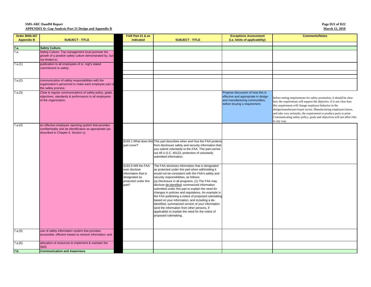| Page D21 of D22       |  |
|-----------------------|--|
| <b>March 12, 2010</b> |  |

| Order 8000.367      |                                                                                                                                                         | FAR Part 21 & as                                                                                              |                                                                                                                                                                                                                                                                                                                                                                                                                                                                                                                                                                                                                                                                                                               | <b>Exceptions Assessment</b>                                                                                                                | <b>Comments/Notes</b>                                                                                                                                                                                                                                                                                                                                                                                                                   |
|---------------------|---------------------------------------------------------------------------------------------------------------------------------------------------------|---------------------------------------------------------------------------------------------------------------|---------------------------------------------------------------------------------------------------------------------------------------------------------------------------------------------------------------------------------------------------------------------------------------------------------------------------------------------------------------------------------------------------------------------------------------------------------------------------------------------------------------------------------------------------------------------------------------------------------------------------------------------------------------------------------------------------------------|---------------------------------------------------------------------------------------------------------------------------------------------|-----------------------------------------------------------------------------------------------------------------------------------------------------------------------------------------------------------------------------------------------------------------------------------------------------------------------------------------------------------------------------------------------------------------------------------------|
| <b>Appendix B</b>   | <b>SUBJECT - TITLE</b>                                                                                                                                  | indicated                                                                                                     | <b>SUBJECT - TITLE</b>                                                                                                                                                                                                                                                                                                                                                                                                                                                                                                                                                                                                                                                                                        | (i.e. limits of applicability)                                                                                                              |                                                                                                                                                                                                                                                                                                                                                                                                                                         |
|                     |                                                                                                                                                         |                                                                                                               |                                                                                                                                                                                                                                                                                                                                                                                                                                                                                                                                                                                                                                                                                                               |                                                                                                                                             |                                                                                                                                                                                                                                                                                                                                                                                                                                         |
|                     | <b>Safety Culture.</b>                                                                                                                                  |                                                                                                               |                                                                                                                                                                                                                                                                                                                                                                                                                                                                                                                                                                                                                                                                                                               |                                                                                                                                             |                                                                                                                                                                                                                                                                                                                                                                                                                                         |
| $\frac{7.a.}{7.a.}$ | Safety Culture. Top management must promote the<br>growth of a positive safety culture demonstrated by, but<br>not limited to:                          |                                                                                                               |                                                                                                                                                                                                                                                                                                                                                                                                                                                                                                                                                                                                                                                                                                               |                                                                                                                                             |                                                                                                                                                                                                                                                                                                                                                                                                                                         |
| 7.a.(1)             | publication to all employees of sr. mgt's stated<br>commitment to safety;                                                                               |                                                                                                               |                                                                                                                                                                                                                                                                                                                                                                                                                                                                                                                                                                                                                                                                                                               |                                                                                                                                             |                                                                                                                                                                                                                                                                                                                                                                                                                                         |
|                     |                                                                                                                                                         |                                                                                                               |                                                                                                                                                                                                                                                                                                                                                                                                                                                                                                                                                                                                                                                                                                               |                                                                                                                                             |                                                                                                                                                                                                                                                                                                                                                                                                                                         |
| 7.a.(2)             | communication of safety responsibilities with the<br>organization's personnel to make each employee part of<br>the safety process;                      |                                                                                                               |                                                                                                                                                                                                                                                                                                                                                                                                                                                                                                                                                                                                                                                                                                               |                                                                                                                                             |                                                                                                                                                                                                                                                                                                                                                                                                                                         |
| 7.a.(3)             | Clear & regular communications of safety policy, goals,<br>objectives, standards & performance to all employees<br>of the organization;                 |                                                                                                               |                                                                                                                                                                                                                                                                                                                                                                                                                                                                                                                                                                                                                                                                                                               | Propose discussion of how this is<br>effective and appropriate in design<br>and manufacturing communities,<br>before levying a requirement. | before setting requirements for safety promotion, it should be clear<br>how the requirement will support the objective. It is not clear how<br>this requirement will change employee behavior in the<br>design/manufacture/repair sector. Manufacturing employees know,<br>and take very seriously, the requirement to produce parts to print.<br>Communicating safety policy, goals and objectives will not affect this<br>in any way. |
| 7.a.(4)             | an effective employee reporting system that provides<br>confidentiality and de-identification as appropriate (as<br>described in Chapter 6, Section c); |                                                                                                               |                                                                                                                                                                                                                                                                                                                                                                                                                                                                                                                                                                                                                                                                                                               |                                                                                                                                             |                                                                                                                                                                                                                                                                                                                                                                                                                                         |
|                     |                                                                                                                                                         | part cover?                                                                                                   | §193.1 What does this This part describes when and how the FAA protects<br>from disclosure safety and security information that<br>you submit voluntarily to the FAA. This part carries<br>out 49 U.S.C. 40123, protection of voluntarily<br>submitted information.                                                                                                                                                                                                                                                                                                                                                                                                                                           |                                                                                                                                             |                                                                                                                                                                                                                                                                                                                                                                                                                                         |
|                     |                                                                                                                                                         | §193.9 Will the FAA<br>ever disclose<br>information that is<br>designated as<br>protected under this<br>part? | The FAA discloses information that is designated<br>as protected under this part when withholding it<br>would not be consistent with the FAA's safety and<br>security responsibilities, as follows:<br>(a) Disclosure in all programs. (1) The FAA may<br>disclose de-identified, summarized information<br>submitted under this part to explain the need for<br>changes in policies and regulations. An example is<br>the FAA publishing a notice of proposed rulemaking<br>based on your information, and including a de-<br>identified, summarized version of your information<br>(and the information from other persons, if<br>applicable) to explain the need for the notice of<br>proposed rulemaking. |                                                                                                                                             |                                                                                                                                                                                                                                                                                                                                                                                                                                         |
| 7.a.(5)             | use of safety information system that provides<br>accessible, efficient means to retreive information; and                                              |                                                                                                               |                                                                                                                                                                                                                                                                                                                                                                                                                                                                                                                                                                                                                                                                                                               |                                                                                                                                             |                                                                                                                                                                                                                                                                                                                                                                                                                                         |
| 7.a.(6)             | allocation of resources to implement & maintain the<br><b>SMS</b>                                                                                       |                                                                                                               |                                                                                                                                                                                                                                                                                                                                                                                                                                                                                                                                                                                                                                                                                                               |                                                                                                                                             |                                                                                                                                                                                                                                                                                                                                                                                                                                         |
| 7.b.                | <b>Communication and Awareness</b>                                                                                                                      |                                                                                                               |                                                                                                                                                                                                                                                                                                                                                                                                                                                                                                                                                                                                                                                                                                               |                                                                                                                                             |                                                                                                                                                                                                                                                                                                                                                                                                                                         |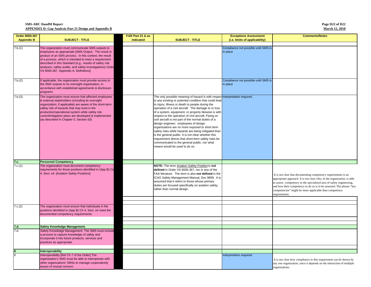**Page D22 of D22 March 12, 2010**

| Order 8000.367    |                                                                                                                                                                                                                                                                                                                                                                                               | FAR Part 21 & as |                                                                                                                                                                                                                                                                                                                                                                                                                                                                                                                                                                                                                                                                                                                                                                              | <b>Exceptions Assessment</b>                     | <b>Comments/Notes</b>                                                                                                                                                                                                                                                                                                                                              |
|-------------------|-----------------------------------------------------------------------------------------------------------------------------------------------------------------------------------------------------------------------------------------------------------------------------------------------------------------------------------------------------------------------------------------------|------------------|------------------------------------------------------------------------------------------------------------------------------------------------------------------------------------------------------------------------------------------------------------------------------------------------------------------------------------------------------------------------------------------------------------------------------------------------------------------------------------------------------------------------------------------------------------------------------------------------------------------------------------------------------------------------------------------------------------------------------------------------------------------------------|--------------------------------------------------|--------------------------------------------------------------------------------------------------------------------------------------------------------------------------------------------------------------------------------------------------------------------------------------------------------------------------------------------------------------------|
| <b>Appendix B</b> | <b>SUBJECT - TITLE</b>                                                                                                                                                                                                                                                                                                                                                                        | indicated        | <b>SUBJECT - TITLE</b>                                                                                                                                                                                                                                                                                                                                                                                                                                                                                                                                                                                                                                                                                                                                                       | (i.e. limits of applicability)                   |                                                                                                                                                                                                                                                                                                                                                                    |
|                   |                                                                                                                                                                                                                                                                                                                                                                                               |                  |                                                                                                                                                                                                                                                                                                                                                                                                                                                                                                                                                                                                                                                                                                                                                                              |                                                  |                                                                                                                                                                                                                                                                                                                                                                    |
| 7.b.(1)           | The organization must communicate SMS outputs to<br>employees as appropriate [SMS Output - The result or<br>product of an SMS process. In this context, the result<br>of a process, which is intended to meet a requirement<br>described in this Standard (e.g., results of safety risk<br>analyses, safety audits, and safety investigations) Order<br>VS 8000.367, Appendix A: Definitions] |                  |                                                                                                                                                                                                                                                                                                                                                                                                                                                                                                                                                                                                                                                                                                                                                                              | Compliance not possible until SMS is<br>in place |                                                                                                                                                                                                                                                                                                                                                                    |
| 7.b.(2)           | If applicable, the organization must provide access to<br>the SMS outputs to its oversight organization, in<br>accordance with established agreements & disclosure<br>programs                                                                                                                                                                                                                |                  |                                                                                                                                                                                                                                                                                                                                                                                                                                                                                                                                                                                                                                                                                                                                                                              | Compliance not possible until SMS is<br>in place |                                                                                                                                                                                                                                                                                                                                                                    |
| 7.b.(3)           | The organization must ensure that affected employees<br>& external stakeholders (including its oversight<br>organization, if applicable) are aware of the short-term<br>safety risk of hazards that may exist in the<br>production/operational system while safety risk<br>control/mitigation plans are developed & implemented<br>(as described in Chapter 5, Section d3)                    |                  | The only possible meaning of hazard is with respect Interpretation required.<br>to any existing or potential condition that could lead<br>to injury, illness or death to people during the<br>operation of a civil aircraft. The damage to or loss<br>of a system, equipment, or property likewise is with<br>respect to the operation of civil aircraft. Flying on<br>civil aircraft is not part of the normal duties of a<br>design engineer; employees of design<br>organizations are no more exposed to short term<br>safety risks while hazards are being mitigated than<br>is the general public. It is not clear whether this<br>requirement directs that short-term safety risks be<br>communicated to the general public, nor what<br>means would be used to do so. |                                                  |                                                                                                                                                                                                                                                                                                                                                                    |
|                   | <b>Personnel Competency</b>                                                                                                                                                                                                                                                                                                                                                                   |                  |                                                                                                                                                                                                                                                                                                                                                                                                                                                                                                                                                                                                                                                                                                                                                                              |                                                  |                                                                                                                                                                                                                                                                                                                                                                    |
| 7.c.<br>7.c.(1)   | The organization must document competency<br>requirements for those positions identified in (App B) Ch<br>4, Sect. e4. [Aviation Safety Positions]                                                                                                                                                                                                                                            |                  | NOTE: The term Aviation Safety Position is not<br>defined in Order VS 8000.367, nor in any of the<br>FAA literature. The term is also not defined in the<br>ICAO Safety Management Manual, Doc 9859. It is<br>assumed that it refers to those whose primary<br>duties are focused specifically on aviation safety,<br>rather than normal design.                                                                                                                                                                                                                                                                                                                                                                                                                             |                                                  | It is not clear that documenting competency requirements is an<br>appropriate approach. It is not clear who, in the organization, is able<br>to assess competency in the specialized area of safety engineering,<br>and how their competency to do so is to be assessed. The phrase "key<br>competencies" might be more applicable than competency<br>equirements. |
| 7.c.(2)           | The organization must ensure that individuals in the<br>positions identified in (App B) Ch 4, Sect. e4 meet the<br>documented competency requirements.                                                                                                                                                                                                                                        |                  |                                                                                                                                                                                                                                                                                                                                                                                                                                                                                                                                                                                                                                                                                                                                                                              |                                                  |                                                                                                                                                                                                                                                                                                                                                                    |
|                   |                                                                                                                                                                                                                                                                                                                                                                                               |                  |                                                                                                                                                                                                                                                                                                                                                                                                                                                                                                                                                                                                                                                                                                                                                                              |                                                  |                                                                                                                                                                                                                                                                                                                                                                    |
| 7.d.              | Safety Knowledge Management.                                                                                                                                                                                                                                                                                                                                                                  |                  |                                                                                                                                                                                                                                                                                                                                                                                                                                                                                                                                                                                                                                                                                                                                                                              |                                                  |                                                                                                                                                                                                                                                                                                                                                                    |
| 7.d.              | Safety Knowledge Management. The SMS must include<br>a process to capture knowledge of safety and<br>incorporate it into future products, services and<br>practices as appropriate.                                                                                                                                                                                                           |                  |                                                                                                                                                                                                                                                                                                                                                                                                                                                                                                                                                                                                                                                                                                                                                                              |                                                  |                                                                                                                                                                                                                                                                                                                                                                    |
|                   | Interoperability                                                                                                                                                                                                                                                                                                                                                                              |                  |                                                                                                                                                                                                                                                                                                                                                                                                                                                                                                                                                                                                                                                                                                                                                                              |                                                  |                                                                                                                                                                                                                                                                                                                                                                    |
| $\overline{8}$    | Interoperability [Ref Ch 7 of the Order] The<br>organization's SMS must be able to interoperate with<br>other organizations' SMSs to manage cooperatively<br>issues of mutual concern.                                                                                                                                                                                                        |                  |                                                                                                                                                                                                                                                                                                                                                                                                                                                                                                                                                                                                                                                                                                                                                                              | Interpretation required.                         | It is not clear how compliance to this requirement can be shown by<br>any one organization, since it depends on the interaction of multiple<br>organizations.                                                                                                                                                                                                      |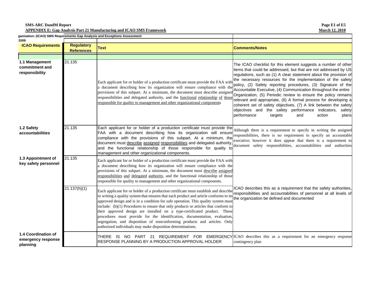**SMS-ARC DandM Report APPENDIX E: Gap Analysis Part 21 Manufacturing and ICAO SMS Framework**

**Page E1 of E5 March 12, 2010**

| 2009                                                  |                                        | ganization: (ICAO) SMS Requirements Gap Analysis and Exceptions Assessment                                                                                                                                                                                                                                                                                                                                                                                                                                                                                                                                                                                         |                                                                                                                                                                                                                                                                                                                                                                                                                                                                                                                                                                                                                                                                                                                                       |
|-------------------------------------------------------|----------------------------------------|--------------------------------------------------------------------------------------------------------------------------------------------------------------------------------------------------------------------------------------------------------------------------------------------------------------------------------------------------------------------------------------------------------------------------------------------------------------------------------------------------------------------------------------------------------------------------------------------------------------------------------------------------------------------|---------------------------------------------------------------------------------------------------------------------------------------------------------------------------------------------------------------------------------------------------------------------------------------------------------------------------------------------------------------------------------------------------------------------------------------------------------------------------------------------------------------------------------------------------------------------------------------------------------------------------------------------------------------------------------------------------------------------------------------|
| <b>ICAO Requirements</b>                              | <b>Regulatory</b><br><b>References</b> | <b>Text</b>                                                                                                                                                                                                                                                                                                                                                                                                                                                                                                                                                                                                                                                        | <b>Comments/Notes</b>                                                                                                                                                                                                                                                                                                                                                                                                                                                                                                                                                                                                                                                                                                                 |
|                                                       |                                        |                                                                                                                                                                                                                                                                                                                                                                                                                                                                                                                                                                                                                                                                    |                                                                                                                                                                                                                                                                                                                                                                                                                                                                                                                                                                                                                                                                                                                                       |
| 1.1 Management<br>commitment and<br>responsibility    | 21.135                                 | Each applicant for or holder of a production certificate must provide the FAA with<br>a document describing how its organization will ensure compliance with th<br>provisions of this subpart. At a minimum, the document must describe assigne<br>responsibilities and delegated authority, and the functional relationship of those<br>responsible for quality to management and other organizational components                                                                                                                                                                                                                                                 | The ICAO checklist for this element suggests a number of other<br>items that could be addressed, but that are not addressed by US<br>regulations, such as (1) A clear statement about the provision of<br>the necessary resources for the implementation of the safety<br>policy, (2) Safety reporting procedures, (3) Signature of the<br>Accountable Executive, (4) Communication throughout the entire<br>Organization, (5) Periodic review to ensure the policy remains<br>relevant and appropriate, (6) A formal process for developing a<br>coherent set of safety objectives, (7) A link between the safety<br>objectives and the safety performance indicators,<br>safety<br>performance<br>action<br>targets<br>and<br>plans |
| 1.2 Safety<br>accountabilities                        | 21.135                                 | Each applicant for or holder of a production certificate must provide the<br>FAA with a document describing how its organization will ensure<br>compliance with the provisions of this subpart. At a minimum, the<br>document must describe assigned responsibilities and delegated authority,<br>and the functional relationship of those responsible for quality<br>management and other organizational components.                                                                                                                                                                                                                                              | Although there is a requirement to specify in writing the assigned<br>responsibilities, there is no requirement to specify an accountable<br>executive; however it does appear that there is a requirement to<br>document safety responsibilities, accountabilities and authorities                                                                                                                                                                                                                                                                                                                                                                                                                                                   |
| 21.135<br>1.3 Appointment of<br>key safety personnel  |                                        | Each applicant for or holder of a production certificate must provide the FAA with<br>a document describing how its organization will ensure compliance with the<br>provisions of this subpart. At a minimum, the document must describe assigned<br>responsibilities and delegated authority, and the functional relationship of those<br>responsible for quality to management and other organizational components.                                                                                                                                                                                                                                              |                                                                                                                                                                                                                                                                                                                                                                                                                                                                                                                                                                                                                                                                                                                                       |
|                                                       | 21.137(h)(1)                           | Each applicant for or holder of a production certificate must establish and describe<br>in writing a quality system that ensures that each product and article conforms to its<br>approved design and is in a condition for safe operation. This quality system must<br>include: (h)(1) Procedures to ensure that only products or articles that conform to<br>their approved design are installed on a type-certificated product. These<br>procedures must provide for the identification, documentation, evaluation,<br>segregation, and disposition of nonconforming products and articles. Only<br>authorized individuals may make disposition determinations. | ICAO describes this as a requirement that the safety authorities,<br>responsibilities and accountabilities of personnel at all levels of<br>the organization be defined and documented                                                                                                                                                                                                                                                                                                                                                                                                                                                                                                                                                |
| 1.4 Coordination of<br>emergency response<br>planning |                                        | THERE IS NO PART 21 REQUIREMENT FOR EMERGENCY ICAO describes this as a requirement for an emergency response<br>RESPONSE PLANNING BY A PRODUCTION APPROVAL HOLDER                                                                                                                                                                                                                                                                                                                                                                                                                                                                                                  | contingency plan                                                                                                                                                                                                                                                                                                                                                                                                                                                                                                                                                                                                                                                                                                                      |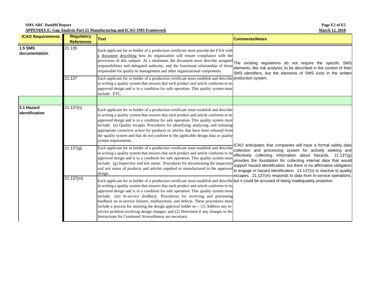**Page E2 of E5 March 12, 2010**

**SMS-ARC DandM Report APPENDIX E: Gap Analysis Part 21 Manufacturing and ICAO SMS Framework**

| <b>ICAO Requirements</b>        | <b>Regulatory</b><br><b>References</b> | <b>Text</b>                                                                                                                                                                                                                                                                                                                                                                                                                                                                                                                                                                                                                                                                                                                          | <b>Comments/Notes</b>                                                                                                                                                                                                                                                                                                                                                                                           |
|---------------------------------|----------------------------------------|--------------------------------------------------------------------------------------------------------------------------------------------------------------------------------------------------------------------------------------------------------------------------------------------------------------------------------------------------------------------------------------------------------------------------------------------------------------------------------------------------------------------------------------------------------------------------------------------------------------------------------------------------------------------------------------------------------------------------------------|-----------------------------------------------------------------------------------------------------------------------------------------------------------------------------------------------------------------------------------------------------------------------------------------------------------------------------------------------------------------------------------------------------------------|
| <b>1.5 SMS</b><br>documentation | 21.135                                 | Each applicant for or holder of a production certificate must provide the FAA with<br>a document describing how its organization will ensure compliance with the<br>provisions of this subpart. At a minimum, the document must describe assigned The existing regulations do not require the specific SMS<br>responsibilities and delegated authority, and the functional relationship of those<br>responsible for quality to management and other organizational components.                                                                                                                                                                                                                                                       | elements, like risk analysis, to be described in the context of their<br>SMS identifiers, but the elements of SMS exist in the written                                                                                                                                                                                                                                                                          |
|                                 | 21.137                                 | Each applicant for or holder of a production certificate must establish and describe production system.<br>in writing a quality system that ensures that each product and article conforms to its<br>approved design and is in a condition for safe operation. This quality system must<br>include: ETC.                                                                                                                                                                                                                                                                                                                                                                                                                             |                                                                                                                                                                                                                                                                                                                                                                                                                 |
|                                 |                                        |                                                                                                                                                                                                                                                                                                                                                                                                                                                                                                                                                                                                                                                                                                                                      |                                                                                                                                                                                                                                                                                                                                                                                                                 |
| 2.1 Hazard<br>lidentification   | 21.137(n)                              | Each applicant for or holder of a production certificate must establish and describe<br>in writing a quality system that ensures that each product and article conforms to its<br>approved design and is in a condition for safe operation. This quality system must<br>include: (n) Quality escapes. Procedures for identifying, analyzing, and initiating<br>appropriate corrective action for products or articles that have been released from<br>the quality system and that do not conform to the applicable design data or quality<br>system requirements.                                                                                                                                                                    | ICAO anticipates that companies will have a formal safety data                                                                                                                                                                                                                                                                                                                                                  |
|                                 | 21.137(g)                              | Each applicant for or holder of a production certificate must establish and describe<br>in writing a quality system that ensures that each product and article conforms to it<br>approved design and is in a condition for safe operation. This quality system must<br>include: (g) Inspection and test status. Procedures for documenting the inspection<br>and test status of products and articles supplied or manufactured to the approved<br>design.                                                                                                                                                                                                                                                                            | collection and processing system for actively seeking and<br>effectively collecting information about hazards. 21.137(g)<br>provides the foundation for collecting internal data that would<br>support hazard identification, but there is no affirmative obligation<br>to engage in hazard identification. 21.137(n) is reactive to quality<br>escapes. 21.137(m) responds to data from in-service operations, |
|                                 | 21.137(m)                              | Each applicant for or holder of a production certificate must establish and describe but it could be accused of being inadequately proactive.<br>in writing a quality system that ensures that each product and article conforms to its<br>approved design and is in a condition for safe operation. This quality system must<br>include: (m) In-service feedback. Procedures for receiving and processing<br>feedback on in-service failures, malfunctions, and defects. These procedures must<br>include a process for assisting the design approval holder to-(1) Address any in-<br>service problem involving design changes; and (2) Determine if any changes to the<br>Instructions for Continued Airworthiness are necessary. |                                                                                                                                                                                                                                                                                                                                                                                                                 |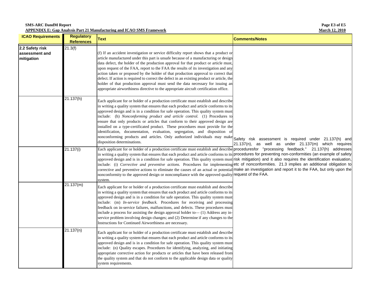**SMS-ARC DandM Report APPENDIX E: Gap Analysis Part 21 Manufacturing and ICAO SMS Framework**

**Page E3 of E5 March 12, 2010**

| <b>ICAO Requirements</b>                        | <b>Regulatory</b><br><b>References</b> | <b>Text</b>                                                                                                                                                                                                                                                                                                                                                                                                                                                                                                                                                                                                                                                                                                                                                                                                                                                                                    | <b>Comments/Notes</b>                                                                                          |
|-------------------------------------------------|----------------------------------------|------------------------------------------------------------------------------------------------------------------------------------------------------------------------------------------------------------------------------------------------------------------------------------------------------------------------------------------------------------------------------------------------------------------------------------------------------------------------------------------------------------------------------------------------------------------------------------------------------------------------------------------------------------------------------------------------------------------------------------------------------------------------------------------------------------------------------------------------------------------------------------------------|----------------------------------------------------------------------------------------------------------------|
| 2.2 Safety risk<br>assessment and<br>mitigation | 21.3(f)                                | (f) If an accident investigation or service difficulty report shows that a product or<br>article manufactured under this part is unsafe because of a manufacturing or design<br>data defect, the holder of the production approval for that product or article must,<br>upon request of the FAA, report to the FAA the results of its investigation and any<br>action taken or proposed by the holder of that production approval to correct that<br>defect. If action is required to correct the defect in an existing product or article, the<br>holder of that production approval must send the data necessary for issuing an<br>appropriate airworthiness directive to the appropriate aircraft certification office.                                                                                                                                                                     |                                                                                                                |
|                                                 | 21.137(h)                              | Each applicant for or holder of a production certificate must establish and describe<br>in writing a quality system that ensures that each product and article conforms to its<br>approved design and is in a condition for safe operation. This quality system must<br>include: (h) Nonconforming product and article control. (1) Procedures to<br>ensure that only products or articles that conform to their approved design are<br>installed on a type-certificated product. These procedures must provide for the<br>identification, documentation, evaluation, segregation, and disposition of<br>nonconforming products and articles. Only authorized individuals may make<br>disposition determinations.                                                                                                                                                                              | Safety risk assessment is required under 21.137(h) and<br>21.137(n), as well as under 21.137(m) which requires |
|                                                 | 21.137(i)                              | Each applicant for or holder of a production certificate must establish and describe proceduresfor "processing feedback." 21.137(h) addresses<br>in writing a quality system that ensures that each product and article conforms to its procedures for preventing non-conformities (an example of safety<br>approved design and is in a condition for safe operation. This quality system must risk mitigation) and it also requires the identification evaluation,<br>include: (i) Corrective and preventive actions. Procedures for implementing etc of nonconformities. 21.3 implies an additional obligation to<br>corrective and preventive actions to eliminate the causes of an actual or potential make an investigation and report it to the FAA, but only upon the<br>nonconformity to the approved design or noncompliance with the approved quality request of the FAA.<br>system. |                                                                                                                |
|                                                 | 21.137(m)                              | Each applicant for or holder of a production certificate must establish and describe<br>in writing a quality system that ensures that each product and article conforms to its<br>approved design and is in a condition for safe operation. This quality system must<br>include: (m) In-service feedback. Procedures for receiving and processing<br>feedback on in-service failures, malfunctions, and defects. These procedures must<br>include a process for assisting the design approval holder to - (1) Address any in-<br>service problem involving design changes; and (2) Determine if any changes to the<br>Instructions for Continued Airworthiness are necessary.                                                                                                                                                                                                                  |                                                                                                                |
|                                                 | 21.137(n)                              | Each applicant for or holder of a production certificate must establish and describe<br>in writing a quality system that ensures that each product and article conforms to its<br>approved design and is in a condition for safe operation. This quality system must<br>include: (n) Quality escapes. Procedures for identifying, analyzing, and initiating<br>appropriate corrective action for products or articles that have been released from<br>the quality system and that do not conform to the applicable design data or quality<br>system requirements.                                                                                                                                                                                                                                                                                                                              |                                                                                                                |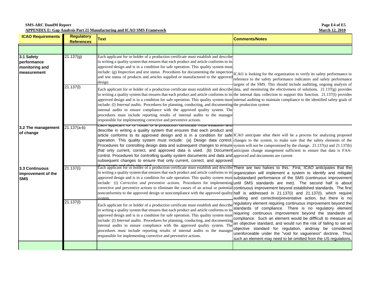| <b>SMS-ARC DandM Report</b>                                                  |  |
|------------------------------------------------------------------------------|--|
| <b>APPENDIX E: Gap Analysis Part 21 Manufacturing and ICAO SMS Framework</b> |  |

**Page E4 of E5 March 12, 2010**

| <b>ICAO Requirements</b>                                   | <b>Regulatory</b><br><b>References</b> | <b>Text</b>                                                                                                                                                                                                                                                                                                                                                                                                                                                                                                                                                                                                                                                                                                                                                                                                                                                                                                                                                  | <b>Comments/Notes</b>                                                                                                                                                                                                                                                                                                                                                                                                                                                                                                     |
|------------------------------------------------------------|----------------------------------------|--------------------------------------------------------------------------------------------------------------------------------------------------------------------------------------------------------------------------------------------------------------------------------------------------------------------------------------------------------------------------------------------------------------------------------------------------------------------------------------------------------------------------------------------------------------------------------------------------------------------------------------------------------------------------------------------------------------------------------------------------------------------------------------------------------------------------------------------------------------------------------------------------------------------------------------------------------------|---------------------------------------------------------------------------------------------------------------------------------------------------------------------------------------------------------------------------------------------------------------------------------------------------------------------------------------------------------------------------------------------------------------------------------------------------------------------------------------------------------------------------|
|                                                            |                                        |                                                                                                                                                                                                                                                                                                                                                                                                                                                                                                                                                                                                                                                                                                                                                                                                                                                                                                                                                              |                                                                                                                                                                                                                                                                                                                                                                                                                                                                                                                           |
| 3.1 Safety<br>performance<br>monitoring and<br>measurement | 21.137(g)                              | Each applicant for or holder of a production certificate must establish and describe<br>in writing a quality system that ensures that each product and article conforms to its<br>approved design and is in a condition for safe operation. This quality system must<br>include: (g) <i>Inspection and test status</i> . Procedures for documenting the inspection ICAO is looking for the organization to verify its safety performance in<br>and test status of products and articles supplied or manufactured to the approved<br>design.                                                                                                                                                                                                                                                                                                                                                                                                                  | reference to the safety performance indicators and safety performance<br>targets of the SMS. This should include auditting, ongoing analysis of                                                                                                                                                                                                                                                                                                                                                                           |
|                                                            | 21.137(1)                              | Each applicant for or holder of a production certificate must establish and describedata, and monitoring the efectiveness of solutions. 21.137(g) provides<br>in writing a quality system that ensures that each product and article conforms to its the internal data collection to support this function. 21.137(1) provides<br>approved design and is in a condition for safe operation. This quality system must internal auditing to maintain compliance to the identified safety goals of<br>include: (1) Internal audits. Procedures for planning, conducting, and documenting the production system<br>internal audits to ensure compliance with the approved quality system. The<br>procedures must include reporting results of internal audits to the manager<br>responsible for implementing corrective and preventive actions.                                                                                                                  |                                                                                                                                                                                                                                                                                                                                                                                                                                                                                                                           |
| 3.2 The management<br>of change                            | $21.137(a-b)$                          | <mark>∟avii applivarii iyi yi fiyiyer yi a produviiyii veriliivale fifusi estabiishi ari</mark> i<br>describe in writing a quality system that ensures that each product and<br>article conforms to its approved design and is in a condition for safe ICAO anticipate sthat there will be a process for analyzing proposed<br>operation. This quality system must include: (a) Design data control. changes to the system, to make sure that the safety elements of the<br>Procedures for controlling design data and subsequent changes to ensure system will not be compromised by the change. 21.137(a) and 21.137(b)<br>that only current, correct, and approved data is used. (b) Document anticipate change mangement sufficient to ensure that data is FAA-<br>control. Procedures for controlling quality system documents and data and approved and documents are current<br>subsequent changes to ensure that only current, correct, and approved |                                                                                                                                                                                                                                                                                                                                                                                                                                                                                                                           |
| 3.3 Continuous<br>improvement of the<br><b>SMS</b>         | 21.137(i)                              | Becuments and deta of the local production certificate must establish and describe There are two halves to this. First, ICAO anticipates that the<br>in writing a quality system that ensures that each product and article conforms to its organization will implement a system to identify and mitigate<br>approved design and is in a condition for safe operation. This quality system must substandard performance of the SMS (continuous improvement<br>include: (i) Corrective and preventive actions. Procedures for implementing until SMS standards are met). The second half is about<br>corrective and preventive actions to eliminate the causes of an actual or potential continuous improvement beyond established standards. The first<br>nonconformity to the approved design or noncompliance with the approved quality half is addressed in 21.137(i) and 21.137(l), which require<br>svstem                                              | auditing and corrective/preventative action, but there is no                                                                                                                                                                                                                                                                                                                                                                                                                                                              |
|                                                            | 21.137(1)                              | Each applicant for or holder of a production certificate must establish and describ<br>in writing a quality system that ensures that each product and article conforms to it<br>approved design and is in a condition for safe operation. This quality system must<br>include: (1) Internal audits. Procedures for planning, conducting, and documenting<br>internal audits to ensure compliance with the approved quality system. The<br>procedures must include reporting results of internal audits to the manager<br>responsible for implementing corrective and preventive actions.                                                                                                                                                                                                                                                                                                                                                                     | regulatory element requiring continuous improvement beyond the<br>standards of compliance. There is no regulatory element<br>requiring continuous improvement beyond the standards of<br>compliance. Such an element would be diffficult to measure as<br>an objective standard, and would run the risk of failing to set an<br>objective standard for regulation, andmay be considered<br>unenforceable under the "void for vagueness" doctrine. Thus<br>such an element may need to be omitted from the US regulations. |
|                                                            |                                        |                                                                                                                                                                                                                                                                                                                                                                                                                                                                                                                                                                                                                                                                                                                                                                                                                                                                                                                                                              |                                                                                                                                                                                                                                                                                                                                                                                                                                                                                                                           |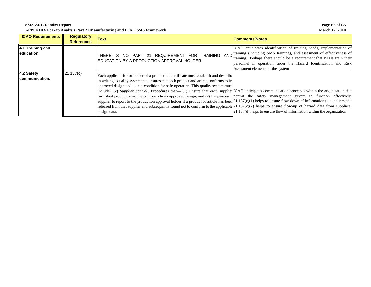**SMS-ARC DandM Report APPENDIX E: Gap Analysis Part 21 Manufacturing and ICAO SMS Framework**

| <b>ICAO Requirements</b>              | <b>Regulatory</b><br><b>References</b> | <b>Text</b>                                                                                                                                                                                                                                                                                                                                                                                                                                                                                                                                                                                                                                                                                                                                                                                                                                                                                                                   | <b>Comments/Notes</b>                                                                                                                                                                                                                                                                                                         |
|---------------------------------------|----------------------------------------|-------------------------------------------------------------------------------------------------------------------------------------------------------------------------------------------------------------------------------------------------------------------------------------------------------------------------------------------------------------------------------------------------------------------------------------------------------------------------------------------------------------------------------------------------------------------------------------------------------------------------------------------------------------------------------------------------------------------------------------------------------------------------------------------------------------------------------------------------------------------------------------------------------------------------------|-------------------------------------------------------------------------------------------------------------------------------------------------------------------------------------------------------------------------------------------------------------------------------------------------------------------------------|
| 4.1 Training and<br><b>leducation</b> |                                        | AND<br>REQUIREMENT FOR TRAINING<br>IS NO PART 21<br>THERE<br>IEDUCATION BY A PRODUCTION APPROVAL HOLDER                                                                                                                                                                                                                                                                                                                                                                                                                                                                                                                                                                                                                                                                                                                                                                                                                       | ICAO anticipates identification of training needs, implementation of<br>training (including SMS training), and assesment of effectiveness of<br>training. Perhaps there should be a requirement that PAHs train their<br>personnel in operation under the Hazard Identification and Risk<br>Assesment elements of the system. |
| 4.2 Safety<br>communication.          | 21.137(c)                              | Each applicant for or holder of a production certificate must establish and describe<br>in writing a quality system that ensures that each product and article conforms to its<br>approved design and is in a condition for safe operation. This quality system must<br>include: (c) Supplier control. Procedures that (1) Ensure that each supplier ICAO anticipates communication processes within the organization that<br>furnished product or article conforms to its approved design; and (2) Require each permit the safety management system to function effectively.<br>supplier to report to the production approval holder if a product or article has been $21.137(c)(1)$ helps to ensure flow-down of information to suppliers and<br>released from that supplier and subsequently found not to conform to the applicable $[21.137(c)(2)$ helps to ensure flow-up of hazard data from suppliers.<br>design data. | $21.137(d)$ helps to ensure flow of information within the organization                                                                                                                                                                                                                                                       |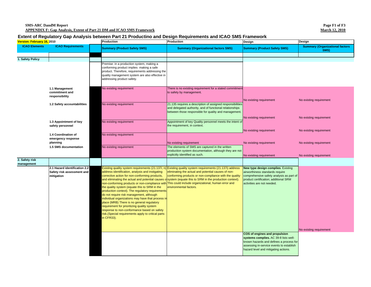#### **Extent of Regulatory Gap Analysis between Part 21 Productino and Design Requirements and ICAO SMS Framework**

| Version: February 16, 2010 |                                                                                | Production                                                                                                                                                                                                                                                                                                                                                                                                                                                                                                               | Production                                                                                                                                                                                                                                                                                                                                                                                                                                                           | Design                                                                                                                                                                                                | Design                                         |  |
|----------------------------|--------------------------------------------------------------------------------|--------------------------------------------------------------------------------------------------------------------------------------------------------------------------------------------------------------------------------------------------------------------------------------------------------------------------------------------------------------------------------------------------------------------------------------------------------------------------------------------------------------------------|----------------------------------------------------------------------------------------------------------------------------------------------------------------------------------------------------------------------------------------------------------------------------------------------------------------------------------------------------------------------------------------------------------------------------------------------------------------------|-------------------------------------------------------------------------------------------------------------------------------------------------------------------------------------------------------|------------------------------------------------|--|
| <b>ICAO Elements</b>       | <b>ICAO Requirements</b>                                                       | <b>Summary (Product Safety SMS)</b>                                                                                                                                                                                                                                                                                                                                                                                                                                                                                      | <b>Summary (Organizational factors SMS)</b>                                                                                                                                                                                                                                                                                                                                                                                                                          | <b>Summary (Product Safety SMS)</b>                                                                                                                                                                   | <b>Summary (Organizational factors</b><br>SMS) |  |
| 1. Safety Policy           |                                                                                |                                                                                                                                                                                                                                                                                                                                                                                                                                                                                                                          |                                                                                                                                                                                                                                                                                                                                                                                                                                                                      |                                                                                                                                                                                                       |                                                |  |
|                            |                                                                                | Premise: in a production system, making a<br>conforming product implies making a safe<br>product. Therefore, requirements addressing the<br>quality management system are also effective in<br>addressing product safety.                                                                                                                                                                                                                                                                                                |                                                                                                                                                                                                                                                                                                                                                                                                                                                                      |                                                                                                                                                                                                       |                                                |  |
|                            | 1.1 Management<br>commitment and<br>responsibility                             | No existing requirement                                                                                                                                                                                                                                                                                                                                                                                                                                                                                                  | There is no existing requirement for a stated commitment<br>to safety by management.                                                                                                                                                                                                                                                                                                                                                                                 | No existing requirement                                                                                                                                                                               | No existing requirement                        |  |
|                            | 1.2 Safety accountabilities                                                    | No existing requirement                                                                                                                                                                                                                                                                                                                                                                                                                                                                                                  | 21.135 requires a description of assigned responsibilities<br>and delegated authority, and of functional relationships<br>between those responsible for quality and management.                                                                                                                                                                                                                                                                                      | No existing requirement                                                                                                                                                                               | No existing requirement                        |  |
|                            | 1.3 Appointment of key<br>safety personnel                                     | No existing requirement                                                                                                                                                                                                                                                                                                                                                                                                                                                                                                  | Appointment of key Quality personnel meets the intent of<br>the requirement, in context.                                                                                                                                                                                                                                                                                                                                                                             | No existing requirement                                                                                                                                                                               | No existing requirement                        |  |
|                            | 1.4 Coordination of<br>emergency response<br>planning<br>1.5 SMS documentation | No existing requirement<br>No existing requirement                                                                                                                                                                                                                                                                                                                                                                                                                                                                       | No existing requirement<br>The elements of SMS are captured in the written                                                                                                                                                                                                                                                                                                                                                                                           | No existing requirement                                                                                                                                                                               | No existing requirement                        |  |
|                            |                                                                                |                                                                                                                                                                                                                                                                                                                                                                                                                                                                                                                          | production system documentation, although they are not<br>explicitly identified as such.                                                                                                                                                                                                                                                                                                                                                                             | No existing requirement                                                                                                                                                                               | No existing requirement                        |  |
| 2. Safety risk             |                                                                                |                                                                                                                                                                                                                                                                                                                                                                                                                                                                                                                          |                                                                                                                                                                                                                                                                                                                                                                                                                                                                      |                                                                                                                                                                                                       |                                                |  |
| management                 | 2.1 Hazard identification 2.2<br>Safety risk assessment and<br>mitigation      | address identification, analysis and instigating<br>corrective action for non-conforming products,<br>the quality system (equate this to SRM in the<br>production context). The regulatory requirements<br>do not require risk management, although<br>individual organizations may have that process ir<br>place (MRB) There is no general regulatory<br>requirement for prioritizing quality system<br>response to non-conformance based on safety<br>risk.(Special requirements apply to critical parts<br>in CFR33). | Existing quality system requirements (21.137i, n) Existing quality system requirements (21.137i) address<br>eliminating the actual and potential causes of non-<br>conforming products or non-compliance with the quality<br>and eliminating the actual and potential causes o system (equate this to SRM in the production context).<br>non-conforming products or non-compliance with This could include organizational, human error and<br>environmental factors. | New type design complies. Existing<br>airworthiness standards require<br>comprehensive safety analysis as part of<br>product certification; additional SRM<br>activities are not needed.              | No existing requirement                        |  |
|                            |                                                                                |                                                                                                                                                                                                                                                                                                                                                                                                                                                                                                                          |                                                                                                                                                                                                                                                                                                                                                                                                                                                                      | COS of engines and propulsion<br>systems complies. AC 39-8 lists well-<br>known hazards and defines a process for<br>assessing in-service events to establish<br>hazard level and mitigating actions. |                                                |  |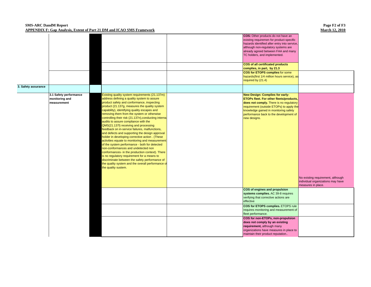#### **SMS-ARC DandM Report APPENDIX F: Gap Analysis, Extent of Part 21 DM and ICAO SMS Framework**

|                     |                                                         |                                                                                                                                                                                                                                                                                                                                                                                                                                                                                                                                                                                                                                                                                                                                                                                                                                                                                                                                                                      | COS: Other products do not have an<br>existing requiremen for product-specific<br>hazards identified after entry into service,<br>although non-regulatory systems are<br>already agreed between FAA and many<br>TC holders, and implemented.<br>COS of all certificated products<br>complies, in part, by 21.3<br>COS for ETOPS complies for some<br>hazards(first 1/4 million hours service), as<br>required by (21.4) |                                                                                              |
|---------------------|---------------------------------------------------------|----------------------------------------------------------------------------------------------------------------------------------------------------------------------------------------------------------------------------------------------------------------------------------------------------------------------------------------------------------------------------------------------------------------------------------------------------------------------------------------------------------------------------------------------------------------------------------------------------------------------------------------------------------------------------------------------------------------------------------------------------------------------------------------------------------------------------------------------------------------------------------------------------------------------------------------------------------------------|-------------------------------------------------------------------------------------------------------------------------------------------------------------------------------------------------------------------------------------------------------------------------------------------------------------------------------------------------------------------------------------------------------------------------|----------------------------------------------------------------------------------------------|
| 3. Safety assurance |                                                         |                                                                                                                                                                                                                                                                                                                                                                                                                                                                                                                                                                                                                                                                                                                                                                                                                                                                                                                                                                      |                                                                                                                                                                                                                                                                                                                                                                                                                         |                                                                                              |
|                     | 3.1 Safety performance<br>monitoring and<br>measurement | Existing quality system requirements (21.137m)<br>address defining a quality system to assure<br>product safety and conformance, inspecting<br>product (21.137g, measures the quality system<br>capability), identifying quality escapes and<br>removing them from the system or otherwise<br>controlling their risk (21.137n), conducting interna<br>audits to assure compliance with the<br>QMS(21.137I) receiving and processing<br>feedback on in-service failures, malfunctions,<br>and defects and supporting the design approval<br>holder in developing corrective action. (These<br>activities equate to monitoring and measurement<br>of the system performance - both for detected<br>non-conformances and undetected non<br>conformances- in the production context). There<br>is no regulatory requirement for a means to<br>discriminate between the safety performance of<br>the quality system and the overall performance of<br>the quality sustem. | New Design: Complies for early-<br>ETOPs fleet. For other fleets/products,<br>does not comply. There is no regulatory<br>requirement (outside ETOPs) to apply the<br>knowledge gained in monitoring safety<br>performance back to the development of<br>new designs.                                                                                                                                                    | No existing requirement, although<br>individual organizations may have<br>measures in place. |
|                     |                                                         |                                                                                                                                                                                                                                                                                                                                                                                                                                                                                                                                                                                                                                                                                                                                                                                                                                                                                                                                                                      | COS of engines and propulsion<br>systems complies. AC 39-8 requires<br>verifying that corrective actions are<br>effective<br>COS for ETOPS complies. ETOPS rule<br>requires monitoring and measurement of<br>fleet performance.<br>COS for non-ETOPs, non-propulsion<br>does not comply by an existing<br>requirement, although many<br>organizations have measures in place to<br>maintain their product reputation    |                                                                                              |
|                     |                                                         |                                                                                                                                                                                                                                                                                                                                                                                                                                                                                                                                                                                                                                                                                                                                                                                                                                                                                                                                                                      |                                                                                                                                                                                                                                                                                                                                                                                                                         |                                                                                              |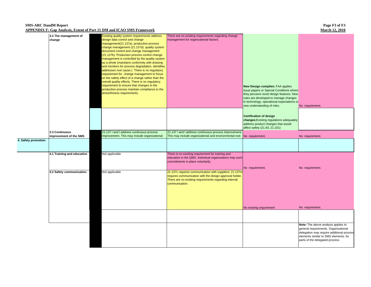#### **SMS-ARC DandM Report APPENDIX F: Gap Analysis, Extent of Part 21 DM and ICAO SMS Framework**

|                     | 3.2 The management of<br>change          | Existing quality system requirements address<br>design data control and change<br>management(21.137a), production process<br>change management (21.137d), quality system<br>document control and change management<br>(21.137b). Production process control change<br>management is controlled by the quality system<br>as a whole (maintains conformity with drawing<br>and monitors for process degradation, identifies,<br>addresses root cause.) There is no regulatory<br>requirement for change management to focus<br>on the safety effect of a change rather than the<br>overall quality effects. There is no regulatory<br>requirement to ensure that changes to the<br>production process maintain compliance to the<br>airworthiness requirements. | There are no existing requirements regarding change<br>management for organizational factors.                                                                                                | New Design complies: FAA applies<br>issue papers or Special Conditions where<br>they perceive novel design features. New<br>rules are developed to manage changes<br>in technology, operational expectations or<br>new understanding of risks | No requirement.                                                                                                                                                                                      |
|---------------------|------------------------------------------|---------------------------------------------------------------------------------------------------------------------------------------------------------------------------------------------------------------------------------------------------------------------------------------------------------------------------------------------------------------------------------------------------------------------------------------------------------------------------------------------------------------------------------------------------------------------------------------------------------------------------------------------------------------------------------------------------------------------------------------------------------------|----------------------------------------------------------------------------------------------------------------------------------------------------------------------------------------------|-----------------------------------------------------------------------------------------------------------------------------------------------------------------------------------------------------------------------------------------------|------------------------------------------------------------------------------------------------------------------------------------------------------------------------------------------------------|
|                     |                                          |                                                                                                                                                                                                                                                                                                                                                                                                                                                                                                                                                                                                                                                                                                                                                               |                                                                                                                                                                                              | <b>Certification of design</b><br>changes: Existing regulations adequately<br>address product changes that would<br>affect safety (21.93, 21.101)                                                                                             |                                                                                                                                                                                                      |
|                     | 3.3 Continuous<br>improvement of the SMS | 21.137 i and I address continuous process<br>improvement. This may include organizational                                                                                                                                                                                                                                                                                                                                                                                                                                                                                                                                                                                                                                                                     | 21.137 i and I address continuous process improvement<br>This may include organizational and environmental root                                                                              | No requirement.                                                                                                                                                                                                                               | No requirement.                                                                                                                                                                                      |
| 4. Safety promotion |                                          |                                                                                                                                                                                                                                                                                                                                                                                                                                                                                                                                                                                                                                                                                                                                                               |                                                                                                                                                                                              |                                                                                                                                                                                                                                               |                                                                                                                                                                                                      |
|                     | 4.1 Training and education               | Not applicable                                                                                                                                                                                                                                                                                                                                                                                                                                                                                                                                                                                                                                                                                                                                                | There is no existing requirement for training and<br>education in the QMS. Individual organizations may such<br>commitments in place voluntarily.                                            | No requirement.                                                                                                                                                                                                                               | No requirement.                                                                                                                                                                                      |
|                     | 4.2 Safety communication.                | Not applicable                                                                                                                                                                                                                                                                                                                                                                                                                                                                                                                                                                                                                                                                                                                                                | 21.137c requires communication with suppliers; 21.137m<br>requires communication with the design approval holder.<br>There are no existing requirements regarding internal<br>communication. |                                                                                                                                                                                                                                               |                                                                                                                                                                                                      |
|                     |                                          |                                                                                                                                                                                                                                                                                                                                                                                                                                                                                                                                                                                                                                                                                                                                                               |                                                                                                                                                                                              | No existing requirement                                                                                                                                                                                                                       | No requirement.                                                                                                                                                                                      |
|                     |                                          |                                                                                                                                                                                                                                                                                                                                                                                                                                                                                                                                                                                                                                                                                                                                                               |                                                                                                                                                                                              |                                                                                                                                                                                                                                               |                                                                                                                                                                                                      |
|                     |                                          |                                                                                                                                                                                                                                                                                                                                                                                                                                                                                                                                                                                                                                                                                                                                                               |                                                                                                                                                                                              |                                                                                                                                                                                                                                               | Note: The above analysis applies to<br>general requirements. Organizational<br>delegation may require additional process<br>elements similar to SMS elements, for<br>parts of the delegated process. |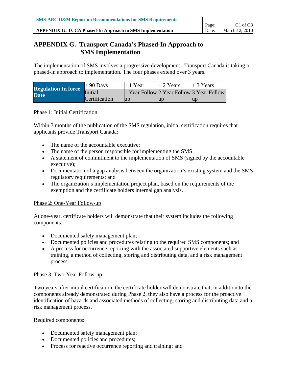#### **APPENDIX G: TCCA Phased-In Approach to SMS Implementation**

# **APPENDIX G. Transport Canada's Phased-In Approach to SMS Implementation**

The implementation of SMS involves a progressive development. Transport Canada is taking a phased-in approach to implementation. The four phases extend over 3 years.

| <b>Regulation In force</b> | $+90$ Days    | $+1$ Year               | $+2$ Years | $+3$ Years                                |
|----------------------------|---------------|-------------------------|------------|-------------------------------------------|
| <b>Date</b>                | Initial       |                         |            | 1 Year Follow 2 Year Follow 3 Year Follow |
|                            | Certification | $\mathbf{u} \mathbf{p}$ | lud        | $\mathbf{u}$                              |

### Phase 1: Initial Certification

Within 3 months of the publication of the SMS regulation, initial certification requires that applicants provide Transport Canada:

- The name of the accountable executive;
- The name of the person responsible for implementing the SMS;
- A statement of commitment to the implementation of SMS (signed by the accountable executive);
- Documentation of a gap analysis between the organization's existing system and the SMS regulatory requirements; and
- The organization's implementation project plan, based on the requirements of the exemption and the certificate holders internal gap analysis.

# Phase 2: One-Year Follow-up

At one-year, certificate holders will demonstrate that their system includes the following components:

- Documented safety management plan;
- Documented policies and procedures relating to the required SMS components; and
- A process for occurrence reporting with the associated supportive elements such as training, a method of collecting, storing and distributing data, and a risk management process.

# Phase 3: Two-Year Follow-up

Two years after initial certification, the certificate holder will demonstrate that, in addition to the components already demonstrated during Phase 2, they also have a process for the proactive identification of hazards and associated methods of collecting, storing and distributing data and a risk management process.

Required components:

- Documented safety management plan;
- Documented policies and procedures;
- Process for reactive occurrence reporting and training; and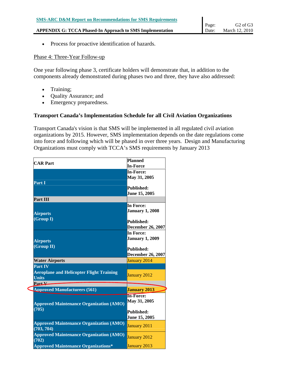• Process for proactive identification of hazards.

# Phase 4: Three-Year Follow-up

One year following phase 3, certificate holders will demonstrate that, in addition to the components already demonstrated during phases two and three, they have also addressed:

- Training;
- Quality Assurance; and
- Emergency preparedness.

# **Transport Canada's Implementation Schedule for all Civil Aviation Organizations**

Transport Canada's vision is that SMS will be implemented in all regulated civil aviation organizations by 2015. However, SMS implementation depends on the date regulations come into force and following which will be phased in over three years. Design and Manufacturing Organizations must comply with TCCA's SMS requirements by January 2013

| <b>CAR Part</b>                                 | <b>Planned</b>           |  |
|-------------------------------------------------|--------------------------|--|
|                                                 | <b>In-Force</b>          |  |
|                                                 | <b>In-Force:</b>         |  |
|                                                 | May 31, 2005             |  |
| Part I                                          |                          |  |
|                                                 | Published:               |  |
|                                                 | June 15, 2005            |  |
| Part III                                        |                          |  |
|                                                 | <b>In Force:</b>         |  |
| <b>Airports</b>                                 | <b>January 1, 2008</b>   |  |
| (Group I)                                       |                          |  |
|                                                 | <b>Published:</b>        |  |
|                                                 | <b>December 26, 2007</b> |  |
|                                                 | In Force:                |  |
| <b>Airports</b>                                 | <b>January 1, 2009</b>   |  |
| (Group II)                                      | <b>Published:</b>        |  |
|                                                 | <b>December 26, 2007</b> |  |
| <b>Water Airports</b>                           | January 2014             |  |
| Part IV                                         |                          |  |
| <b>Aeroplane and Helicopter Flight Training</b> |                          |  |
| <b>Units</b>                                    | January 2012             |  |
| Part V                                          |                          |  |
| <b>Approved Manufacturers (561)</b>             | <b>January 2013</b>      |  |
|                                                 | <b>In-Force:</b>         |  |
|                                                 | May 31, 2005             |  |
| <b>Approved Maintenance Organization (AMO)</b>  |                          |  |
| (705)                                           | Published:               |  |
|                                                 | June 15, 2005            |  |
| <b>Approved Maintenance Organization (AMO)</b>  |                          |  |
| (703, 704)                                      | January 2011             |  |
| <b>Approved Maintenance Organization (AMO)</b>  |                          |  |
| (702)                                           | January 2012             |  |
| <b>Approved Maintenance Organizations*</b>      | January 2013             |  |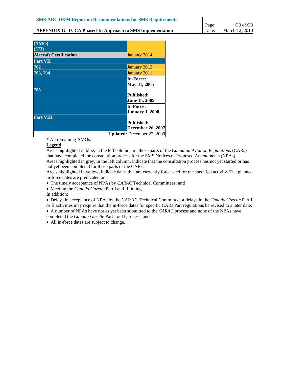| (AMO)                         |                                  |
|-------------------------------|----------------------------------|
| (573)                         |                                  |
| <b>Aircraft Certification</b> | January 2014                     |
| <b>Part VII</b>               |                                  |
| 702                           | January 2012                     |
| 703, 704                      | January 2011                     |
|                               | <b>In-Force:</b><br>May 31, 2005 |
| 705                           |                                  |
|                               | <b>Published:</b>                |
|                               | <b>June 15, 2005</b>             |
|                               | In Force:                        |
|                               | <b>January 1, 2008</b>           |
| <b>Part VIII</b>              |                                  |
|                               | <b>Published:</b>                |
|                               | <b>December 26, 2007</b>         |

**Updated:** December 22, 2009

\* All remaining AMOs.

#### **Legend**

Areas highlighted in blue, in the left column, are those parts of the *Canadian Aviation Regulations* (CARs) that have completed the consultation process for the SMS Notices of Proposed Amendments (NPAs). Areas highlighted in grey, in the left column, indicate that the consultation process has not yet started or has not yet been completed for those parts of the CARs.

Areas highlighted in yellow, indicate dates that are currently forecasted for the specified activity. The planned in-force dates are predicated on:

• The timely acceptance of NPAs by *CARAC* Technical Committees; and

• Meeting the *Canada Gazette* Part I and II timings.

In addition:

• Delays in acceptance of NPAs by the CARAC Technical Committee or delays in the *Canada Gazette* Part I or II activities may require that the in-force dates for specific CARs Part regulations be revised to a later date;

• A number of NPAs have not as yet been submitted to the *CARAC* process and none of the NPAs have completed the *Canada Gazette* Part I or II process; and

• All in-force dates are subject to change.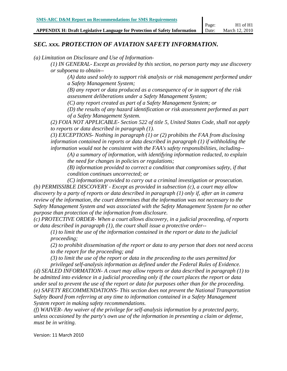**APPENDIX H: Draft Legislative Language for Protection of Safety Information** 

# *SEC. xxx. PROTECTION OF AVIATION SAFETY INFORMATION.*

*(a) Limitation on Disclosure and Use of Information-* 

*(1) IN GENERAL- Except as provided by this section, no person party may use discovery or subpoena to obtain--*

*(A) data used solely to support risk analysis or risk management performed under a Safety Management System;*

*(B) any report or data produced as a consequence of or in support of the risk assessment deliberations under a Safety Management System;* 

*(C) any report created as part of a Safety Management System; or*

*(D) the results of any hazard identification or risk assessment performed as part of a Safety Management System.*

*(2) FOIA NOT APPLICABLE- Section 522 of title 5, United States Code, shall not apply to reports or data described in paragraph (1).*

*(3) EXCEPTIONS- Nothing in paragraph (1) or (2) prohibits the FAA from disclosing information contained in reports or data described in paragraph (1) if withholding the information would not be consistent with the FAA's safety responsibilities, including--*

*(A) a summary of information, with identifying information redacted, to explain the need for changes in policies or regulations;*

*(B) information provided to correct a condition that compromises safety, if that condition continues uncorrected; or*

*(C) information provided to carry out a criminal investigation or prosecution. (b) PERMISSIBLE DISCOVERY - Except as provided in subsection (c), a court may allow discovery by a party of reports or data described in paragraph (1) only if, after an in camera review of the information, the court determines that the information was not necessary to the Safety Management System and was associated with the Safety Management System for no other purpose than protection of the information from disclosure.*

*(c) PROTECTIVE ORDER- When a court allows discovery, in a judicial proceeding, of reports or data described in paragraph (1), the court shall issue a protective order--*

*(1) to limit the use of the information contained in the report or data to the judicial proceeding;*

*(2) to prohibit dissemination of the report or data to any person that does not need access to the report for the proceeding; and*

*(3) to limit the use of the report or data in the proceeding to the uses permitted for privileged self-analysis information as defined under the Federal Rules of Evidence.*

*(d) SEALED INFORMATION- A court may allow reports or data described in paragraph (1) to be admitted into evidence in a judicial proceeding only if the court places the report or data under seal to prevent the use of the report or data for purposes other than for the proceeding. (e) SAFETY RECOMMENDATIONS- This section does not prevent the National Transportation Safety Board from referring at any time to information contained in a Safety Management System report in making safety recommendations.*

*(f) WAIVER- Any waiver of the privilege for self-analysis information by a protected party, unless occasioned by the party's own use of the information in presenting a claim or defense, must be in writing.*

Version: 11 March 2010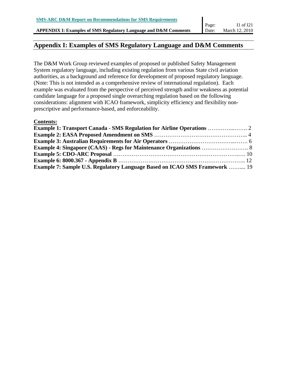**APPENDIX I: Examples of SMS Regulatory Language and D&M Comments** 

# **Appendix I: Examples of SMS Regulatory Language and D&M Comments**

The D&M Work Group reviewed examples of proposed or published Safety Management System regulatory language, including existing regulation from various State civil aviation authorities, as a background and reference for development of proposed regulatory language. (Note: This is not intended as a comprehensive review of international regulation). Each example was evaluated from the perspective of perceived strength and/or weakness as potential candidate language for a proposed single overarching regulation based on the following considerations: alignment with ICAO framework, simplicity efficiency and flexibility nonprescriptive and performance-based, and enforceability.

### **Contents:**

| <b>Example 1: Transport Canada - SMS Regulation for Airline Operations </b> 2 |  |
|-------------------------------------------------------------------------------|--|
|                                                                               |  |
|                                                                               |  |
|                                                                               |  |
|                                                                               |  |
|                                                                               |  |
| Example 7: Sample U.S. Regulatory Language Based on ICAO SMS Framework  19    |  |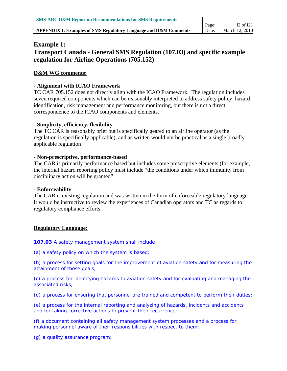# **Example 1: Transport Canada - General SMS Regulation (107.03) and specific example regulation for Airline Operations (705.152)**

# **D&M WG comments:**

# **- Alignment with ICAO Framework**

TC CAR 705.152 does not directly align with the ICAO Framework. The regulation includes seven required components which can be reasonably interpreted to address safety policy, hazard identification, risk management and performance monitoring, but there is not a direct correspondence to the ICAO components and elements.

# **- Simplicity, efficiency, flexibility**

The TC CAR is reasonably brief but is specifically geared to an airline operator (as the regulation is specifically applicable), and as written would not be practical as a single broadly applicable regulation

# **- Non-prescriptive, performance-based**

The CAR is primarily performance based but includes some prescriptive elements (for example, the internal hazard reporting policy must include "the conditions under which immunity from disciplinary action will be granted"

# **- Enforceability**

The CAR is existing regulation and was written in the form of enforceable regulatory language. It would be instructive to review the experiences of Canadian operators and TC as regards to regulatory compliance efforts.

# **Regulatory Language:**

# **107.03** A safety management system shall include

*(a)* a safety policy on which the system is based;

*(b)* a process for setting goals for the improvement of aviation safety and for measuring the attainment of those goals;

*(c)* a process for identifying hazards to aviation safety and for evaluating and managing the associated risks;

*(d)* a process for ensuring that personnel are trained and competent to perform their duties;

*(e)* a process for the internal reporting and analyzing of hazards, incidents and accidents and for taking corrective actions to prevent their recurrence;

*(f)* a document containing all safety management system processes and a process for making personnel aware of their responsibilities with respect to them;

*(g)* a quality assurance program;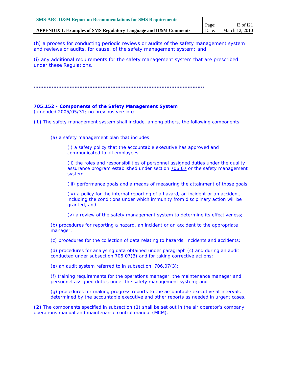*(h)* a process for conducting periodic reviews or audits of the safety management system and reviews or audits, for cause, of the safety management system; and

*(i)* any additional requirements for the safety management system that are prescribed under these Regulations.

**…………………………………………………………………………………………..** 

#### **705.152 -** *Components of the Safety Management System*

(amended 2005/05/31; no previous version)

**(1)** The safety management system shall include, among others, the following components:

*(a)* a safety management plan that includes

(i) a safety policy that the accountable executive has approved and communicated to all employees,

(ii) the roles and responsibilities of personnel assigned duties under the quality assurance program established under section 706.07 or the safety management system,

(iii) performance goals and a means of measuring the attainment of those goals,

 $(iv)$  a policy for the internal reporting of a hazard, an incident or an accident, including the conditions under which immunity from disciplinary action will be granted, and

(v) a review of the safety management system to determine its effectiveness;

*(b)* procedures for reporting a hazard, an incident or an accident to the appropriate manager;

*(c)* procedures for the collection of data relating to hazards, incidents and accidents;

*(d)* procedures for analysing data obtained under paragraph (c) and during an audit conducted under subsection 706.07(3) and for taking corrective actions;

*(e)* an audit system referred to in subsection 706.07(3);

*(f)* training requirements for the operations manager, the maintenance manager and personnel assigned duties under the safety management system; and

*(g)* procedures for making progress reports to the accountable executive at intervals determined by the accountable executive and other reports as needed in urgent cases.

**(2)** The components specified in subsection (1) shall be set out in the air operator's company operations manual and maintenance control manual (MCM).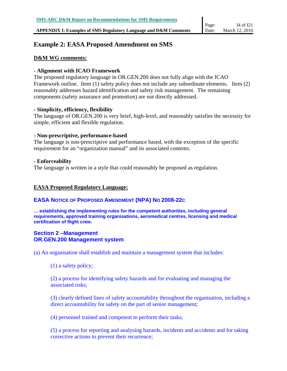# **Example 2: EASA Proposed Amendment on SMS**

## **D&M WG comments:**

## **- Alignment with ICAO Framework**

The proposed regulatory language in OR.GEN.200 does not fully align with the ICAO Framework outline. Item (1) safety policy does not include any subordinate elements. Item (2) reasonably addresses hazard identification and safety risk management. The remaining components (safety assurance and promotion) are not directly addressed.

## **- Simplicity, efficiency, flexibility**

The language of OR.GEN.200 is very brief, high-level, and reasonably satisfies the necessity for simple, efficient and flexible regulation.

## **- Non-prescriptive, performance-based**

The language is non-prescriptive and performance based, with the exception of the specific requirement for an "organization manual" and its associated contents.

## **- Enforceability**

The language is written in a style that could reasonably be proposed as regulation.

# **EASA Proposed Regulatory Language:**

# **EASA NOTICE OF PROPOSED AMENDMENT (NPA) NO 2008-22C**

**… establishing the implementing rules for the competent authorities, including general requirements, approved training organisations, aeromedical centres, licensing and medical certification of flight crew.** 

## **Section 2 –Management OR.GEN.200 Management system**

(a) An organisation shall establish and maintain a management system that includes:

(1) a safety policy;

(2) a process for identifying safety hazards and for evaluating and managing the associated risks;

(3) clearly defined lines of safety accountability throughout the organisation, including a direct accountability for safety on the part of senior management;

(4) personnel trained and competent to perform their tasks;

(5) a process for reporting and analysing hazards, incidents and accidents and for taking corrective actions to prevent their recurrence;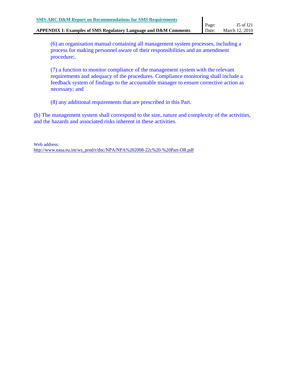(6) an organisation manual containing all management system processes, including a process for making personnel aware of their responsibilities and an amendment procedure;.

(7) a function to monitor compliance of the management system with the relevant requirements and adequacy of the procedures. Compliance monitoring shall include a feedback system of findings to the accountable manager to ensure corrective action as necessary; and

(8) any additional requirements that are prescribed in this Part.

(b) The management system shall correspond to the size, nature and complexity of the activities, and the hazards and associated risks inherent in these activities.

Web address: http://www.easa.eu.int/ws\_prod/r/doc/NPA/NPA%202008-22c%20-%20Part-OR.pdf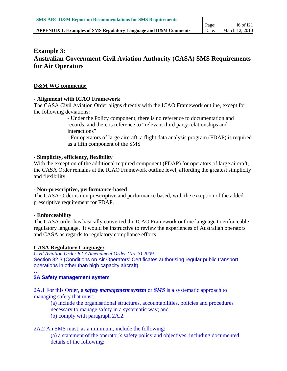# **Example 3: Australian Government Civil Aviation Authority (CASA) SMS Requirements for Air Operators**

#### **D&M WG comments:**

#### **- Alignment with ICAO Framework**

The CASA Civil Aviation Order aligns directly with the ICAO Framework outline, except for the following deviations:

> - Under the Policy component, there is no reference to documentation and records, and there is reference to "relevant third party relationships and interactions"

- For operators of large aircraft, a flight data analysis program (FDAP) is required as a fifth component of the SMS

#### **- Simplicity, efficiency, flexibility**

With the exception of the additional required component (FDAP) for operators of large aircraft, the CASA Order remains at the ICAO Framework outline level, affording the greatest simplicity and flexibility.

#### **- Non-prescriptive, performance-based**

The CASA Order is non prescriptive and performance based, with the exception of the added prescriptive requirement for FDAP.

## **- Enforceability**

The CASA order has basically converted the ICAO Framework outline language to enforceable regulatory language. It would be instructive to review the experiences of Australian operators and CASA as regards to regulatory compliance efforts.

#### **CASA Regulatory Language:**

*Civil Aviation Order 82.3 Amendment Order (No. 3) 2009*. Section 82.3 (Conditions on Air Operators' Certificates authorising regular public transport operations in other than high capacity aircraft)

#### **… 2A Safety management system**

2A.1 For this Order, a *safety management system* or *SMS* is a systematic approach to managing safety that must:

(a) include the organisational structures, accountabilities, policies and procedures necessary to manage safety in a systematic way; and (b) comply with paragraph 2A.2.

## 2A.2 An SMS must, as a minimum, include the following:

(a) a statement of the operator's safety policy and objectives, including documented details of the following: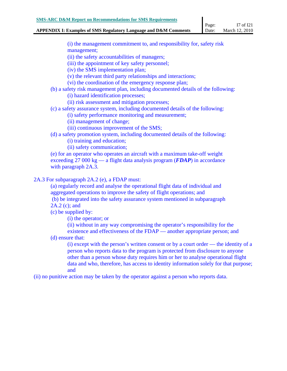#### **APPENDIX I: Examples of SMS Regulatory Language and D&M Comments**  Date: March 12, 2010

(i) the management commitment to, and responsibility for, safety risk management;

(ii) the safety accountabilities of managers;

(iii) the appointment of key safety personnel;

(iv) the SMS implementation plan;

(v) the relevant third party relationships and interactions;

(vi) the coordination of the emergency response plan;

(b) a safety risk management plan, including documented details of the following: (i) hazard identification processes;

(ii) risk assessment and mitigation processes;

(c) a safety assurance system, including documented details of the following:

(i) safety performance monitoring and measurement;

(ii) management of change;

(iii) continuous improvement of the SMS;

(d) a safety promotion system, including documented details of the following:

(i) training and education;

(ii) safety communication;

(e) for an operator who operates an aircraft with a maximum take-off weight exceeding 27 000 kg — a flight data analysis program (*FDAP*) in accordance with paragraph 2A.3.

2A.3 For subparagraph 2A.2 (e), a FDAP must:

(a) regularly record and analyse the operational flight data of individual and aggregated operations to improve the safety of flight operations; and (b) be integrated into the safety assurance system mentioned in subparagraph

2A.2 (c); and

(c) be supplied by:

(i) the operator; or

(ii) without in any way compromising the operator's responsibility for the

existence and effectiveness of the FDAP — another appropriate person; and (d) ensure that:

(i) except with the person's written consent or by a court order — the identity of a person who reports data to the program is protected from disclosure to anyone other than a person whose duty requires him or her to analyse operational flight data and who, therefore, has access to identity information solely for that purpose; and

(ii) no punitive action may be taken by the operator against a person who reports data.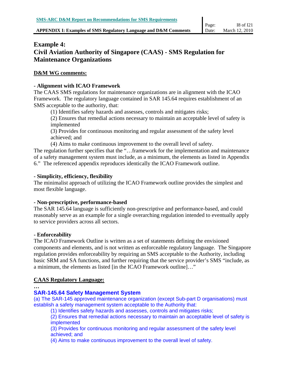# **Example 4: Civil Aviation Authority of Singapore (CAAS) - SMS Regulation for Maintenance Organizations**

#### **D&M WG comments:**

#### **- Alignment with ICAO Framework**

The CAAS SMS regulations for maintenance organizations are in alignment with the ICAO Framework. The regulatory language contained in SAR 145.64 requires establishment of an SMS acceptable to the authority, that:

(1) Identifies safety hazards and assesses, controls and mitigates risks;

(2) Ensures that remedial actions necessary to maintain an acceptable level of safety is implemented

(3) Provides for continuous monitoring and regular assessment of the safety level achieved; and

(4) Aims to make continuous improvement to the overall level of safety.

The regulation further specifies that the "...framework for the implementation and maintenance of a safety management system must include, as a minimum, the elements as listed in Appendix 6." The referenced appendix reproduces identically the ICAO Framework outline.

#### **- Simplicity, efficiency, flexibility**

The minimalist approach of utilizing the ICAO Framework outline provides the simplest and most flexible language.

## **- Non-prescriptive, performance-based**

The SAR 145.64 language is sufficiently non-prescriptive and performance-based, and could reasonably serve as an example for a single overarching regulation intended to eventually apply to service providers across all sectors.

## **- Enforceability**

The ICAO Framework Outline is written as a set of statements defining the envisioned components and elements, and is not written as enforceable regulatory language. The Singapore regulation provides enforceability by requiring an SMS acceptable to the Authority, including basic SRM and SA functions, and further requiring that the service provider's SMS "include, as a minimum, the elements as listed [in the ICAO Framework outline]…"

## **CAAS Regulatory Language:**

**…** 

## **SAR-145.64 Safety Management System**

(a) The SAR-145 approved maintenance organization (except Sub-part D organisations) must establish a safety management system acceptable to the Authority that:

(1) Identifies safety hazards and assesses, controls and mitigates risks;

(2) Ensures that remedial actions necessary to maintain an acceptable level of safety is implemented

(3) Provides for continuous monitoring and regular assessment of the safety level achieved; and

(4) Aims to make continuous improvement to the overall level of safety.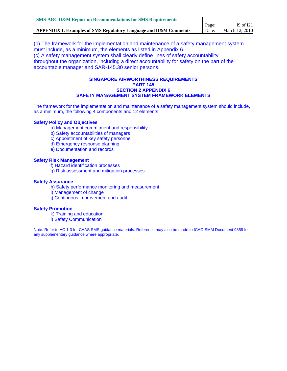(b) The framework for the implementation and maintenance of a safety management system must include, as a minimum, the elements as listed in Appendix 6. (c) A safety management system shall clearly define lines of safety accountability throughout the organization, including a direct accountability for safety on the part of the accountable manager and SAR-145.30 senior persons.

#### **SINGAPORE AIRWORTHINESS REQUIREMENTS PART 145 SECTION 2 APPENDIX 6 SAFETY MANAGEMENT SYSTEM FRAMEWORK ELEMENTS**

The framework for the implementation and maintenance of a safety management system should include, as a minimum, the following 4 components and 12 elements:

#### **Safety Policy and Objectives**

- a) Management commitment and responsibility
- b) Safety accountabilities of managers
- c) Appointment of key safety personnel
- d) Emergency response planning
- e) Documentation and records

#### **Safety Risk Management**

- f) Hazard identification processes
- g) Risk assessment and mitigation processes

#### **Safety Assurance**

- h) Safety performance monitoring and measurement
- i) Management of change
- j) Continuous improvement and audit

#### **Safety Promotion**

- k) Training and education
- l) Safety Communication

Note: Refer to AC 1-3 for CAAS SMS guidance materials. Reference may also be made to ICAO SMM Document 9859 for any supplementary guidance where appropriate.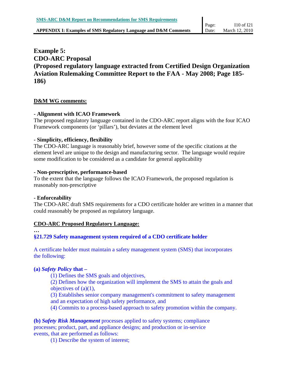# **Example 5: CDO-ARC Proposal (Proposed regulatory language extracted from Certified Design Organization Aviation Rulemaking Committee Report to the FAA - May 2008; Page 185- 186)**

#### **D&M WG comments:**

#### **- Alignment with ICAO Framework**

The proposed regulatory language contained in the CDO-ARC report aligns with the four ICAO Framework components (or 'pillars'), but deviates at the element level

#### **- Simplicity, efficiency, flexibility**

The CDO-ARC language is reasonably brief, however some of the specific citations at the element level are unique to the design and manufacturing sector. The language would require some modification to be considered as a candidate for general applicability

#### **- Non-prescriptive, performance-based**

To the extent that the language follows the ICAO Framework, the proposed regulation is reasonably non-prescriptive

#### **- Enforceability**

The CDO-ARC draft SMS requirements for a CDO certificate holder are written in a manner that could reasonably be proposed as regulatory language.

#### **CDO-ARC Proposed Regulatory Language:**

## **…**

## **§21.729 Safety management system required of a CDO certificate holder**

A certificate holder must maintain a safety management system (SMS) that incorporates the following:

#### **(a)** *Safety Policy* **that –**

(1) Defines the SMS goals and objectives,

(2) Defines how the organization will implement the SMS to attain the goals and objectives of (a)(1),

(3) Establishes senior company management's commitment to safety management and an expectation of high safety performance, and

(4) Commits to a process-based approach to safety promotion within the company.

**(b)** *Safety Risk Management* processes applied to safety systems; compliance processes; product, part, and appliance designs; and production or in-service events, that are performed as follows:

(1) Describe the system of interest;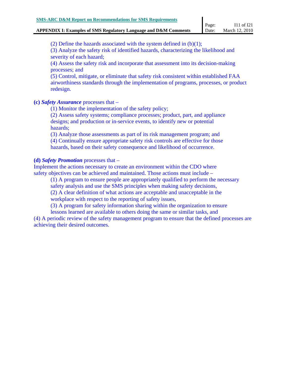(2) Define the hazards associated with the system defined in  $(b)(1)$ ;

(3) Analyze the safety risk of identified hazards, characterizing the likelihood and severity of each hazard;

(4) Assess the safety risk and incorporate that assessment into its decision-making processes; and

(5) Control, mitigate, or eliminate that safety risk consistent within established FAA airworthiness standards through the implementation of programs, processes, or product redesign.

#### **(c)** *Safety Assurance* processes that –

(1) Monitor the implementation of the safety policy;

(2) Assess safety systems; compliance processes; product, part, and appliance designs; and production or in-service events, to identify new or potential hazards;

(3) Analyze those assessments as part of its risk management program; and

(4) Continually ensure appropriate safety risk controls are effective for those hazards, based on their safety consequence and likelihood of occurrence.

#### **(d)** *Safety Promotion* processes that –

Implement the actions necessary to create an environment within the CDO where safety objectives can be achieved and maintained. Those actions must include –

(1) A program to ensure people are appropriately qualified to perform the necessary

safety analysis and use the SMS principles when making safety decisions,

(2) A clear definition of what actions are acceptable and unacceptable in the

workplace with respect to the reporting of safety issues,

(3) A program for safety information sharing within the organization to ensure lessons learned are available to others doing the same or similar tasks, and

(4) A periodic review of the safety management program to ensure that the defined processes are achieving their desired outcomes.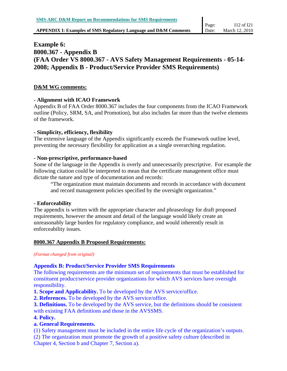# **Example 6: 8000.367 - Appendix B (FAA Order VS 8000.367 - AVS Safety Management Requirements - 05-14- 2008; Appendix B - Product/Service Provider SMS Requirements)**

#### **D&M WG comments:**

#### **- Alignment with ICAO Framework**

Appendix B of FAA Order 8000.367 includes the four components from the ICAO Framework outline (Policy, SRM, SA, and Promotion), but also includes far more than the twelve elements of the framework.

#### **- Simplicity, efficiency, flexibility**

The extensive language of the Appendix significantly exceeds the Framework outline level, preventing the necessary flexibility for application as a single overarching regulation.

#### **- Non-prescriptive, performance-based**

Some of the language in the Appendix is overly and unnecessarily prescriptive. For example the following citation could be interpreted to mean that the certificate management office must dictate the nature and type of documentation and records:

"The organization must maintain documents and records in accordance with document and record management policies specified by the oversight organization."

#### **- Enforceability**

The appendix is written with the appropriate character and phraseology for draft proposed requirements, however the amount and detail of the language would likely create an unreasonably large burden for regulatory compliance, and would inherently result in enforceability issues.

## **8000.367 Appendix B Proposed Requirements:**

*(Format changed from original)* 

## **Appendix B: Product/Service Provider SMS Requirements**

The following requirements are the minimum set of requirements that must be established for constituent product/service provider organizations for which AVS services have oversight responsibility.

**1. Scope and Applicability.** To be developed by the AVS service/office.

**2. References.** To be developed by the AVS service/office.

**3. Definitions.** To be developed by the AVS service, but the definitions should be consistent with existing FAA definitions and those in the AVSSMS.

**4. Policy.** 

## **a. General Requirements.**

(1) Safety management must be included in the entire life cycle of the organization's outputs. (2) The organization must promote the growth of a positive safety culture (described in

Chapter 4, Section b and Chapter 7, Section a).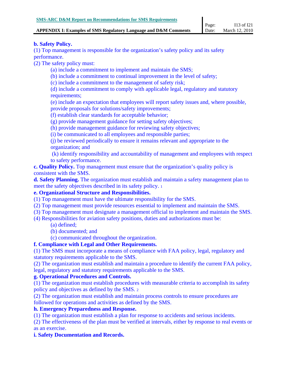#### **APPENDIX I: Examples of SMS Regulatory Language and D&M Comments**

#### **b. Safety Policy.**

(1) Top management is responsible for the organization's safety policy and its safety performance.

(2) The safety policy must:

(a) include a commitment to implement and maintain the SMS;

(b) include a commitment to continual improvement in the level of safety;

(c) include a commitment to the management of safety risk;

(d) include a commitment to comply with applicable legal, regulatory and statutory requirements;

(e) include an expectation that employees will report safety issues and, where possible, provide proposals for solutions/safety improvements;

(f) establish clear standards for acceptable behavior;

(g) provide management guidance for setting safety objectives;

(h) provide management guidance for reviewing safety objectives;

(i) be communicated to all employees and responsible parties;

(j) be reviewed periodically to ensure it remains relevant and appropriate to the organization; and

 (k) identify responsibility and accountability of management and employees with respect to safety performance.

**c. Quality Policy.** Top management must ensure that the organization's quality policy is consistent with the SMS.

**d. Safety Planning.** The organization must establish and maintain a safety management plan to meet the safety objectives described in its safety policy. 1

## **e. Organizational Structure and Responsibilities.**

(1) Top management must have the ultimate responsibility for the SMS.

(2) Top management must provide resources essential to implement and maintain the SMS.

(3) Top management must designate a management official to implement and maintain the SMS.

(4) Responsibilities for aviation safety positions, duties and authorizations must be:

- (a) defined;
- (b) documented; and

(c) communicated throughout the organization.

## **f. Compliance with Legal and Other Requirements.**

(1) The SMS must incorporate a means of compliance with FAA policy, legal, regulatory and statutory requirements applicable to the SMS.

(2) The organization must establish and maintain a procedure to identify the current FAA policy, legal, regulatory and statutory requirements applicable to the SMS.

## **g. Operational Procedures and Controls.**

(1) The organization must establish procedures with measurable criteria to accomplish its safety policy and objectives as defined by the SMS. 2

(2) The organization must establish and maintain process controls to ensure procedures are followed for operations and activities as defined by the SMS.

## **h. Emergency Preparedness and Response.**

(1) The organization must establish a plan for response to accidents and serious incidents.

(2) The effectiveness of the plan must be verified at intervals, either by response to real events or as an exercise.

## **i. Safety Documentation and Records.**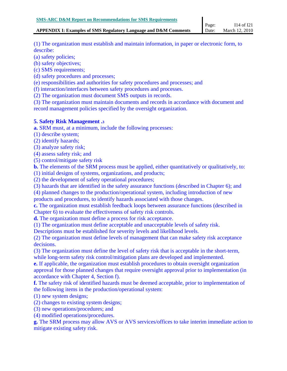#### **APPENDIX I: Examples of SMS Regulatory Language and D&M Comments**  Date:

(1) The organization must establish and maintain information, in paper or electronic form, to describe:

(a) safety policies;

(b) safety objectives;

(c) SMS requirements;

(d) safety procedures and processes;

(e) responsibilities and authorities for safety procedures and processes; and

(f) interaction/interfaces between safety procedures and processes.

(2) The organization must document SMS outputs in records.

(3) The organization must maintain documents and records in accordance with document and record management policies specified by the oversight organization.

#### **5. Safety Risk Management .3**

**a.** SRM must, at a minimum, include the following processes:

(1) describe system;

(2) identify hazards;

(3) analyze safety risk;

(4) assess safety risk; and

(5) control/mitigate safety risk

**b.** The elements of the SRM process must be applied, either quantitatively or qualitatively, to:

(1) initial designs of systems, organizations, and products;

(2) the development of safety operational procedures;

(3) hazards that are identified in the safety assurance functions (described in Chapter 6); and

(4) planned changes to the production/operational system, including introduction of new

products and procedures, to identify hazards associated with those changes.

**c.** The organization must establish feedback loops between assurance functions (described in Chapter 6) to evaluate the effectiveness of safety risk controls.

**d.** The organization must define a process for risk acceptance.

(1) The organization must define acceptable and unacceptable levels of safety risk.

Descriptions must be established for severity levels and likelihood levels.

(2) The organization must define levels of management that can make safety risk acceptance decisions.

(3) The organization must define the level of safety risk that is acceptable in the short-term, while long-term safety risk control/mitigation plans are developed and implemented.

**e.** If applicable, the organization must establish procedures to obtain oversight organization approval for those planned changes that require oversight approval prior to implementation (in accordance with Chapter 4, Section f).

**f.** The safety risk of identified hazards must be deemed acceptable, prior to implementation of the following items in the production/operational system:

(1) new system designs;

(2) changes to existing system designs;

(3) new operations/procedures; and

(4) modified operations/procedures.

**g.** The SRM process may allow AVS or AVS services/offices to take interim immediate action to mitigate existing safety risk.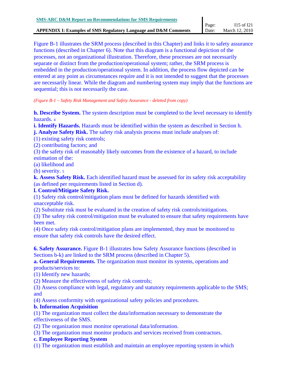Figure B-1 illustrates the SRM process (described in this Chapter) and links it to safety assurance functions (described in Chapter 6). Note that this diagram is a functional depiction of the processes, not an organizational illustration. Therefore, these processes are not necessarily separate or distinct from the production/operational system; rather, the SRM process is embedded in the production/operational system. In addition, the process flow depicted can be entered at any point as circumstances require and it is not intended to suggest that the processes are necessarily linear. While the diagram and numbering system may imply that the functions are sequential; this is not necessarily the case.

*(Figure B-1 – Safety Risk Management and Safety Assurance - deleted from copy)* 

**h. Describe System.** The system description must be completed to the level necessary to identify hazards. 4

**i. Identify Hazards.** Hazards must be identified within the system as described in Section h. **j. Analyze Safety Risk.** The safety risk analysis process must include analyses of:

(1) existing safety risk controls;

(2) contributing factors; and

(3) the safety risk of reasonably likely outcomes from the existence of a hazard, to include estimation of the:

(a) likelihood and

(b) severity. 5

**k. Assess Safety Risk.** Each identified hazard must be assessed for its safety risk acceptability (as defined per requirements listed in Section d).

# **l. Control/Mitigate Safety Risk.**

(1) Safety risk control/mitigation plans must be defined for hazards identified with unacceptable risk.

(2) Substitute risk must be evaluated in the creation of safety risk controls/mitigations.

(3) The safety risk control/mitigation must be evaluated to ensure that safety requirements have been met.

(4) Once safety risk control/mitigation plans are implemented, they must be monitored to ensure that safety risk controls have the desired effect.

**6. Safety Assurance.** Figure B-1 illustrates how Safety Assurance functions (described in Sections b-k) are linked to the SRM process (described in Chapter 5).

**a. General Requirements.** The organization must monitor its systems, operations and products/services to:

(1) Identify new hazards;

(2) Measure the effectiveness of safety risk controls;

(3) Assess compliance with legal, regulatory and statutory requirements applicable to the SMS; and

(4) Assess conformity with organizational safety policies and procedures.

# **b. Information Acquisition**

(1) The organization must collect the data/information necessary to demonstrate the effectiveness of the SMS.

(2) The organization must monitor operational data/information.

(3) The organization must monitor products and services received from contractors.

# **c. Employee Reporting System**

(1) The organization must establish and maintain an employee reporting system in which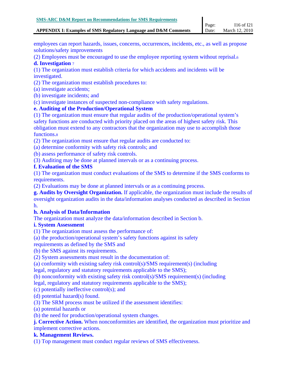#### **APPENDIX I: Examples of SMS Regulatory Language and D&M Comments**  Date:

employees can report hazards, issues, concerns, occurrences, incidents, etc., as well as propose solutions/safety improvements

(2) Employees must be encouraged to use the employee reporting system without reprisal.6

#### **d. Investigation** <sup>7</sup>

(1) The organization must establish criteria for which accidents and incidents will be investigated.

(2) The organization must establish procedures to:

- (a) investigate accidents;
- (b) investigate incidents; and

(c) investigate instances of suspected non-compliance with safety regulations.

## **e. Auditing of the Production/Operational System**

(1) The organization must ensure that regular audits of the production/operational system's safety functions are conducted with priority placed on the areas of highest safety risk. This obligation must extend to any contractors that the organization may use to accomplish those functions.8

(2) The organization must ensure that regular audits are conducted to:

(a) determine conformity with safety risk controls; and

(b) assess performance of safety risk controls.

(3) Auditing may be done at planned intervals or as a continuing process.

#### **f. Evaluation of the SMS**

(1) The organization must conduct evaluations of the SMS to determine if the SMS conforms to requirements.

(2) Evaluations may be done at planned intervals or as a continuing process.

**g. Audits by Oversight Organization.** If applicable, the organization must include the results of oversight organization audits in the data/information analyses conducted as described in Section h.

## **h. Analysis of Data/Information**

The organization must analyze the data/information described in Section b.

#### **i. System Assessment**

(1) The organization must assess the performance of:

(a) the production/operational system's safety functions against its safety

requirements as defined by the SMS and

(b) the SMS against its requirements.

(2) System assessments must result in the documentation of:

(a) conformity with existing safety risk control(s)/SMS requirement(s) (including

legal, regulatory and statutory requirements applicable to the SMS);

(b) nonconformity with existing safety risk control(s)/SMS requirement(s) (including

legal, regulatory and statutory requirements applicable to the SMS);

(c) potentially ineffective control(s); and

(d) potential hazard(s) found.

(3) The SRM process must be utilized if the assessment identifies:

(a) potential hazards or

(b) the need for production/operational system changes.

**j. Corrective Action.** When nonconformities are identified, the organization must prioritize and implement corrective actions.

## **k. Management Reviews.**

(1) Top management must conduct regular reviews of SMS effectiveness.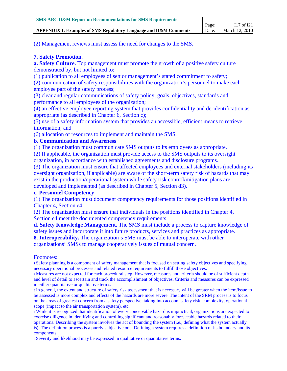(2) Management reviews must assess the need for changes to the SMS.

## **7. Safety Promotion.**

**a. Safety Culture.** Top management must promote the growth of a positive safety culture demonstrated by, but not limited to:

(1) publication to all employees of senior management's stated commitment to safety;

(2) communication of safety responsibilities with the organization's personnel to make each employee part of the safety process;

(3) clear and regular communications of safety policy, goals, objectives, standards and performance to all employees of the organization;

(4) an effective employee reporting system that provides confidentiality and de-identification as appropriate (as described in Chapter 6, Section c);

(5) use of a safety information system that provides an accessible, efficient means to retrieve information; and

(6) allocation of resources to implement and maintain the SMS.

## **b. Communication and Awareness**

(1) The organization must communicate SMS outputs to its employees as appropriate.

(2) If applicable, the organization must provide access to the SMS outputs to its oversight organization, in accordance with established agreements and disclosure programs.

(3) The organization must ensure that affected employees and external stakeholders (including its oversight organization, if applicable) are aware of the short-term safety risk of hazards that may exist in the production/operational system while safety risk control/mitigation plans are developed and implemented (as described in Chapter 5, Section d3).

## **c. Personnel Competency**

(1) The organization must document competency requirements for those positions identified in Chapter 4, Section e4.

(2) The organization must ensure that individuals in the positions identified in Chapter 4, Section e4 meet the documented competency requirements.

**d. Safety Knowledge Management.** The SMS must include a process to capture knowledge of safety issues and incorporate it into future products, services and practices as appropriate.

**8. Interoperability.** The organization's SMS must be able to interoperate with other

organizations' SMSs to manage cooperatively issues of mutual concern.

#### Footnotes:

1 Safety planning is a component of safety management that is focused on setting safety objectives and specifying necessary operational processes and related resource requirements to fulfill those objectives.

2 Measures are not expected for each procedural step. However, measures and criteria should be of sufficient depth and level of detail to ascertain and track the accomplishment of objectives. Criteria and measures can be expressed in either quantitative or qualitative terms.

3 In general, the extent and structure of safety risk assessment that is necessary will be greater when the item/issue to be assessed is more complex and effects of the hazards are more severe. The intent of the SRM process is to focus on the areas of greatest concern from a safety perspective, taking into account safety risk, complexity, operational scope (impact to the air transportation system), etc.

4 While it is recognized that identification of every conceivable hazard is impractical, organizations are expected to exercise diligence in identifying and controlling significant and reasonably foreseeable hazards related to their operations. Describing the system involves the act of bounding the system (i.e., defining what the system actually is). The definition process is a purely subjective one. Defining a system requires a definition of its boundary and its components.

5 Severity and likelihood may be expressed in qualitative or quantitative terms.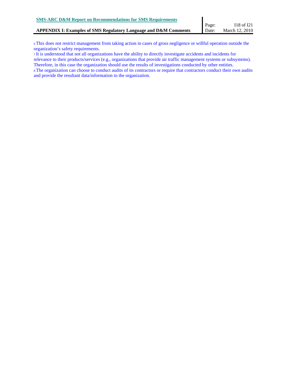6 This does not restrict management from taking action in cases of gross negligence or willful operation outside the organization's safety requirements.

7 It is understood that not all organizations have the ability to directly investigate accidents and incidents for relevance to their products/services (e.g., organizations that provide air traffic management systems or subsystems). Therefore, in this case the organization should use the results of investigations conducted by other entities.

8 The organization can choose to conduct audits of its contractors or require that contractors conduct their own audits and provide the resultant data/information to the organization.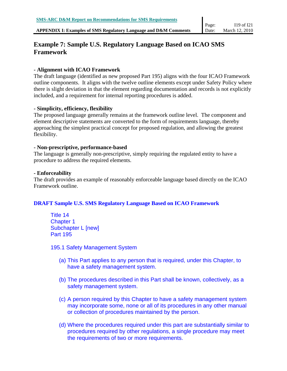#### **APPENDIX I: Examples of SMS Regulatory Language and D&M Comments**

# **Example 7: Sample U.S. Regulatory Language Based on ICAO SMS Framework**

#### **- Alignment with ICAO Framework**

The draft language (identified as new proposed Part 195) aligns with the four ICAO Framework outline components. It aligns with the twelve outline elements except under Safety Policy where there is slight deviation in that the element regarding documentation and records is not explicitly included, and a requirement for internal reporting procedures is added.

#### **- Simplicity, efficiency, flexibility**

The proposed language generally remains at the framework outline level. The component and element descriptive statements are converted to the form of requirements language, thereby approaching the simplest practical concept for proposed regulation, and allowing the greatest flexibility.

#### **- Non-prescriptive, performance-based**

The language is generally non-prescriptive, simply requiring the regulated entity to have a procedure to address the required elements.

#### **- Enforceability**

The draft provides an example of reasonably enforceable language based directly on the ICAO Framework outline.

## **DRAFT Sample U.S. SMS Regulatory Language Based on ICAO Framework**

Title 14 Chapter 1 Subchapter L [new] Part 195

195.1 Safety Management System

- (a) This Part applies to any person that is required, under this Chapter, to have a safety management system.
- (b) The procedures described in this Part shall be known, collectively, as a safety management system.
- (c) A person required by this Chapter to have a safety management system may incorporate some, none or all of its procedures in any other manual or collection of procedures maintained by the person.
- (d) Where the procedures required under this part are substantially similar to procedures required by other regulations, a single procedure may meet the requirements of two or more requirements.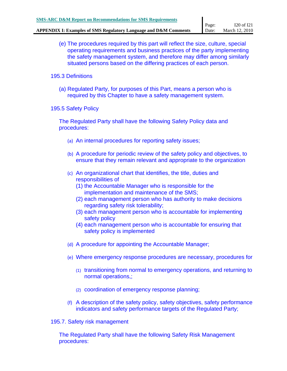- (e) The procedures required by this part will reflect the size, culture, special operating requirements and business practices of the party implementing the safety management system, and therefore may differ among similarly situated persons based on the differing practices of each person.
- 195.3 Definitions
	- (a) Regulated Party, for purposes of this Part, means a person who is required by this Chapter to have a safety management system.
- 195.5 Safety Policy

The Regulated Party shall have the following Safety Policy data and procedures:

- (a) An internal procedures for reporting safety issues;
- (b) A procedure for periodic review of the safety policy and objectives, to ensure that they remain relevant and appropriate to the organization
- (c) An organizational chart that identifies, the title, duties and responsibilities of
	- (1) the Accountable Manager who is responsible for the implementation and maintenance of the SMS;
	- (2) each management person who has authority to make decisions regarding safety risk tolerability;
	- (3) each management person who is accountable for implementing safety policy
	- (4) each management person who is accountable for ensuring that safety policy is implemented
- (d) A procedure for appointing the Accountable Manager;
- (e) Where emergency response procedures are necessary, procedures for
	- (1) transitioning from normal to emergency operations, and returning to normal operations,;
	- (2) coordination of emergency response planning;
- (f) A description of the safety policy, safety objectives, safety performance indicators and safety performance targets of the Regulated Party;
- 195.7. Safety risk management

The Regulated Party shall have the following Safety Risk Management procedures: